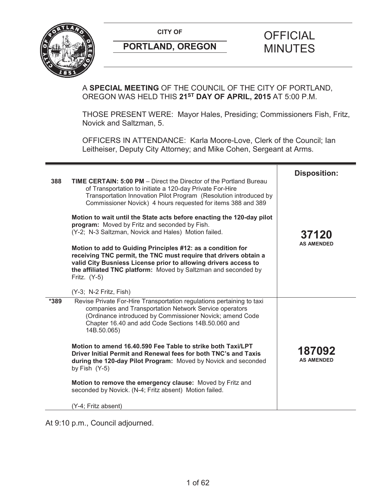**CITY OF CITY OF CITY OF CITY OF** 



# **PORTLAND, OREGON MINUTES**

# A **SPECIAL MEETING** OF THE COUNCIL OF THE CITY OF PORTLAND, OREGON WAS HELD THIS **21ST DAY OF APRIL, 2015** AT 5:00 P.M.

THOSE PRESENT WERE: Mayor Hales, Presiding; Commissioners Fish, Fritz, Novick and Saltzman, 5.

OFFICERS IN ATTENDANCE: Karla Moore-Love, Clerk of the Council; Ian Leitheiser, Deputy City Attorney; and Mike Cohen, Sergeant at Arms.

| 388  | TIME CERTAIN: 5:00 PM - Direct the Director of the Portland Bureau<br>of Transportation to initiate a 120-day Private For-Hire<br>Transportation Innovation Pilot Program (Resolution introduced by<br>Commissioner Novick) 4 hours requested for items 388 and 389<br>Motion to wait until the State acts before enacting the 120-day pilot<br>program: Moved by Fritz and seconded by Fish.<br>(Y-2; N-3 Saltzman, Novick and Hales) Motion failed.                                 | <b>Disposition:</b><br>37120<br><b>AS AMENDED</b> |
|------|---------------------------------------------------------------------------------------------------------------------------------------------------------------------------------------------------------------------------------------------------------------------------------------------------------------------------------------------------------------------------------------------------------------------------------------------------------------------------------------|---------------------------------------------------|
|      | Motion to add to Guiding Principles #12: as a condition for<br>receiving TNC permit, the TNC must require that drivers obtain a<br>valid City Busniess License prior to allowing drivers access to<br>the affiliated TNC platform: Moved by Saltzman and seconded by<br>Fritz. (Y-5)<br>(Y-3; N-2 Fritz, Fish)                                                                                                                                                                        |                                                   |
| *389 | Revise Private For-Hire Transportation regulations pertaining to taxi<br>companies and Transportation Network Service operators<br>(Ordinance introduced by Commissioner Novick; amend Code<br>Chapter 16.40 and add Code Sections 14B.50.060 and<br>14B.50.065)<br>Motion to amend 16.40.590 Fee Table to strike both Taxi/LPT<br>Driver Initial Permit and Renewal fees for both TNC's and Taxis<br>during the 120-day Pilot Program: Moved by Novick and seconded<br>by Fish (Y-5) | 187092<br><b>AS AMENDED</b>                       |
|      | Motion to remove the emergency clause: Moved by Fritz and<br>seconded by Novick. (N-4; Fritz absent) Motion failed.                                                                                                                                                                                                                                                                                                                                                                   |                                                   |
|      | (Y-4; Fritz absent)                                                                                                                                                                                                                                                                                                                                                                                                                                                                   |                                                   |

At 9:10 p.m., Council adjourned.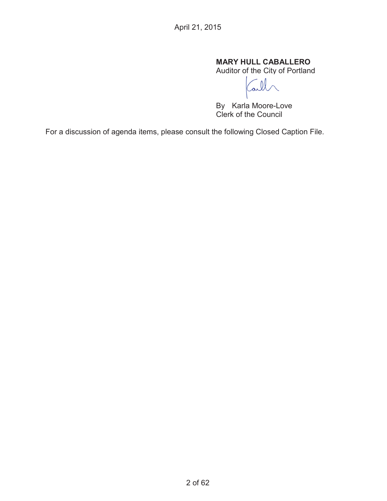# **MARY HULL CABALLERO**

Auditor of the City of Portland

Tall

By Karla Moore-Love Clerk of the Council

For a discussion of agenda items, please consult the following Closed Caption File.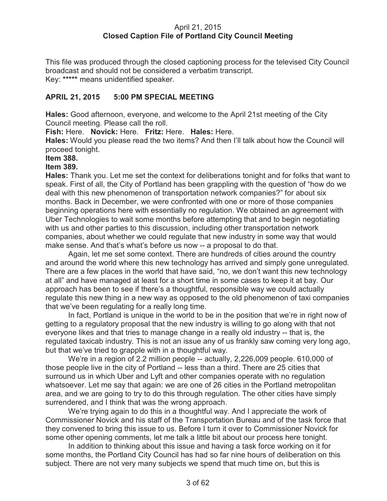#### April 21, 2015 **Closed Caption File of Portland City Council Meeting**

This file was produced through the closed captioning process for the televised City Council broadcast and should not be considered a verbatim transcript. Key: **\*\*\*\*\*** means unidentified speaker.

## **APRIL 21, 2015 5:00 PM SPECIAL MEETING**

**Hales:** Good afternoon, everyone, and welcome to the April 21st meeting of the City Council meeting. Please call the roll.

**Fish:** Here. **Novick:** Here. **Fritz:** Here. **Hales:** Here.

**Hales:** Would you please read the two items? And then I'll talk about how the Council will proceed tonight.

#### **Item 388.**

#### **Item 389.**

**Hales:** Thank you. Let me set the context for deliberations tonight and for folks that want to speak. First of all, the City of Portland has been grappling with the question of "how do we deal with this new phenomenon of transportation network companies?" for about six months. Back in December, we were confronted with one or more of those companies beginning operations here with essentially no regulation. We obtained an agreement with Uber Technologies to wait some months before attempting that and to begin negotiating with us and other parties to this discussion, including other transportation network companies, about whether we could regulate that new industry in some way that would make sense. And that's what's before us now -- a proposal to do that.

Again, let me set some context. There are hundreds of cities around the country and around the world where this new technology has arrived and simply gone unregulated. There are a few places in the world that have said, "no, we don't want this new technology at all" and have managed at least for a short time in some cases to keep it at bay. Our approach has been to see if there's a thoughtful, responsible way we could actually regulate this new thing in a new way as opposed to the old phenomenon of taxi companies that we've been regulating for a really long time.

In fact, Portland is unique in the world to be in the position that we're in right now of getting to a regulatory proposal that the new industry is willing to go along with that not everyone likes and that tries to manage change in a really old industry -- that is, the regulated taxicab industry. This is not an issue any of us frankly saw coming very long ago, but that we've tried to grapple with in a thoughtful way.

We're in a region of 2.2 million people -- actually, 2,226,009 people. 610,000 of those people live in the city of Portland -- less than a third. There are 25 cities that surround us in which Uber and Lyft and other companies operate with no regulation whatsoever. Let me say that again: we are one of 26 cities in the Portland metropolitan area, and we are going to try to do this through regulation. The other cities have simply surrendered, and I think that was the wrong approach.

We're trying again to do this in a thoughtful way. And I appreciate the work of Commissioner Novick and his staff of the Transportation Bureau and of the task force that they convened to bring this issue to us. Before I turn it over to Commissioner Novick for some other opening comments, let me talk a little bit about our process here tonight.

In addition to thinking about this issue and having a task force working on it for some months, the Portland City Council has had so far nine hours of deliberation on this subject. There are not very many subjects we spend that much time on, but this is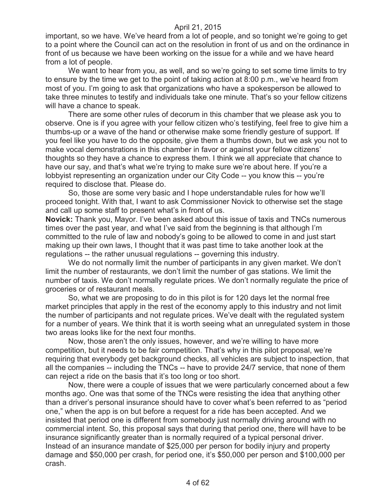important, so we have. We've heard from a lot of people, and so tonight we're going to get to a point where the Council can act on the resolution in front of us and on the ordinance in front of us because we have been working on the issue for a while and we have heard from a lot of people.

We want to hear from you, as well, and so we're going to set some time limits to try to ensure by the time we get to the point of taking action at 8:00 p.m., we've heard from most of you. I'm going to ask that organizations who have a spokesperson be allowed to take three minutes to testify and individuals take one minute. That's so your fellow citizens will have a chance to speak.

There are some other rules of decorum in this chamber that we please ask you to observe. One is if you agree with your fellow citizen who's testifying, feel free to give him a thumbs-up or a wave of the hand or otherwise make some friendly gesture of support. If you feel like you have to do the opposite, give them a thumbs down, but we ask you not to make vocal demonstrations in this chamber in favor or against your fellow citizens' thoughts so they have a chance to express them. I think we all appreciate that chance to have our say, and that's what we're trying to make sure we're about here. If you're a lobbyist representing an organization under our City Code -- you know this -- you're required to disclose that. Please do.

So, those are some very basic and I hope understandable rules for how we'll proceed tonight. With that, I want to ask Commissioner Novick to otherwise set the stage and call up some staff to present what's in front of us.

**Novick:** Thank you, Mayor. I've been asked about this issue of taxis and TNCs numerous times over the past year, and what I've said from the beginning is that although I'm committed to the rule of law and nobody's going to be allowed to come in and just start making up their own laws, I thought that it was past time to take another look at the regulations -- the rather unusual regulations -- governing this industry.

We do not normally limit the number of participants in any given market. We don't limit the number of restaurants, we don't limit the number of gas stations. We limit the number of taxis. We don't normally regulate prices. We don't normally regulate the price of groceries or of restaurant meals.

So, what we are proposing to do in this pilot is for 120 days let the normal free market principles that apply in the rest of the economy apply to this industry and not limit the number of participants and not regulate prices. We've dealt with the regulated system for a number of years. We think that it is worth seeing what an unregulated system in those two areas looks like for the next four months.

Now, those aren't the only issues, however, and we're willing to have more competition, but it needs to be fair competition. That's why in this pilot proposal, we're requiring that everybody get background checks, all vehicles are subject to inspection, that all the companies -- including the TNCs -- have to provide 24/7 service, that none of them can reject a ride on the basis that it's too long or too short.

Now, there were a couple of issues that we were particularly concerned about a few months ago. One was that some of the TNCs were resisting the idea that anything other than a driver's personal insurance should have to cover what's been referred to as "period one," when the app is on but before a request for a ride has been accepted. And we insisted that period one is different from somebody just normally driving around with no commercial intent. So, this proposal says that during that period one, there will have to be insurance significantly greater than is normally required of a typical personal driver. Instead of an insurance mandate of \$25,000 per person for bodily injury and property damage and \$50,000 per crash, for period one, it's \$50,000 per person and \$100,000 per crash.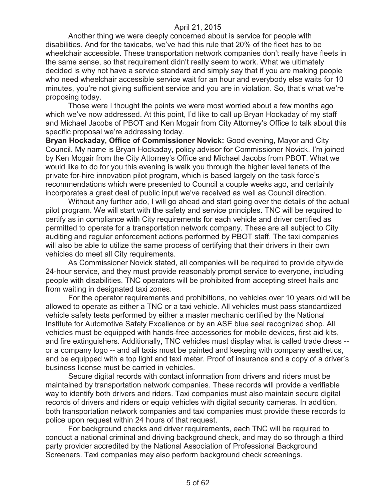Another thing we were deeply concerned about is service for people with disabilities. And for the taxicabs, we've had this rule that 20% of the fleet has to be wheelchair accessible. These transportation network companies don't really have fleets in the same sense, so that requirement didn't really seem to work. What we ultimately decided is why not have a service standard and simply say that if you are making people who need wheelchair accessible service wait for an hour and everybody else waits for 10 minutes, you're not giving sufficient service and you are in violation. So, that's what we're proposing today.

Those were I thought the points we were most worried about a few months ago which we've now addressed. At this point, I'd like to call up Bryan Hockaday of my staff and Michael Jacobs of PBOT and Ken Mcgair from City Attorney's Office to talk about this specific proposal we're addressing today.

**Bryan Hockaday, Office of Commissioner Novick:** Good evening, Mayor and City Council. My name is Bryan Hockaday, policy advisor for Commissioner Novick. I'm joined by Ken Mcgair from the City Attorney's Office and Michael Jacobs from PBOT. What we would like to do for you this evening is walk you through the higher level tenets of the private for-hire innovation pilot program, which is based largely on the task force's recommendations which were presented to Council a couple weeks ago, and certainly incorporates a great deal of public input we've received as well as Council direction.

Without any further ado, I will go ahead and start going over the details of the actual pilot program. We will start with the safety and service principles. TNC will be required to certify as in compliance with City requirements for each vehicle and driver certified as permitted to operate for a transportation network company. These are all subject to City auditing and regular enforcement actions performed by PBOT staff. The taxi companies will also be able to utilize the same process of certifying that their drivers in their own vehicles do meet all City requirements.

As Commissioner Novick stated, all companies will be required to provide citywide 24-hour service, and they must provide reasonably prompt service to everyone, including people with disabilities. TNC operators will be prohibited from accepting street hails and from waiting in designated taxi zones.

For the operator requirements and prohibitions, no vehicles over 10 years old will be allowed to operate as either a TNC or a taxi vehicle. All vehicles must pass standardized vehicle safety tests performed by either a master mechanic certified by the National Institute for Automotive Safety Excellence or by an ASE blue seal recognized shop. All vehicles must be equipped with hands-free accessories for mobile devices, first aid kits, and fire extinguishers. Additionally, TNC vehicles must display what is called trade dress - or a company logo -- and all taxis must be painted and keeping with company aesthetics, and be equipped with a top light and taxi meter. Proof of insurance and a copy of a driver's business license must be carried in vehicles.

Secure digital records with contact information from drivers and riders must be maintained by transportation network companies. These records will provide a verifiable way to identify both drivers and riders. Taxi companies must also maintain secure digital records of drivers and riders or equip vehicles with digital security cameras. In addition, both transportation network companies and taxi companies must provide these records to police upon request within 24 hours of that request.

For background checks and driver requirements, each TNC will be required to conduct a national criminal and driving background check, and may do so through a third party provider accredited by the National Association of Professional Background Screeners. Taxi companies may also perform background check screenings.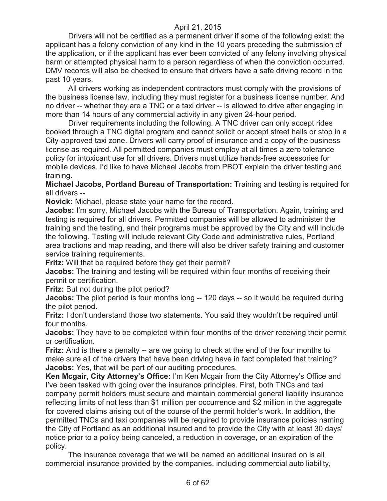Drivers will not be certified as a permanent driver if some of the following exist: the applicant has a felony conviction of any kind in the 10 years preceding the submission of the application, or if the applicant has ever been convicted of any felony involving physical harm or attempted physical harm to a person regardless of when the conviction occurred. DMV records will also be checked to ensure that drivers have a safe driving record in the past 10 years.

All drivers working as independent contractors must comply with the provisions of the business license law, including they must register for a business license number. And no driver -- whether they are a TNC or a taxi driver -- is allowed to drive after engaging in more than 14 hours of any commercial activity in any given 24-hour period.

Driver requirements including the following. A TNC driver can only accept rides booked through a TNC digital program and cannot solicit or accept street hails or stop in a City-approved taxi zone. Drivers will carry proof of insurance and a copy of the business license as required. All permitted companies must employ at all times a zero tolerance policy for intoxicant use for all drivers. Drivers must utilize hands-free accessories for mobile devices. I'd like to have Michael Jacobs from PBOT explain the driver testing and training.

**Michael Jacobs, Portland Bureau of Transportation:** Training and testing is required for all drivers --

**Novick:** Michael, please state your name for the record.

**Jacobs:** I'm sorry, Michael Jacobs with the Bureau of Transportation. Again, training and testing is required for all drivers. Permitted companies will be allowed to administer the training and the testing, and their programs must be approved by the City and will include the following. Testing will include relevant City Code and administrative rules, Portland area tractions and map reading, and there will also be driver safety training and customer service training requirements.

**Fritz:** Will that be required before they get their permit?

**Jacobs:** The training and testing will be required within four months of receiving their permit or certification.

**Fritz:** But not during the pilot period?

**Jacobs:** The pilot period is four months long -- 120 days -- so it would be required during the pilot period.

**Fritz:** I don't understand those two statements. You said they wouldn't be required until four months.

**Jacobs:** They have to be completed within four months of the driver receiving their permit or certification.

**Fritz:** And is there a penalty -- are we going to check at the end of the four months to make sure all of the drivers that have been driving have in fact completed that training? **Jacobs:** Yes, that will be part of our auditing procedures.

**Ken Mcgair, City Attorney's Office:** I'm Ken Mcgair from the City Attorney's Office and I've been tasked with going over the insurance principles. First, both TNCs and taxi company permit holders must secure and maintain commercial general liability insurance reflecting limits of not less than \$1 million per occurrence and \$2 million in the aggregate for covered claims arising out of the course of the permit holder's work. In addition, the permitted TNCs and taxi companies will be required to provide insurance policies naming the City of Portland as an additional insured and to provide the City with at least 30 days' notice prior to a policy being canceled, a reduction in coverage, or an expiration of the policy.

The insurance coverage that we will be named an additional insured on is all commercial insurance provided by the companies, including commercial auto liability,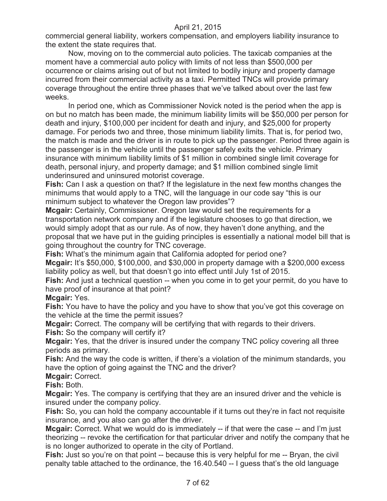commercial general liability, workers compensation, and employers liability insurance to the extent the state requires that.

Now, moving on to the commercial auto policies. The taxicab companies at the moment have a commercial auto policy with limits of not less than \$500,000 per occurrence or claims arising out of but not limited to bodily injury and property damage incurred from their commercial activity as a taxi. Permitted TNCs will provide primary coverage throughout the entire three phases that we've talked about over the last few weeks.

In period one, which as Commissioner Novick noted is the period when the app is on but no match has been made, the minimum liability limits will be \$50,000 per person for death and injury, \$100,000 per incident for death and injury, and \$25,000 for property damage. For periods two and three, those minimum liability limits. That is, for period two, the match is made and the driver is in route to pick up the passenger. Period three again is the passenger is in the vehicle until the passenger safely exits the vehicle. Primary insurance with minimum liability limits of \$1 million in combined single limit coverage for death, personal injury, and property damage; and \$1 million combined single limit underinsured and uninsured motorist coverage.

**Fish:** Can I ask a question on that? If the legislature in the next few months changes the minimums that would apply to a TNC, will the language in our code say "this is our minimum subject to whatever the Oregon law provides"?

**Mcgair:** Certainly, Commissioner. Oregon law would set the requirements for a transportation network company and if the legislature chooses to go that direction, we would simply adopt that as our rule. As of now, they haven't done anything, and the proposal that we have put in the guiding principles is essentially a national model bill that is going throughout the country for TNC coverage.

**Fish:** What's the minimum again that California adopted for period one?

**Mcgair:** It's \$50,000, \$100,000, and \$30,000 in property damage with a \$200,000 excess liability policy as well, but that doesn't go into effect until July 1st of 2015.

**Fish:** And just a technical question -- when you come in to get your permit, do you have to have proof of insurance at that point?

**Mcgair:** Yes.

**Fish:** You have to have the policy and you have to show that you've got this coverage on the vehicle at the time the permit issues?

**Mcgair:** Correct. The company will be certifying that with regards to their drivers.

**Fish:** So the company will certify it?

**Mcgair:** Yes, that the driver is insured under the company TNC policy covering all three periods as primary.

**Fish:** And the way the code is written, if there's a violation of the minimum standards, you have the option of going against the TNC and the driver?

**Mcgair:** Correct.

**Fish:** Both.

**Mcgair:** Yes. The company is certifying that they are an insured driver and the vehicle is insured under the company policy.

**Fish:** So, you can hold the company accountable if it turns out they're in fact not requisite insurance, and you also can go after the driver.

**Mcgair:** Correct. What we would do is immediately -- if that were the case -- and I'm just theorizing -- revoke the certification for that particular driver and notify the company that he is no longer authorized to operate in the city of Portland.

**Fish:** Just so you're on that point -- because this is very helpful for me -- Bryan, the civil penalty table attached to the ordinance, the 16.40.540 -- I guess that's the old language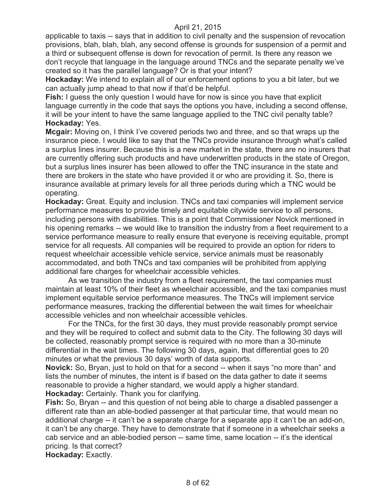applicable to taxis -- says that in addition to civil penalty and the suspension of revocation provisions, blah, blah, blah, any second offense is grounds for suspension of a permit and a third or subsequent offense is down for revocation of permit. Is there any reason we don't recycle that language in the language around TNCs and the separate penalty we've created so it has the parallel language? Or is that your intent?

**Hockaday:** We intend to explain all of our enforcement options to you a bit later, but we can actually jump ahead to that now if that'd be helpful.

**Fish:** I guess the only question I would have for now is since you have that explicit language currently in the code that says the options you have, including a second offense, it will be your intent to have the same language applied to the TNC civil penalty table? **Hockaday:** Yes.

**Mcgair:** Moving on, I think I've covered periods two and three, and so that wraps up the insurance piece. I would like to say that the TNCs provide insurance through what's called a surplus lines insurer. Because this is a new market in the state, there are no insurers that are currently offering such products and have underwritten products in the state of Oregon, but a surplus lines insurer has been allowed to offer the TNC insurance in the state and there are brokers in the state who have provided it or who are providing it. So, there is insurance available at primary levels for all three periods during which a TNC would be operating.

**Hockaday:** Great. Equity and inclusion. TNCs and taxi companies will implement service performance measures to provide timely and equitable citywide service to all persons, including persons with disabilities. This is a point that Commissioner Novick mentioned in his opening remarks -- we would like to transition the industry from a fleet requirement to a service performance measure to really ensure that everyone is receiving equitable, prompt service for all requests. All companies will be required to provide an option for riders to request wheelchair accessible vehicle service, service animals must be reasonably accommodated, and both TNCs and taxi companies will be prohibited from applying additional fare charges for wheelchair accessible vehicles.

As we transition the industry from a fleet requirement, the taxi companies must maintain at least 10% of their fleet as wheelchair accessible, and the taxi companies must implement equitable service performance measures. The TNCs will implement service performance measures, tracking the differential between the wait times for wheelchair accessible vehicles and non wheelchair accessible vehicles.

For the TNCs, for the first 30 days, they must provide reasonably prompt service and they will be required to collect and submit data to the City. The following 30 days will be collected, reasonably prompt service is required with no more than a 30-minute differential in the wait times. The following 30 days, again, that differential goes to 20 minutes or what the previous 30 days' worth of data supports.

**Novick:** So, Bryan, just to hold on that for a second -- when it says "no more than" and lists the number of minutes, the intent is if based on the data gather to date it seems reasonable to provide a higher standard, we would apply a higher standard. **Hockaday:** Certainly. Thank you for clarifying.

**Fish:** So, Bryan -- and this question of not being able to charge a disabled passenger a different rate than an able-bodied passenger at that particular time, that would mean no additional charge -- it can't be a separate charge for a separate app it can't be an add-on, it can't be any charge. They have to demonstrate that if someone in a wheelchair seeks a cab service and an able-bodied person -- same time, same location -- it's the identical pricing. Is that correct?

**Hockaday:** Exactly.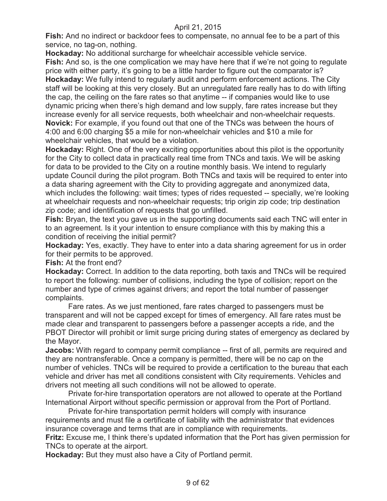**Fish:** And no indirect or backdoor fees to compensate, no annual fee to be a part of this service, no tag-on, nothing.

**Hockaday:** No additional surcharge for wheelchair accessible vehicle service. **Fish:** And so, is the one complication we may have here that if we're not going to regulate price with either party, it's going to be a little harder to figure out the comparator is? **Hockaday:** We fully intend to regularly audit and perform enforcement actions. The City staff will be looking at this very closely. But an unregulated fare really has to do with lifting the cap, the ceiling on the fare rates so that anytime -- if companies would like to use dynamic pricing when there's high demand and low supply, fare rates increase but they increase evenly for all service requests, both wheelchair and non-wheelchair requests. **Novick:** For example, if you found out that one of the TNCs was between the hours of 4:00 and 6:00 charging \$5 a mile for non-wheelchair vehicles and \$10 a mile for wheelchair vehicles, that would be a violation.

**Hockaday:** Right. One of the very exciting opportunities about this pilot is the opportunity for the City to collect data in practically real time from TNCs and taxis. We will be asking for data to be provided to the City on a routine monthly basis. We intend to regularly update Council during the pilot program. Both TNCs and taxis will be required to enter into a data sharing agreement with the City to providing aggregate and anonymized data, which includes the following: wait times; types of rides requested -- specially, we're looking at wheelchair requests and non-wheelchair requests; trip origin zip code; trip destination zip code; and identification of requests that go unfilled.

**Fish:** Bryan, the text you gave us in the supporting documents said each TNC will enter in to an agreement. Is it your intention to ensure compliance with this by making this a condition of receiving the initial permit?

**Hockaday:** Yes, exactly. They have to enter into a data sharing agreement for us in order for their permits to be approved.

**Fish:** At the front end?

**Hockaday:** Correct. In addition to the data reporting, both taxis and TNCs will be required to report the following: number of collisions, including the type of collision; report on the number and type of crimes against drivers; and report the total number of passenger complaints.

Fare rates. As we just mentioned, fare rates charged to passengers must be transparent and will not be capped except for times of emergency. All fare rates must be made clear and transparent to passengers before a passenger accepts a ride, and the PBOT Director will prohibit or limit surge pricing during states of emergency as declared by the Mayor.

**Jacobs:** With regard to company permit compliance -- first of all, permits are required and they are nontransferable. Once a company is permitted, there will be no cap on the number of vehicles. TNCs will be required to provide a certification to the bureau that each vehicle and driver has met all conditions consistent with City requirements. Vehicles and drivers not meeting all such conditions will not be allowed to operate.

Private for-hire transportation operators are not allowed to operate at the Portland International Airport without specific permission or approval from the Port of Portland.

Private for-hire transportation permit holders will comply with insurance requirements and must file a certificate of liability with the administrator that evidences insurance coverage and terms that are in compliance with requirements.

**Fritz:** Excuse me, I think there's updated information that the Port has given permission for TNCs to operate at the airport.

**Hockaday:** But they must also have a City of Portland permit.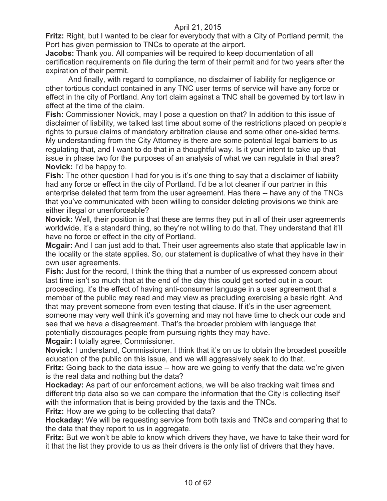**Fritz:** Right, but I wanted to be clear for everybody that with a City of Portland permit, the Port has given permission to TNCs to operate at the airport.

**Jacobs:** Thank you. All companies will be required to keep documentation of all certification requirements on file during the term of their permit and for two years after the expiration of their permit.

And finally, with regard to compliance, no disclaimer of liability for negligence or other tortious conduct contained in any TNC user terms of service will have any force or effect in the city of Portland. Any tort claim against a TNC shall be governed by tort law in effect at the time of the claim.

**Fish:** Commissioner Novick, may I pose a question on that? In addition to this issue of disclaimer of liability, we talked last time about some of the restrictions placed on people's rights to pursue claims of mandatory arbitration clause and some other one-sided terms. My understanding from the City Attorney is there are some potential legal barriers to us regulating that, and I want to do that in a thoughtful way. Is it your intent to take up that issue in phase two for the purposes of an analysis of what we can regulate in that area? **Novick:** I'd be happy to.

**Fish:** The other question I had for you is it's one thing to say that a disclaimer of liability had any force or effect in the city of Portland. I'd be a lot cleaner if our partner in this enterprise deleted that term from the user agreement. Has there -- have any of the TNCs that you've communicated with been willing to consider deleting provisions we think are either illegal or unenforceable?

**Novick:** Well, their position is that these are terms they put in all of their user agreements worldwide, it's a standard thing, so they're not willing to do that. They understand that it'll have no force or effect in the city of Portland.

**Mcgair:** And I can just add to that. Their user agreements also state that applicable law in the locality or the state applies. So, our statement is duplicative of what they have in their own user agreements.

**Fish:** Just for the record, I think the thing that a number of us expressed concern about last time isn't so much that at the end of the day this could get sorted out in a court proceeding, it's the effect of having anti-consumer language in a user agreement that a member of the public may read and may view as precluding exercising a basic right. And that may prevent someone from even testing that clause. If it's in the user agreement, someone may very well think it's governing and may not have time to check our code and see that we have a disagreement. That's the broader problem with language that potentially discourages people from pursuing rights they may have.

**Mcgair:** I totally agree, Commissioner.

**Novick:** I understand, Commissioner. I think that it's on us to obtain the broadest possible education of the public on this issue, and we will aggressively seek to do that.

**Fritz:** Going back to the data issue -- how are we going to verify that the data we're given is the real data and nothing but the data?

**Hockaday:** As part of our enforcement actions, we will be also tracking wait times and different trip data also so we can compare the information that the City is collecting itself with the information that is being provided by the taxis and the TNCs.

**Fritz:** How are we going to be collecting that data?

**Hockaday:** We will be requesting service from both taxis and TNCs and comparing that to the data that they report to us in aggregate.

**Fritz:** But we won't be able to know which drivers they have, we have to take their word for it that the list they provide to us as their drivers is the only list of drivers that they have.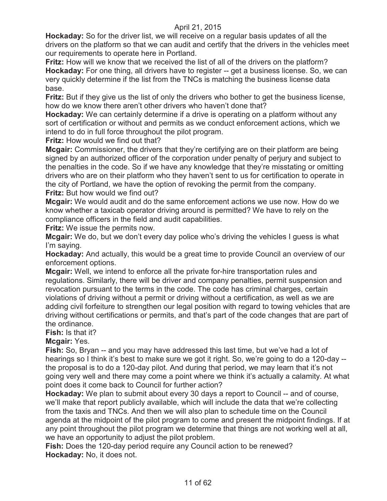**Hockaday:** So for the driver list, we will receive on a regular basis updates of all the drivers on the platform so that we can audit and certify that the drivers in the vehicles meet our requirements to operate here in Portland.

**Fritz:** How will we know that we received the list of all of the drivers on the platform? **Hockaday:** For one thing, all drivers have to register -- get a business license. So, we can very quickly determine if the list from the TNCs is matching the business license data base.

**Fritz:** But if they give us the list of only the drivers who bother to get the business license, how do we know there aren't other drivers who haven't done that?

**Hockaday:** We can certainly determine if a drive is operating on a platform without any sort of certification or without and permits as we conduct enforcement actions, which we intend to do in full force throughout the pilot program.

**Fritz:** How would we find out that?

**Mcgair:** Commissioner, the drivers that they're certifying are on their platform are being signed by an authorized officer of the corporation under penalty of perjury and subject to the penalties in the code. So if we have any knowledge that they're misstating or omitting drivers who are on their platform who they haven't sent to us for certification to operate in the city of Portland, we have the option of revoking the permit from the company. **Fritz:** But how would we find out?

**Mcgair:** We would audit and do the same enforcement actions we use now. How do we know whether a taxicab operator driving around is permitted? We have to rely on the compliance officers in the field and audit capabilities.

**Fritz:** We issue the permits now.

**Mcgair:** We do, but we don't every day police who's driving the vehicles I guess is what I'm saying.

**Hockaday:** And actually, this would be a great time to provide Council an overview of our enforcement options.

**Mcgair:** Well, we intend to enforce all the private for-hire transportation rules and regulations. Similarly, there will be driver and company penalties, permit suspension and revocation pursuant to the terms in the code. The code has criminal charges, certain violations of driving without a permit or driving without a certification, as well as we are adding civil forfeiture to strengthen our legal position with regard to towing vehicles that are driving without certifications or permits, and that's part of the code changes that are part of the ordinance.

# **Fish:** Is that it?

**Mcgair:** Yes.

**Fish:** So, Bryan -- and you may have addressed this last time, but we've had a lot of hearings so I think it's best to make sure we got it right. So, we're going to do a 120-day - the proposal is to do a 120-day pilot. And during that period, we may learn that it's not going very well and there may come a point where we think it's actually a calamity. At what point does it come back to Council for further action?

**Hockaday:** We plan to submit about every 30 days a report to Council -- and of course, we'll make that report publicly available, which will include the data that we're collecting from the taxis and TNCs. And then we will also plan to schedule time on the Council agenda at the midpoint of the pilot program to come and present the midpoint findings. If at any point throughout the pilot program we determine that things are not working well at all, we have an opportunity to adjust the pilot problem.

**Fish:** Does the 120-day period require any Council action to be renewed? **Hockaday:** No, it does not.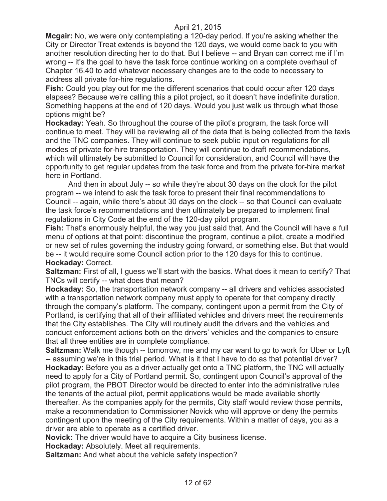**Mcgair:** No, we were only contemplating a 120-day period. If you're asking whether the City or Director Treat extends is beyond the 120 days, we would come back to you with another resolution directing her to do that. But I believe -- and Bryan can correct me if I'm wrong -- it's the goal to have the task force continue working on a complete overhaul of Chapter 16.40 to add whatever necessary changes are to the code to necessary to address all private for-hire regulations.

**Fish:** Could you play out for me the different scenarios that could occur after 120 days elapses? Because we're calling this a pilot project, so it doesn't have indefinite duration. Something happens at the end of 120 days. Would you just walk us through what those options might be?

**Hockaday:** Yeah. So throughout the course of the pilot's program, the task force will continue to meet. They will be reviewing all of the data that is being collected from the taxis and the TNC companies. They will continue to seek public input on regulations for all modes of private for-hire transportation. They will continue to draft recommendations, which will ultimately be submitted to Council for consideration, and Council will have the opportunity to get regular updates from the task force and from the private for-hire market here in Portland.

And then in about July -- so while they're about 30 days on the clock for the pilot program -- we intend to ask the task force to present their final recommendations to Council -- again, while there's about 30 days on the clock -- so that Council can evaluate the task force's recommendations and then ultimately be prepared to implement final regulations in City Code at the end of the 120-day pilot program.

**Fish:** That's enormously helpful, the way you just said that. And the Council will have a full menu of options at that point: discontinue the program, continue a pilot, create a modified or new set of rules governing the industry going forward, or something else. But that would be -- it would require some Council action prior to the 120 days for this to continue. **Hockaday:** Correct.

**Saltzman:** First of all, I guess we'll start with the basics. What does it mean to certify? That TNCs will certify -- what does that mean?

**Hockaday:** So, the transportation network company -- all drivers and vehicles associated with a transportation network company must apply to operate for that company directly through the company's platform. The company, contingent upon a permit from the City of Portland, is certifying that all of their affiliated vehicles and drivers meet the requirements that the City establishes. The City will routinely audit the drivers and the vehicles and conduct enforcement actions both on the drivers' vehicles and the companies to ensure that all three entities are in complete compliance.

**Saltzman:** Walk me though -- tomorrow, me and my car want to go to work for Uber or Lyft -- assuming we're in this trial period. What is it that I have to do as that potential driver? **Hockaday:** Before you as a driver actually get onto a TNC platform, the TNC will actually need to apply for a City of Portland permit. So, contingent upon Council's approval of the pilot program, the PBOT Director would be directed to enter into the administrative rules the tenants of the actual pilot, permit applications would be made available shortly thereafter. As the companies apply for the permits, City staff would review those permits, make a recommendation to Commissioner Novick who will approve or deny the permits contingent upon the meeting of the City requirements. Within a matter of days, you as a driver are able to operate as a certified driver.

**Novick:** The driver would have to acquire a City business license.

**Hockaday:** Absolutely. Meet all requirements.

**Saltzman:** And what about the vehicle safety inspection?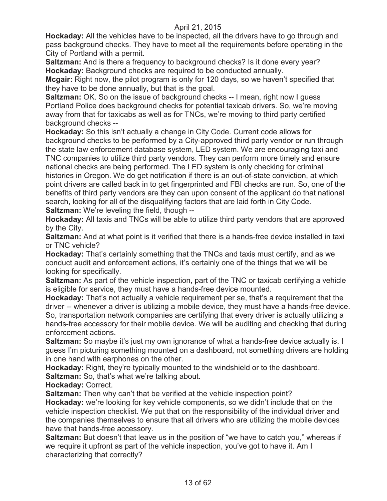**Hockaday:** All the vehicles have to be inspected, all the drivers have to go through and pass background checks. They have to meet all the requirements before operating in the City of Portland with a permit.

**Saltzman:** And is there a frequency to background checks? Is it done every year? **Hockaday:** Background checks are required to be conducted annually.

**Mcgair:** Right now, the pilot program is only for 120 days, so we haven't specified that they have to be done annually, but that is the goal.

**Saltzman:** OK. So on the issue of background checks -- I mean, right now I guess Portland Police does background checks for potential taxicab drivers. So, we're moving away from that for taxicabs as well as for TNCs, we're moving to third party certified background checks --

**Hockaday:** So this isn't actually a change in City Code. Current code allows for background checks to be performed by a City-approved third party vendor or run through the state law enforcement database system, LED system. We are encouraging taxi and TNC companies to utilize third party vendors. They can perform more timely and ensure national checks are being performed. The LED system is only checking for criminal histories in Oregon. We do get notification if there is an out-of-state conviction, at which point drivers are called back in to get fingerprinted and FBI checks are run. So, one of the benefits of third party vendors are they can upon consent of the applicant do that national search, looking for all of the disqualifying factors that are laid forth in City Code. **Saltzman:** We're leveling the field, though --

**Hockaday:** All taxis and TNCs will be able to utilize third party vendors that are approved by the City.

**Saltzman:** And at what point is it verified that there is a hands-free device installed in taxi or TNC vehicle?

**Hockaday:** That's certainly something that the TNCs and taxis must certify, and as we conduct audit and enforcement actions, it's certainly one of the things that we will be looking for specifically.

**Saltzman:** As part of the vehicle inspection, part of the TNC or taxicab certifying a vehicle is eligible for service, they must have a hands-free device mounted.

**Hockaday:** That's not actually a vehicle requirement per se, that's a requirement that the driver -- whenever a driver is utilizing a mobile device, they must have a hands-free device. So, transportation network companies are certifying that every driver is actually utilizing a hands-free accessory for their mobile device. We will be auditing and checking that during enforcement actions.

**Saltzman:** So maybe it's just my own ignorance of what a hands-free device actually is. I guess I'm picturing something mounted on a dashboard, not something drivers are holding in one hand with earphones on the other.

**Hockaday:** Right, they're typically mounted to the windshield or to the dashboard. **Saltzman:** So, that's what we're talking about.

**Hockaday:** Correct.

**Saltzman:** Then why can't that be verified at the vehicle inspection point?

**Hockaday:** we're looking for key vehicle components, so we didn't include that on the vehicle inspection checklist. We put that on the responsibility of the individual driver and the companies themselves to ensure that all drivers who are utilizing the mobile devices have that hands-free accessory.

**Saltzman:** But doesn't that leave us in the position of "we have to catch you," whereas if we require it upfront as part of the vehicle inspection, you've got to have it. Am I characterizing that correctly?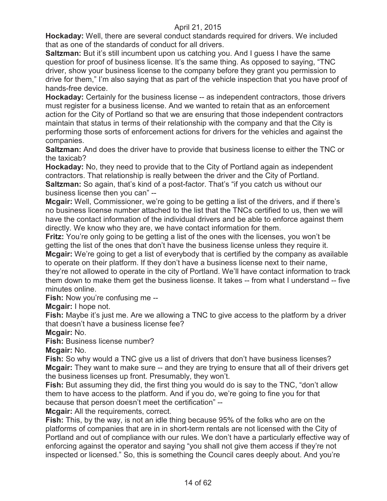**Hockaday:** Well, there are several conduct standards required for drivers. We included that as one of the standards of conduct for all drivers.

**Saltzman:** But it's still incumbent upon us catching you. And I guess I have the same question for proof of business license. It's the same thing. As opposed to saying, "TNC driver, show your business license to the company before they grant you permission to drive for them," I'm also saying that as part of the vehicle inspection that you have proof of hands-free device.

**Hockaday:** Certainly for the business license -- as independent contractors, those drivers must register for a business license. And we wanted to retain that as an enforcement action for the City of Portland so that we are ensuring that those independent contractors maintain that status in terms of their relationship with the company and that the City is performing those sorts of enforcement actions for drivers for the vehicles and against the companies.

**Saltzman:** And does the driver have to provide that business license to either the TNC or the taxicab?

**Hockaday:** No, they need to provide that to the City of Portland again as independent contractors. That relationship is really between the driver and the City of Portland. **Saltzman:** So again, that's kind of a post-factor. That's "if you catch us without our business license then you can" --

**Mcgair:** Well, Commissioner, we're going to be getting a list of the drivers, and if there's no business license number attached to the list that the TNCs certified to us, then we will have the contact information of the individual drivers and be able to enforce against them directly. We know who they are, we have contact information for them.

**Fritz:** You're only going to be getting a list of the ones with the licenses, you won't be getting the list of the ones that don't have the business license unless they require it.

**Mcgair:** We're going to get a list of everybody that is certified by the company as available to operate on their platform. If they don't have a business license next to their name, they're not allowed to operate in the city of Portland. We'll have contact information to track them down to make them get the business license. It takes -- from what I understand -- five minutes online.

**Fish:** Now you're confusing me --

**Mcgair:** I hope not.

**Fish:** Maybe it's just me. Are we allowing a TNC to give access to the platform by a driver that doesn't have a business license fee?

**Mcgair:** No.

**Fish: Business license number?** 

**Mcgair:** No.

**Fish:** So why would a TNC give us a list of drivers that don't have business licenses? **Mcgair:** They want to make sure -- and they are trying to ensure that all of their drivers get the business licenses up front. Presumably, they won't.

**Fish:** But assuming they did, the first thing you would do is say to the TNC, "don't allow them to have access to the platform. And if you do, we're going to fine you for that because that person doesn't meet the certification" --

**Mcgair:** All the requirements, correct.

**Fish:** This, by the way, is not an idle thing because 95% of the folks who are on the platforms of companies that are in in short-term rentals are not licensed with the City of Portland and out of compliance with our rules. We don't have a particularly effective way of enforcing against the operator and saying "you shall not give them access if they're not inspected or licensed." So, this is something the Council cares deeply about. And you're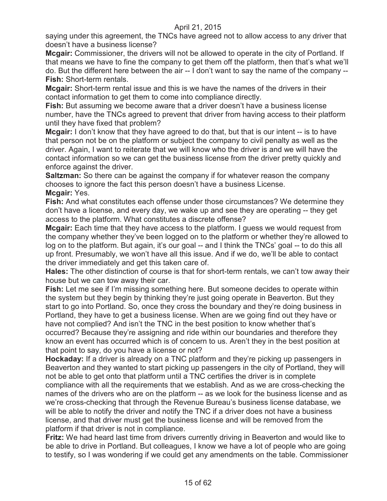saying under this agreement, the TNCs have agreed not to allow access to any driver that doesn't have a business license?

**Mcgair:** Commissioner, the drivers will not be allowed to operate in the city of Portland. If that means we have to fine the company to get them off the platform, then that's what we'll do. But the different here between the air -- I don't want to say the name of the company -- **Fish:** Short-term rentals.

**Mcgair:** Short-term rental issue and this is we have the names of the drivers in their contact information to get them to come into compliance directly.

**Fish:** But assuming we become aware that a driver doesn't have a business license number, have the TNCs agreed to prevent that driver from having access to their platform until they have fixed that problem?

**Mcgair:** I don't know that they have agreed to do that, but that is our intent -- is to have that person not be on the platform or subject the company to civil penalty as well as the driver. Again, I want to reiterate that we will know who the driver is and we will have the contact information so we can get the business license from the driver pretty quickly and enforce against the driver.

**Saltzman:** So there can be against the company if for whatever reason the company chooses to ignore the fact this person doesn't have a business License. **Mcgair:** Yes.

**Fish:** And what constitutes each offense under those circumstances? We determine they don't have a license, and every day, we wake up and see they are operating -- they get access to the platform. What constitutes a discrete offense?

**Mcgair:** Each time that they have access to the platform. I guess we would request from the company whether they've been logged on to the platform or whether they're allowed to log on to the platform. But again, it's our goal -- and I think the TNCs' goal -- to do this all up front. Presumably, we won't have all this issue. And if we do, we'll be able to contact the driver immediately and get this taken care of.

**Hales:** The other distinction of course is that for short-term rentals, we can't tow away their house but we can tow away their car.

**Fish:** Let me see if I'm missing something here. But someone decides to operate within the system but they begin by thinking they're just going operate in Beaverton. But they start to go into Portland. So, once they cross the boundary and they're doing business in Portland, they have to get a business license. When are we going find out they have or have not complied? And isn't the TNC in the best position to know whether that's occurred? Because they're assigning and ride within our boundaries and therefore they know an event has occurred which is of concern to us. Aren't they in the best position at that point to say, do you have a license or not?

**Hockaday:** If a driver is already on a TNC platform and they're picking up passengers in Beaverton and they wanted to start picking up passengers in the city of Portland, they will not be able to get onto that platform until a TNC certifies the driver is in complete compliance with all the requirements that we establish. And as we are cross-checking the names of the drivers who are on the platform -- as we look for the business license and as we're cross-checking that through the Revenue Bureau's business license database, we will be able to notify the driver and notify the TNC if a driver does not have a business license, and that driver must get the business license and will be removed from the platform if that driver is not in compliance.

**Fritz:** We had heard last time from drivers currently driving in Beaverton and would like to be able to drive in Portland. But colleagues, I know we have a lot of people who are going to testify, so I was wondering if we could get any amendments on the table. Commissioner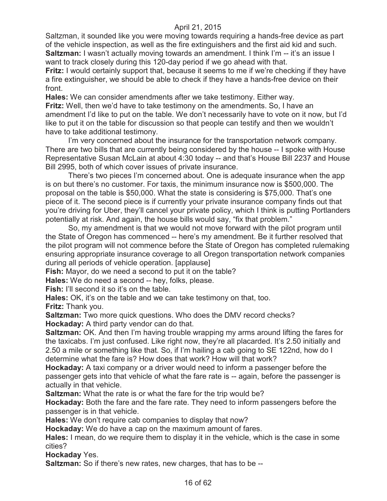Saltzman, it sounded like you were moving towards requiring a hands-free device as part of the vehicle inspection, as well as the fire extinguishers and the first aid kid and such. **Saltzman:** I wasn't actually moving towards an amendment. I think I'm -- it's an issue I want to track closely during this 120-day period if we go ahead with that.

**Fritz:** I would certainly support that, because it seems to me if we're checking if they have a fire extinguisher, we should be able to check if they have a hands-free device on their front.

**Hales:** We can consider amendments after we take testimony. Either way. **Fritz:** Well, then we'd have to take testimony on the amendments. So, I have an amendment I'd like to put on the table. We don't necessarily have to vote on it now, but I'd like to put it on the table for discussion so that people can testify and then we wouldn't have to take additional testimony.

I'm very concerned about the insurance for the transportation network company. There are two bills that are currently being considered by the house -- I spoke with House Representative Susan McLain at about 4:30 today -- and that's House Bill 2237 and House Bill 2995, both of which cover issues of private insurance.

There's two pieces I'm concerned about. One is adequate insurance when the app is on but there's no customer. For taxis, the minimum insurance now is \$500,000. The proposal on the table is \$50,000. What the state is considering is \$75,000. That's one piece of it. The second piece is if currently your private insurance company finds out that you're driving for Uber, they'll cancel your private policy, which I think is putting Portlanders potentially at risk. And again, the house bills would say, "fix that problem."

So, my amendment is that we would not move forward with the pilot program until the State of Oregon has commenced -- here's my amendment. Be it further resolved that the pilot program will not commence before the State of Oregon has completed rulemaking ensuring appropriate insurance coverage to all Oregon transportation network companies during all periods of vehicle operation. [applause]

**Fish:** Mayor, do we need a second to put it on the table?

**Hales:** We do need a second -- hey, folks, please.

Fish: I'll second it so it's on the table.

**Hales:** OK, it's on the table and we can take testimony on that, too.

**Fritz:** Thank you.

**Saltzman:** Two more quick questions. Who does the DMV record checks? **Hockaday:** A third party vendor can do that.

**Saltzman:** OK. And then I'm having trouble wrapping my arms around lifting the fares for the taxicabs. I'm just confused. Like right now, they're all placarded. It's 2.50 initially and 2.50 a mile or something like that. So, if I'm hailing a cab going to SE 122nd, how do I determine what the fare is? How does that work? How will that work?

**Hockaday:** A taxi company or a driver would need to inform a passenger before the passenger gets into that vehicle of what the fare rate is -- again, before the passenger is actually in that vehicle.

**Saltzman:** What the rate is or what the fare for the trip would be?

**Hockaday:** Both the fare and the fare rate. They need to inform passengers before the passenger is in that vehicle.

**Hales:** We don't require cab companies to display that now?

**Hockaday:** We do have a cap on the maximum amount of fares.

**Hales:** I mean, do we require them to display it in the vehicle, which is the case in some cities?

**Hockaday** Yes.

**Saltzman:** So if there's new rates, new charges, that has to be --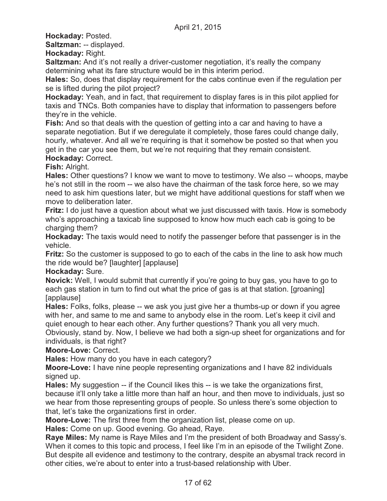**Hockaday:** Posted.

**Saltzman:** -- displayed.

**Hockaday:** Right.

**Saltzman:** And it's not really a driver-customer negotiation, it's really the company determining what its fare structure would be in this interim period.

**Hales:** So, does that display requirement for the cabs continue even if the regulation per se is lifted during the pilot project?

**Hockaday:** Yeah, and in fact, that requirement to display fares is in this pilot applied for taxis and TNCs. Both companies have to display that information to passengers before they're in the vehicle.

**Fish:** And so that deals with the question of getting into a car and having to have a separate negotiation. But if we deregulate it completely, those fares could change daily, hourly, whatever. And all we're requiring is that it somehow be posted so that when you get in the car you see them, but we're not requiring that they remain consistent. **Hockaday:** Correct.

**Fish:** Alright.

**Hales:** Other questions? I know we want to move to testimony. We also -- whoops, maybe he's not still in the room -- we also have the chairman of the task force here, so we may need to ask him questions later, but we might have additional questions for staff when we move to deliberation later.

**Fritz:** I do just have a question about what we just discussed with taxis. How is somebody who's approaching a taxicab line supposed to know how much each cab is going to be charging them?

**Hockaday:** The taxis would need to notify the passenger before that passenger is in the vehicle.

**Fritz:** So the customer is supposed to go to each of the cabs in the line to ask how much the ride would be? [laughter] [applause]

**Hockaday:** Sure.

**Novick:** Well, I would submit that currently if you're going to buy gas, you have to go to each gas station in turn to find out what the price of gas is at that station. [groaning] [applause]

**Hales:** Folks, folks, please -- we ask you just give her a thumbs-up or down if you agree with her, and same to me and same to anybody else in the room. Let's keep it civil and quiet enough to hear each other. Any further questions? Thank you all very much.

Obviously, stand by. Now, I believe we had both a sign-up sheet for organizations and for individuals, is that right?

**Moore-Love:** Correct.

**Hales:** How many do you have in each category?

**Moore-Love:** I have nine people representing organizations and I have 82 individuals signed up.

**Hales:** My suggestion -- if the Council likes this -- is we take the organizations first, because it'll only take a little more than half an hour, and then move to individuals, just so we hear from those representing groups of people. So unless there's some objection to that, let's take the organizations first in order.

**Moore-Love:** The first three from the organization list, please come on up.

**Hales:** Come on up. Good evening. Go ahead, Raye.

**Raye Miles:** My name is Raye Miles and I'm the president of both Broadway and Sassy's. When it comes to this topic and process, I feel like I'm in an episode of the Twilight Zone. But despite all evidence and testimony to the contrary, despite an abysmal track record in other cities, we're about to enter into a trust-based relationship with Uber.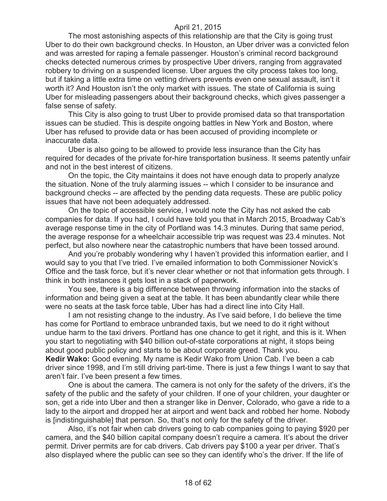The most astonishing aspects of this relationship are that the City is going trust Uber to do their own background checks. In Houston, an Uber driver was a convicted felon and was arrested for raping a female passenger. Houston's criminal record background checks detected numerous crimes by prospective Uber drivers, ranging from aggravated robbery to driving on a suspended license. Uber argues the city process takes too long, but if taking a little extra time on vetting drivers prevents even one sexual assault, isn't it worth it? And Houston isn't the only market with issues. The state of California is suing Uber for misleading passengers about their background checks, which gives passenger a false sense of safety.

This City is also going to trust Uber to provide promised data so that transportation issues can be studied. This is despite ongoing battles in New York and Boston, where Uber has refused to provide data or has been accused of providing incomplete or inaccurate data.

Uber is also going to be allowed to provide less insurance than the City has required for decades of the private for-hire transportation business. It seems patently unfair and not in the best interest of citizens.

On the topic, the City maintains it does not have enough data to properly analyze the situation. None of the truly alarming issues -- which I consider to be insurance and background checks -- are affected by the pending data requests. These are public policy issues that have not been adequately addressed.

On the topic of accessible service, I would note the City has not asked the cab companies for data. If you had, I could have told you that in March 2015, Broadway Cab's average response time in the city of Portland was 14.3 minutes. During that same period, the average response for a wheelchair accessible trip was request was 23.4 minutes. Not perfect, but also nowhere near the catastrophic numbers that have been tossed around.

And you're probably wondering why I haven't provided this information earlier, and I would say to you that I've tried. I've emailed information to both Commissioner Novick's Office and the task force, but it's never clear whether or not that information gets through. I think in both instances it gets lost in a stack of paperwork.

You see, there is a big difference between throwing information into the stacks of information and being given a seat at the table. It has been abundantly clear while there were no seats at the task force table, Uber has had a direct line into City Hall.

I am not resisting change to the industry. As I've said before, I do believe the time has come for Portland to embrace unbranded taxis, but we need to do it right without undue harm to the taxi drivers. Portland has one chance to get it right, and this is it. When you start to negotiating with \$40 billion out-of-state corporations at night, it stops being about good public policy and starts to be about corporate greed. Thank you.

**Kedir Wako:** Good evening. My name is Kedir Wako from Union Cab. I've been a cab driver since 1998, and I'm still driving part-time. There is just a few things I want to say that aren't fair. I've been present a few times.

One is about the camera. The camera is not only for the safety of the drivers, it's the safety of the public and the safety of your children. If one of your children, your daughter or son, get a ride into Uber and then a stranger like in Denver, Colorado, who gave a ride to a lady to the airport and dropped her at airport and went back and robbed her home. Nobody is [indistinguishable] that person. So, that's not only for the safety of the driver.

Also, it's not fair when cab drivers going to cab companies going to paying \$920 per camera, and the \$40 billion capital company doesn't require a camera. It's about the driver permit. Driver permits are for cab drivers. Cab drivers pay \$100 a year per driver. That's also displayed where the public can see so they can identify who's the driver. If the life of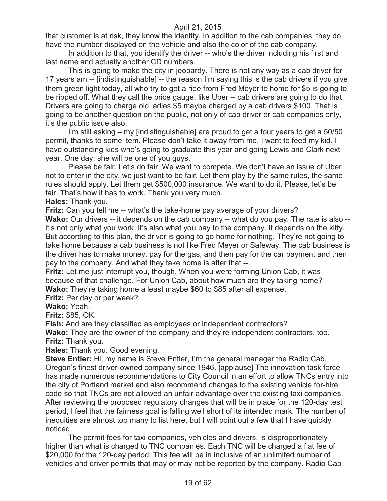that customer is at risk, they know the identity. In addition to the cab companies, they do have the number displayed on the vehicle and also the color of the cab company.

In addition to that, you identify the driver -- who's the driver including his first and last name and actually another CD numbers.

This is going to make the city in jeopardy. There is not any way as a cab driver for 17 years am -- [indistinguishable] -- the reason I'm saying this is the cab drivers if you give them green light today, all who try to get a ride from Fred Meyer to home for \$5 is going to be ripped off. What they call the price gauge, like Uber -- cab drivers are going to do that. Drivers are going to charge old ladies \$5 maybe charged by a cab drivers \$100. That is going to be another question on the public, not only of cab driver or cab companies only, it's the public issue also.

I'm still asking – my [indistinguishable] are proud to get a four years to get a 50/50 permit, thanks to some item. Please don't take it away from me. I want to feed my kid. I have outstanding kids who's going to graduate this year and going Lewis and Clark next year. One day, she will be one of you guys.

Please be fair. Let's do fair. We want to compete. We don't have an issue of Uber not to enter in the city, we just want to be fair. Let them play by the same rules, the same rules should apply. Let them get \$500,000 insurance. We want to do it. Please, let's be fair. That's how it has to work. Thank you very much.

**Hales:** Thank you.

**Fritz:** Can you tell me -- what's the take-home pay average of your drivers?

**Wako:** Our drivers -- it depends on the cab company -- what do you pay. The rate is also -it's not only what you work, it's also what you pay to the company. It depends on the kitty. But according to this plan, the driver is going to go home for nothing. They're not going to take home because a cab business is not like Fred Meyer or Safeway. The cab business is the driver has to make money, pay for the gas, and then pay for the car payment and then pay to the company. And what they take home is after that --

**Fritz:** Let me just interrupt you, though. When you were forming Union Cab, it was because of that challenge. For Union Cab, about how much are they taking home? **Wako:** They're taking home a least maybe \$60 to \$85 after all expense.

**Fritz:** Per day or per week?

**Wako:** Yeah.

**Fritz:** \$85, OK.

**Fish:** And are they classified as employees or independent contractors?

**Wako:** They are the owner of the company and they're independent contractors, too. **Fritz:** Thank you.

**Hales:** Thank you. Good evening.

**Steve Entler:** Hi, my name is Steve Entler, I'm the general manager the Radio Cab, Oregon's finest driver-owned company since 1946. [applause] The innovation task force has made numerous recommendations to City Council in an effort to allow TNCs entry into the city of Portland market and also recommend changes to the existing vehicle for-hire code so that TNCs are not allowed an unfair advantage over the existing taxi companies. After reviewing the proposed regulatory changes that will be in place for the 120-day test period, I feel that the fairness goal is falling well short of its intended mark. The number of inequities are almost too many to list here, but I will point out a few that I have quickly noticed.

The permit fees for taxi companies, vehicles and drivers, is disproportionately higher than what is charged to TNC companies. Each TNC will be charged a flat fee of \$20,000 for the 120-day period. This fee will be in inclusive of an unlimited number of vehicles and driver permits that may or may not be reported by the company. Radio Cab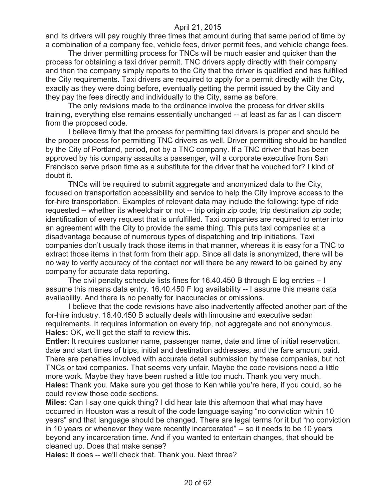and its drivers will pay roughly three times that amount during that same period of time by a combination of a company fee, vehicle fees, driver permit fees, and vehicle change fees.

The driver permitting process for TNCs will be much easier and quicker than the process for obtaining a taxi driver permit. TNC drivers apply directly with their company and then the company simply reports to the City that the driver is qualified and has fulfilled the City requirements. Taxi drivers are required to apply for a permit directly with the City, exactly as they were doing before, eventually getting the permit issued by the City and they pay the fees directly and individually to the City, same as before.

The only revisions made to the ordinance involve the process for driver skills training, everything else remains essentially unchanged -- at least as far as I can discern from the proposed code.

I believe firmly that the process for permitting taxi drivers is proper and should be the proper process for permitting TNC drivers as well. Driver permitting should be handled by the City of Portland, period, not by a TNC company. If a TNC driver that has been approved by his company assaults a passenger, will a corporate executive from San Francisco serve prison time as a substitute for the driver that he vouched for? I kind of doubt it.

TNCs will be required to submit aggregate and anonymized data to the City, focused on transportation accessibility and service to help the City improve access to the for-hire transportation. Examples of relevant data may include the following: type of ride requested -- whether its wheelchair or not -- trip origin zip code; trip destination zip code; identification of every request that is unfulfilled. Taxi companies are required to enter into an agreement with the City to provide the same thing. This puts taxi companies at a disadvantage because of numerous types of dispatching and trip initiations. Taxi companies don't usually track those items in that manner, whereas it is easy for a TNC to extract those items in that form from their app. Since all data is anonymized, there will be no way to verify accuracy of the contact nor will there be any reward to be gained by any company for accurate data reporting.

The civil penalty schedule lists fines for 16.40.450 B through E log entries -- I assume this means data entry. 16.40.450 F log availability -- I assume this means data availability. And there is no penalty for inaccuracies or omissions.

I believe that the code revisions have also inadvertently affected another part of the for-hire industry. 16.40.450 B actually deals with limousine and executive sedan requirements. It requires information on every trip, not aggregate and not anonymous. **Hales:** OK, we'll get the staff to review this.

**Entler:** It requires customer name, passenger name, date and time of initial reservation, date and start times of trips, initial and destination addresses, and the fare amount paid. There are penalties involved with accurate detail submission by these companies, but not TNCs or taxi companies. That seems very unfair. Maybe the code revisions need a little more work. Maybe they have been rushed a little too much. Thank you very much. **Hales:** Thank you. Make sure you get those to Ken while you're here, if you could, so he could review those code sections.

**Miles:** Can I say one quick thing? I did hear late this afternoon that what may have occurred in Houston was a result of the code language saying "no conviction within 10 years" and that language should be changed. There are legal terms for it but "no conviction in 10 years or whenever they were recently incarcerated" -- so it needs to be 10 years beyond any incarceration time. And if you wanted to entertain changes, that should be cleaned up. Does that make sense?

**Hales:** It does -- we'll check that. Thank you. Next three?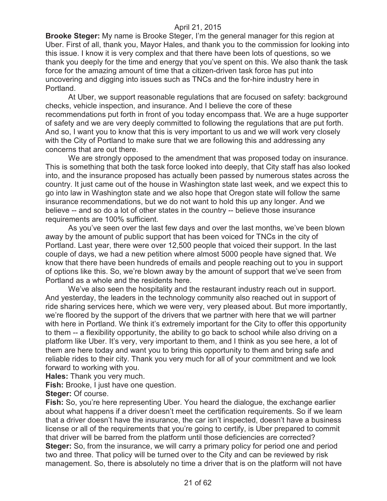**Brooke Steger:** My name is Brooke Steger, I'm the general manager for this region at Uber. First of all, thank you, Mayor Hales, and thank you to the commission for looking into this issue. I know it is very complex and that there have been lots of questions, so we thank you deeply for the time and energy that you've spent on this. We also thank the task force for the amazing amount of time that a citizen-driven task force has put into uncovering and digging into issues such as TNCs and the for-hire industry here in Portland.

At Uber, we support reasonable regulations that are focused on safety: background checks, vehicle inspection, and insurance. And I believe the core of these recommendations put forth in front of you today encompass that. We are a huge supporter of safety and we are very deeply committed to following the regulations that are put forth. And so, I want you to know that this is very important to us and we will work very closely with the City of Portland to make sure that we are following this and addressing any concerns that are out there.

We are strongly opposed to the amendment that was proposed today on insurance. This is something that both the task force looked into deeply, that City staff has also looked into, and the insurance proposed has actually been passed by numerous states across the country. It just came out of the house in Washington state last week, and we expect this to go into law in Washington state and we also hope that Oregon state will follow the same insurance recommendations, but we do not want to hold this up any longer. And we believe -- and so do a lot of other states in the country -- believe those insurance requirements are 100% sufficient.

As you've seen over the last few days and over the last months, we've been blown away by the amount of public support that has been voiced for TNCs in the city of Portland. Last year, there were over 12,500 people that voiced their support. In the last couple of days, we had a new petition where almost 5000 people have signed that. We know that there have been hundreds of emails and people reaching out to you in support of options like this. So, we're blown away by the amount of support that we've seen from Portland as a whole and the residents here.

We've also seen the hospitality and the restaurant industry reach out in support. And yesterday, the leaders in the technology community also reached out in support of ride sharing services here, which we were very, very pleased about. But more importantly, we're floored by the support of the drivers that we partner with here that we will partner with here in Portland. We think it's extremely important for the City to offer this opportunity to them -- a flexibility opportunity, the ability to go back to school while also driving on a platform like Uber. It's very, very important to them, and I think as you see here, a lot of them are here today and want you to bring this opportunity to them and bring safe and reliable rides to their city. Thank you very much for all of your commitment and we look forward to working with you.

**Hales:** Thank you very much.

**Fish:** Brooke, I just have one question.

**Steger:** Of course.

**Fish:** So, you're here representing Uber. You heard the dialogue, the exchange earlier about what happens if a driver doesn't meet the certification requirements. So if we learn that a driver doesn't have the insurance, the car isn't inspected, doesn't have a business license or all of the requirements that you're going to certify, is Uber prepared to commit that driver will be barred from the platform until those deficiencies are corrected? **Steger:** So, from the insurance, we will carry a primary policy for period one and period two and three. That policy will be turned over to the City and can be reviewed by risk management. So, there is absolutely no time a driver that is on the platform will not have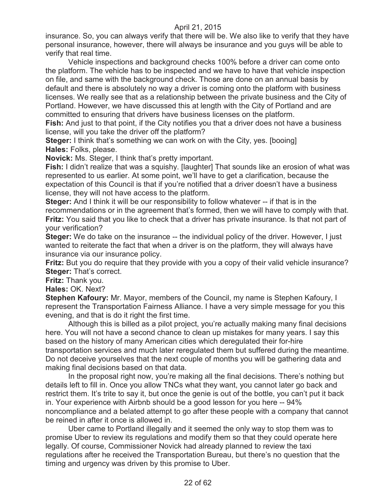insurance. So, you can always verify that there will be. We also like to verify that they have personal insurance, however, there will always be insurance and you guys will be able to verify that real time.

Vehicle inspections and background checks 100% before a driver can come onto the platform. The vehicle has to be inspected and we have to have that vehicle inspection on file, and same with the background check. Those are done on an annual basis by default and there is absolutely no way a driver is coming onto the platform with business licenses. We really see that as a relationship between the private business and the City of Portland. However, we have discussed this at length with the City of Portland and are committed to ensuring that drivers have business licenses on the platform.

**Fish:** And just to that point, if the City notifies you that a driver does not have a business license, will you take the driver off the platform?

**Steger:** I think that's something we can work on with the City, yes. [booing] **Hales:** Folks, please.

**Novick:** Ms. Steger, I think that's pretty important.

**Fish:** I didn't realize that was a squishy. [laughter] That sounds like an erosion of what was represented to us earlier. At some point, we'll have to get a clarification, because the expectation of this Council is that if you're notified that a driver doesn't have a business license, they will not have access to the platform.

**Steger:** And I think it will be our responsibility to follow whatever -- if that is in the recommendations or in the agreement that's formed, then we will have to comply with that. **Fritz:** You said that you like to check that a driver has private insurance. Is that not part of your verification?

**Steger:** We do take on the insurance -- the individual policy of the driver. However, I just wanted to reiterate the fact that when a driver is on the platform, they will always have insurance via our insurance policy.

**Fritz:** But you do require that they provide with you a copy of their valid vehicle insurance? **Steger:** That's correct.

**Fritz:** Thank you.

**Hales:** OK. Next?

**Stephen Kafoury:** Mr. Mayor, members of the Council, my name is Stephen Kafoury, I represent the Transportation Fairness Alliance. I have a very simple message for you this evening, and that is do it right the first time.

Although this is billed as a pilot project, you're actually making many final decisions here. You will not have a second chance to clean up mistakes for many years. I say this based on the history of many American cities which deregulated their for-hire transportation services and much later reregulated them but suffered during the meantime. Do not deceive yourselves that the next couple of months you will be gathering data and making final decisions based on that data.

In the proposal right now, you're making all the final decisions. There's nothing but details left to fill in. Once you allow TNCs what they want, you cannot later go back and restrict them. It's trite to say it, but once the genie is out of the bottle, you can't put it back in. Your experience with Airbnb should be a good lesson for you here -- 94% noncompliance and a belated attempt to go after these people with a company that cannot be reined in after it once is allowed in.

Uber came to Portland illegally and it seemed the only way to stop them was to promise Uber to review its regulations and modify them so that they could operate here legally. Of course, Commissioner Novick had already planned to review the taxi regulations after he received the Transportation Bureau, but there's no question that the timing and urgency was driven by this promise to Uber.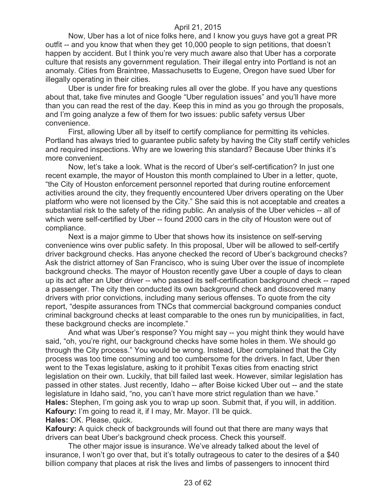Now, Uber has a lot of nice folks here, and I know you guys have got a great PR outfit -- and you know that when they get 10,000 people to sign petitions, that doesn't happen by accident. But I think you're very much aware also that Uber has a corporate culture that resists any government regulation. Their illegal entry into Portland is not an anomaly. Cities from Braintree, Massachusetts to Eugene, Oregon have sued Uber for illegally operating in their cities.

Uber is under fire for breaking rules all over the globe. If you have any questions about that, take five minutes and Google "Uber regulation issues" and you'll have more than you can read the rest of the day. Keep this in mind as you go through the proposals, and I'm going analyze a few of them for two issues: public safety versus Uber convenience.

First, allowing Uber all by itself to certify compliance for permitting its vehicles. Portland has always tried to guarantee public safety by having the City staff certify vehicles and required inspections. Why are we lowering this standard? Because Uber thinks it's more convenient.

Now, let's take a look. What is the record of Uber's self-certification? In just one recent example, the mayor of Houston this month complained to Uber in a letter, quote, "the City of Houston enforcement personnel reported that during routine enforcement activities around the city, they frequently encountered Uber drivers operating on the Uber platform who were not licensed by the City." She said this is not acceptable and creates a substantial risk to the safety of the riding public. An analysis of the Uber vehicles -- all of which were self-certified by Uber -- found 2000 cars in the city of Houston were out of compliance.

Next is a major gimme to Uber that shows how its insistence on self-serving convenience wins over public safety. In this proposal, Uber will be allowed to self-certify driver background checks. Has anyone checked the record of Uber's background checks? Ask the district attorney of San Francisco, who is suing Uber over the issue of incomplete background checks. The mayor of Houston recently gave Uber a couple of days to clean up its act after an Uber driver -- who passed its self-certification background check -- raped a passenger. The city then conducted its own background check and discovered many drivers with prior convictions, including many serious offenses. To quote from the city report, "despite assurances from TNCs that commercial background companies conduct criminal background checks at least comparable to the ones run by municipalities, in fact, these background checks are incomplete."

And what was Uber's response? You might say -- you might think they would have said, "oh, you're right, our background checks have some holes in them. We should go through the City process." You would be wrong. Instead, Uber complained that the City process was too time consuming and too cumbersome for the drivers. In fact, Uber then went to the Texas legislature, asking to it prohibit Texas cities from enacting strict legislation on their own. Luckily, that bill failed last week. However, similar legislation has passed in other states. Just recently, Idaho -- after Boise kicked Uber out -- and the state legislature in Idaho said, "no, you can't have more strict regulation than we have." **Hales:** Stephen, I'm going ask you to wrap up soon. Submit that, if you will, in addition. **Kafoury:** I'm going to read it, if I may, Mr. Mayor. I'll be quick.

**Hales:** OK. Please, quick.

**Kafoury:** A quick check of backgrounds will found out that there are many ways that drivers can beat Uber's background check process. Check this yourself.

The other major issue is insurance. We've already talked about the level of insurance, I won't go over that, but it's totally outrageous to cater to the desires of a \$40 billion company that places at risk the lives and limbs of passengers to innocent third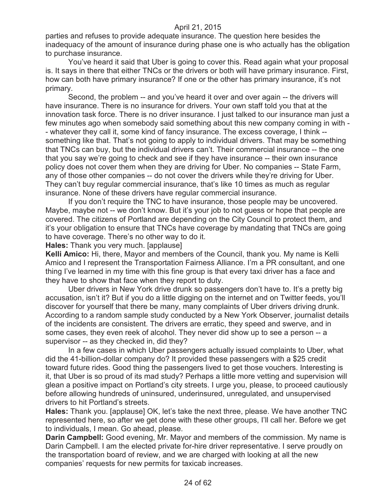parties and refuses to provide adequate insurance. The question here besides the inadequacy of the amount of insurance during phase one is who actually has the obligation to purchase insurance.

You've heard it said that Uber is going to cover this. Read again what your proposal is. It says in there that either TNCs or the drivers or both will have primary insurance. First, how can both have primary insurance? If one or the other has primary insurance, it's not primary.

Second, the problem -- and you've heard it over and over again -- the drivers will have insurance. There is no insurance for drivers. Your own staff told you that at the innovation task force. There is no driver insurance. I just talked to our insurance man just a few minutes ago when somebody said something about this new company coming in with - - whatever they call it, some kind of fancy insurance. The excess coverage, I think - something like that. That's not going to apply to individual drivers. That may be something that TNCs can buy, but the individual drivers can't. Their commercial insurance -- the one that you say we're going to check and see if they have insurance -- their own insurance policy does not cover them when they are driving for Uber. No companies -- State Farm, any of those other companies -- do not cover the drivers while they're driving for Uber. They can't buy regular commercial insurance, that's like 10 times as much as regular insurance. None of these drivers have regular commercial insurance.

If you don't require the TNC to have insurance, those people may be uncovered. Maybe, maybe not -- we don't know. But it's your job to not guess or hope that people are covered. The citizens of Portland are depending on the City Council to protect them, and it's your obligation to ensure that TNCs have coverage by mandating that TNCs are going to have coverage. There's no other way to do it.

**Hales:** Thank you very much. [applause]

**Kelli Amico:** Hi, there, Mayor and members of the Council, thank you. My name is Kelli Amico and I represent the Transportation Fairness Alliance. I'm a PR consultant, and one thing I've learned in my time with this fine group is that every taxi driver has a face and they have to show that face when they report to duty.

Uber drivers in New York drive drunk so passengers don't have to. It's a pretty big accusation, isn't it? But if you do a little digging on the internet and on Twitter feeds, you'll discover for yourself that there be many, many complaints of Uber drivers driving drunk. According to a random sample study conducted by a New York Observer, journalist details of the incidents are consistent. The drivers are erratic, they speed and swerve, and in some cases, they even reek of alcohol. They never did show up to see a person -- a supervisor -- as they checked in, did they?

In a few cases in which Uber passengers actually issued complaints to Uber, what did the 41-billion-dollar company do? It provided these passengers with a \$25 credit toward future rides. Good thing the passengers lived to get those vouchers. Interesting is it, that Uber is so proud of its mad study? Perhaps a little more vetting and supervision will glean a positive impact on Portland's city streets. I urge you, please, to proceed cautiously before allowing hundreds of uninsured, underinsured, unregulated, and unsupervised drivers to hit Portland's streets.

**Hales:** Thank you. [applause] OK, let's take the next three, please. We have another TNC represented here, so after we get done with these other groups, I'll call her. Before we get to individuals, I mean. Go ahead, please.

**Darin Campbell:** Good evening, Mr. Mayor and members of the commission. My name is Darin Campbell. I am the elected private for-hire driver representative. I serve proudly on the transportation board of review, and we are charged with looking at all the new companies' requests for new permits for taxicab increases.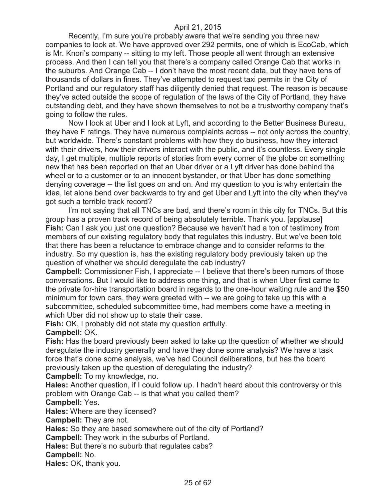Recently, I'm sure you're probably aware that we're sending you three new companies to look at. We have approved over 292 permits, one of which is EcoCab, which is Mr. Knori's company -- sitting to my left. Those people all went through an extensive process. And then I can tell you that there's a company called Orange Cab that works in the suburbs. And Orange Cab -- I don't have the most recent data, but they have tens of thousands of dollars in fines. They've attempted to request taxi permits in the City of Portland and our regulatory staff has diligently denied that request. The reason is because they've acted outside the scope of regulation of the laws of the City of Portland, they have outstanding debt, and they have shown themselves to not be a trustworthy company that's going to follow the rules.

Now I look at Uber and I look at Lyft, and according to the Better Business Bureau, they have F ratings. They have numerous complaints across -- not only across the country, but worldwide. There's constant problems with how they do business, how they interact with their drivers, how their drivers interact with the public, and it's countless. Every single day, I get multiple, multiple reports of stories from every corner of the globe on something new that has been reported on that an Uber driver or a Lyft driver has done behind the wheel or to a customer or to an innocent bystander, or that Uber has done something denying coverage -- the list goes on and on. And my question to you is why entertain the idea, let alone bend over backwards to try and get Uber and Lyft into the city when they've got such a terrible track record?

I'm not saying that all TNCs are bad, and there's room in this city for TNCs. But this group has a proven track record of being absolutely terrible. Thank you. [applause] **Fish:** Can I ask you just one question? Because we haven't had a ton of testimony from members of our existing regulatory body that regulates this industry. But we've been told that there has been a reluctance to embrace change and to consider reforms to the industry. So my question is, has the existing regulatory body previously taken up the question of whether we should deregulate the cab industry?

**Campbell:** Commissioner Fish, I appreciate -- I believe that there's been rumors of those conversations. But I would like to address one thing, and that is when Uber first came to the private for-hire transportation board in regards to the one-hour waiting rule and the \$50 minimum for town cars, they were greeted with -- we are going to take up this with a subcommittee, scheduled subcommittee time, had members come have a meeting in which Uber did not show up to state their case.

**Fish:** OK, I probably did not state my question artfully.

#### **Campbell:** OK.

**Fish:** Has the board previously been asked to take up the question of whether we should deregulate the industry generally and have they done some analysis? We have a task force that's done some analysis, we've had Council deliberations, but has the board previously taken up the question of deregulating the industry?

**Campbell:** To my knowledge, no.

**Hales:** Another question, if I could follow up. I hadn't heard about this controversy or this problem with Orange Cab -- is that what you called them?

## **Campbell:** Yes.

**Hales:** Where are they licensed?

**Campbell:** They are not.

**Hales:** So they are based somewhere out of the city of Portland?

**Campbell:** They work in the suburbs of Portland.

**Hales:** But there's no suburb that regulates cabs?

**Campbell:** No.

**Hales:** OK, thank you.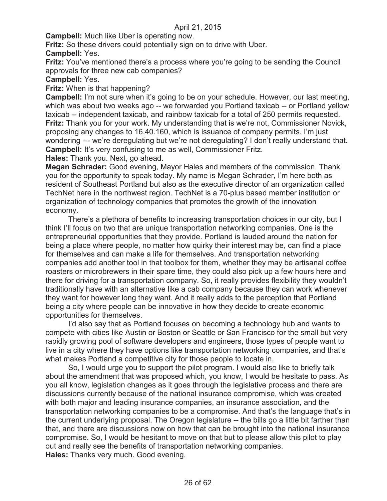**Campbell:** Much like Uber is operating now.

**Fritz:** So these drivers could potentially sign on to drive with Uber. **Campbell:** Yes.

**Fritz:** You've mentioned there's a process where you're going to be sending the Council approvals for three new cab companies?

#### **Campbell:** Yes.

**Fritz:** When is that happening?

**Campbell:** I'm not sure when it's going to be on your schedule. However, our last meeting, which was about two weeks ago -- we forwarded you Portland taxicab -- or Portland yellow taxicab -- independent taxicab, and rainbow taxicab for a total of 250 permits requested. **Fritz:** Thank you for your work. My understanding that is we're not, Commissioner Novick, proposing any changes to 16.40.160, which is issuance of company permits. I'm just wondering --- we're deregulating but we're not deregulating? I don't really understand that. **Campbell:** It's very confusing to me as well, Commissioner Fritz.

**Hales:** Thank you. Next, go ahead.

**Megan Schrader:** Good evening, Mayor Hales and members of the commission. Thank you for the opportunity to speak today. My name is Megan Schrader, I'm here both as resident of Southeast Portland but also as the executive director of an organization called TechNet here in the northwest region. TechNet is a 70-plus based member institution or organization of technology companies that promotes the growth of the innovation economy.

There's a plethora of benefits to increasing transportation choices in our city, but I think I'll focus on two that are unique transportation networking companies. One is the entrepreneurial opportunities that they provide. Portland is lauded around the nation for being a place where people, no matter how quirky their interest may be, can find a place for themselves and can make a life for themselves. And transportation networking companies add another tool in that toolbox for them, whether they may be artisanal coffee roasters or microbrewers in their spare time, they could also pick up a few hours here and there for driving for a transportation company. So, it really provides flexibility they wouldn't traditionally have with an alternative like a cab company because they can work whenever they want for however long they want. And it really adds to the perception that Portland being a city where people can be innovative in how they decide to create economic opportunities for themselves.

I'd also say that as Portland focuses on becoming a technology hub and wants to compete with cities like Austin or Boston or Seattle or San Francisco for the small but very rapidly growing pool of software developers and engineers, those types of people want to live in a city where they have options like transportation networking companies, and that's what makes Portland a competitive city for those people to locate in.

So, I would urge you to support the pilot program. I would also like to briefly talk about the amendment that was proposed which, you know, I would be hesitate to pass. As you all know, legislation changes as it goes through the legislative process and there are discussions currently because of the national insurance compromise, which was created with both major and leading insurance companies, an insurance association, and the transportation networking companies to be a compromise. And that's the language that's in the current underlying proposal. The Oregon legislature -- the bills go a little bit farther than that, and there are discussions now on how that can be brought into the national insurance compromise. So, I would be hesitant to move on that but to please allow this pilot to play out and really see the benefits of transportation networking companies. **Hales:** Thanks very much. Good evening.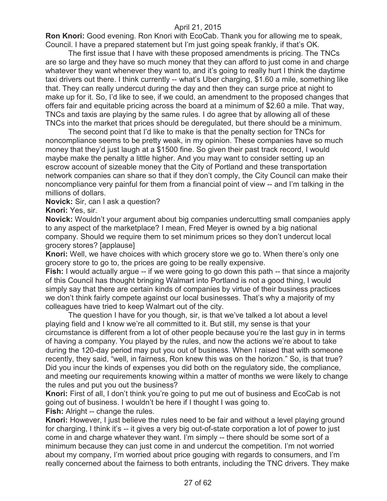**Ron Knori:** Good evening. Ron Knori with EcoCab. Thank you for allowing me to speak, Council. I have a prepared statement but I'm just going speak frankly, if that's OK.

The first issue that I have with these proposed amendments is pricing. The TNCs are so large and they have so much money that they can afford to just come in and charge whatever they want whenever they want to, and it's going to really hurt I think the daytime taxi drivers out there. I think currently -- what's Uber charging, \$1.60 a mile, something like that. They can really undercut during the day and then they can surge price at night to make up for it. So, I'd like to see, if we could, an amendment to the proposed changes that offers fair and equitable pricing across the board at a minimum of \$2.60 a mile. That way, TNCs and taxis are playing by the same rules. I do agree that by allowing all of these TNCs into the market that prices should be deregulated, but there should be a minimum.

The second point that I'd like to make is that the penalty section for TNCs for noncompliance seems to be pretty weak, in my opinion. These companies have so much money that they'd just laugh at a \$1500 fine. So given their past track record, I would maybe make the penalty a little higher. And you may want to consider setting up an escrow account of sizeable money that the City of Portland and these transportation network companies can share so that if they don't comply, the City Council can make their noncompliance very painful for them from a financial point of view -- and I'm talking in the millions of dollars.

**Novick:** Sir, can I ask a question?

**Knori:** Yes, sir.

**Novick:** Wouldn't your argument about big companies undercutting small companies apply to any aspect of the marketplace? I mean, Fred Meyer is owned by a big national company. Should we require them to set minimum prices so they don't undercut local grocery stores? [applause]

**Knori:** Well, we have choices with which grocery store we go to. When there's only one grocery store to go to, the prices are going to be really expensive.

**Fish:** I would actually argue -- if we were going to go down this path -- that since a majority of this Council has thought bringing Walmart into Portland is not a good thing, I would simply say that there are certain kinds of companies by virtue of their business practices we don't think fairly compete against our local businesses. That's why a majority of my colleagues have tried to keep Walmart out of the city.

The question I have for you though, sir, is that we've talked a lot about a level playing field and I know we're all committed to it. But still, my sense is that your circumstance is different from a lot of other people because you're the last guy in in terms of having a company. You played by the rules, and now the actions we're about to take during the 120-day period may put you out of business. When I raised that with someone recently, they said, "well, in fairness, Ron knew this was on the horizon." So, is that true? Did you incur the kinds of expenses you did both on the regulatory side, the compliance, and meeting our requirements knowing within a matter of months we were likely to change the rules and put you out the business?

**Knori:** First of all, I don't think you're going to put me out of business and EcoCab is not going out of business. I wouldn't be here if I thought I was going to.

**Fish:** Alright -- change the rules.

**Knori:** However, I just believe the rules need to be fair and without a level playing ground for charging, I think it's -- it gives a very big out-of-state corporation a lot of power to just come in and charge whatever they want. I'm simply -- there should be some sort of a minimum because they can just come in and undercut the competition. I'm not worried about my company, I'm worried about price gouging with regards to consumers, and I'm really concerned about the fairness to both entrants, including the TNC drivers. They make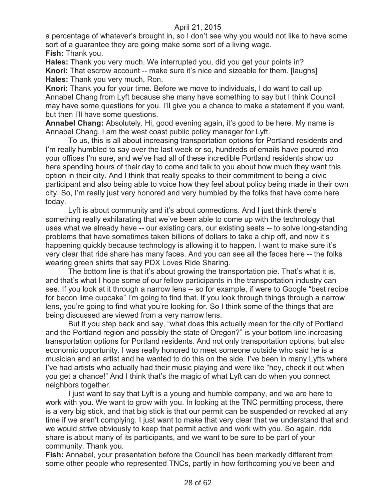a percentage of whatever's brought in, so I don't see why you would not like to have some sort of a guarantee they are going make some sort of a living wage. **Fish:** Thank you.

**Hales:** Thank you very much. We interrupted you, did you get your points in? **Knori:** That escrow account -- make sure it's nice and sizeable for them. [laughs] **Hales:** Thank you very much, Ron.

**Knori:** Thank you for your time. Before we move to individuals, I do want to call up Annabel Chang from Lyft because she many have something to say but I think Council may have some questions for you. I'll give you a chance to make a statement if you want, but then I'll have some questions.

**Annabel Chang:** Absolutely. Hi, good evening again, it's good to be here. My name is Annabel Chang, I am the west coast public policy manager for Lyft.

To us, this is all about increasing transportation options for Portland residents and I'm really humbled to say over the last week or so, hundreds of emails have poured into your offices I'm sure, and we've had all of these incredible Portland residents show up here spending hours of their day to come and talk to you about how much they want this option in their city. And I think that really speaks to their commitment to being a civic participant and also being able to voice how they feel about policy being made in their own city. So, I'm really just very honored and very humbled by the folks that have come here today.

Lyft is about community and it's about connections. And I just think there's something really exhilarating that we've been able to come up with the technology that uses what we already have -- our existing cars, our existing seats -- to solve long-standing problems that have sometimes taken billions of dollars to take a chip off, and now it's happening quickly because technology is allowing it to happen. I want to make sure it's very clear that ride share has many faces. And you can see all the faces here -- the folks wearing green shirts that say PDX Loves Ride Sharing.

The bottom line is that it's about growing the transportation pie. That's what it is, and that's what I hope some of our fellow participants in the transportation industry can see. If you look at it through a narrow lens -- so for example, if were to Google "best recipe for bacon lime cupcake" I'm going to find that. If you look through things through a narrow lens, you're going to find what you're looking for. So I think some of the things that are being discussed are viewed from a very narrow lens.

But if you step back and say, "what does this actually mean for the city of Portland and the Portland region and possibly the state of Oregon?" is your bottom line increasing transportation options for Portland residents. And not only transportation options, but also economic opportunity. I was really honored to meet someone outside who said he is a musician and an artist and he wanted to do this on the side. I've been in many Lyfts where I've had artists who actually had their music playing and were like "hey, check it out when you get a chance!" And I think that's the magic of what Lyft can do when you connect neighbors together.

I just want to say that Lyft is a young and humble company, and we are here to work with you. We want to grow with you. In looking at the TNC permitting process, there is a very big stick, and that big stick is that our permit can be suspended or revoked at any time if we aren't complying. I just want to make that very clear that we understand that and we would strive obviously to keep that permit active and work with you. So again, ride share is about many of its participants, and we want to be sure to be part of your community. Thank you.

**Fish:** Annabel, your presentation before the Council has been markedly different from some other people who represented TNCs, partly in how forthcoming you've been and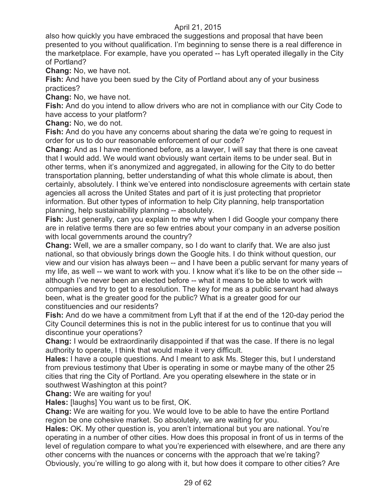also how quickly you have embraced the suggestions and proposal that have been presented to you without qualification. I'm beginning to sense there is a real difference in the marketplace. For example, have you operated -- has Lyft operated illegally in the City of Portland?

**Chang:** No, we have not.

**Fish:** And have you been sued by the City of Portland about any of your business practices?

**Chang:** No, we have not.

**Fish:** And do you intend to allow drivers who are not in compliance with our City Code to have access to your platform?

**Chang:** No, we do not.

**Fish:** And do you have any concerns about sharing the data we're going to request in order for us to do our reasonable enforcement of our code?

**Chang:** And as I have mentioned before, as a lawyer, I will say that there is one caveat that I would add. We would want obviously want certain items to be under seal. But in other terms, when it's anonymized and aggregated, in allowing for the City to do better transportation planning, better understanding of what this whole climate is about, then certainly, absolutely. I think we've entered into nondisclosure agreements with certain state agencies all across the United States and part of it is just protecting that proprietor information. But other types of information to help City planning, help transportation planning, help sustainability planning -- absolutely.

**Fish:** Just generally, can you explain to me why when I did Google your company there are in relative terms there are so few entries about your company in an adverse position with local governments around the country?

**Chang:** Well, we are a smaller company, so I do want to clarify that. We are also just national, so that obviously brings down the Google hits. I do think without question, our view and our vision has always been -- and I have been a public servant for many years of my life, as well -- we want to work with you. I know what it's like to be on the other side - although I've never been an elected before -- what it means to be able to work with companies and try to get to a resolution. The key for me as a public servant had always been, what is the greater good for the public? What is a greater good for our constituencies and our residents?

**Fish:** And do we have a commitment from Lyft that if at the end of the 120-day period the City Council determines this is not in the public interest for us to continue that you will discontinue your operations?

**Chang:** I would be extraordinarily disappointed if that was the case. If there is no legal authority to operate, I think that would make it very difficult.

**Hales:** I have a couple questions. And I meant to ask Ms. Steger this, but I understand from previous testimony that Uber is operating in some or maybe many of the other 25 cities that ring the City of Portland. Are you operating elsewhere in the state or in southwest Washington at this point?

**Chang:** We are waiting for you!

**Hales:** [laughs] You want us to be first, OK.

**Chang:** We are waiting for you. We would love to be able to have the entire Portland region be one cohesive market. So absolutely, we are waiting for you.

**Hales:** OK. My other question is, you aren't international but you are national. You're operating in a number of other cities. How does this proposal in front of us in terms of the level of regulation compare to what you're experienced with elsewhere, and are there any other concerns with the nuances or concerns with the approach that we're taking? Obviously, you're willing to go along with it, but how does it compare to other cities? Are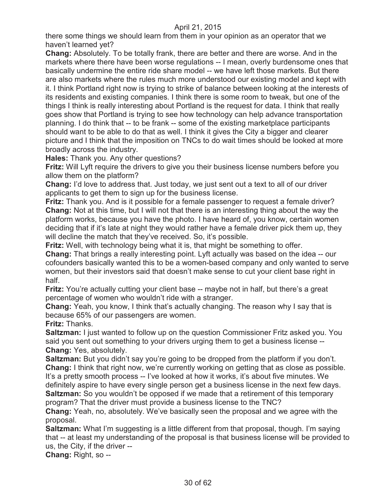there some things we should learn from them in your opinion as an operator that we haven't learned yet?

**Chang:** Absolutely. To be totally frank, there are better and there are worse. And in the markets where there have been worse regulations -- I mean, overly burdensome ones that basically undermine the entire ride share model -- we have left those markets. But there are also markets where the rules much more understood our existing model and kept with it. I think Portland right now is trying to strike of balance between looking at the interests of its residents and existing companies. I think there is some room to tweak, but one of the things I think is really interesting about Portland is the request for data. I think that really goes show that Portland is trying to see how technology can help advance transportation planning. I do think that -- to be frank -- some of the existing marketplace participants should want to be able to do that as well. I think it gives the City a bigger and clearer picture and I think that the imposition on TNCs to do wait times should be looked at more broadly across the industry.

**Hales:** Thank you. Any other questions?

**Fritz:** Will Lyft require the drivers to give you their business license numbers before you allow them on the platform?

**Chang:** I'd love to address that. Just today, we just sent out a text to all of our driver applicants to get them to sign up for the business license.

**Fritz:** Thank you. And is it possible for a female passenger to request a female driver? **Chang:** Not at this time, but I will not that there is an interesting thing about the way the platform works, because you have the photo. I have heard of, you know, certain women deciding that if it's late at night they would rather have a female driver pick them up, they will decline the match that they've received. So, it's possible.

**Fritz:** Well, with technology being what it is, that might be something to offer.

**Chang:** That brings a really interesting point. Lyft actually was based on the idea -- our cofounders basically wanted this to be a women-based company and only wanted to serve women, but their investors said that doesn't make sense to cut your client base right in half.

**Fritz:** You're actually cutting your client base -- maybe not in half, but there's a great percentage of women who wouldn't ride with a stranger.

**Chang:** Yeah, you know, I think that's actually changing. The reason why I say that is because 65% of our passengers are women.

**Fritz:** Thanks.

**Saltzman:** I just wanted to follow up on the question Commissioner Fritz asked you. You said you sent out something to your drivers urging them to get a business license -- **Chang:** Yes, absolutely.

**Saltzman:** But you didn't say you're going to be dropped from the platform if you don't. **Chang:** I think that right now, we're currently working on getting that as close as possible. It's a pretty smooth process -- I've looked at how it works, it's about five minutes. We definitely aspire to have every single person get a business license in the next few days.

**Saltzman:** So you wouldn't be opposed if we made that a retirement of this temporary program? That the driver must provide a business license to the TNC?

**Chang:** Yeah, no, absolutely. We've basically seen the proposal and we agree with the proposal.

**Saltzman:** What I'm suggesting is a little different from that proposal, though. I'm saying that -- at least my understanding of the proposal is that business license will be provided to us, the City, if the driver --

**Chang:** Right, so --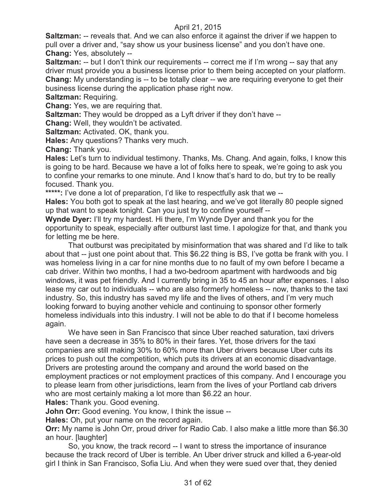**Saltzman:** -- reveals that. And we can also enforce it against the driver if we happen to pull over a driver and, "say show us your business license" and you don't have one. **Chang:** Yes, absolutely --

**Saltzman:** -- but I don't think our requirements -- correct me if I'm wrong -- say that any driver must provide you a business license prior to them being accepted on your platform. **Chang:** My understanding is -- to be totally clear -- we are requiring everyone to get their business license during the application phase right now.

**Saltzman:** Requiring.

**Chang:** Yes, we are requiring that.

**Saltzman:** They would be dropped as a Lyft driver if they don't have --

**Chang:** Well, they wouldn't be activated.

**Saltzman:** Activated. OK, thank you.

**Hales:** Any questions? Thanks very much.

**Chang:** Thank you.

**Hales:** Let's turn to individual testimony. Thanks, Ms. Chang. And again, folks, I know this is going to be hard. Because we have a lot of folks here to speak, we're going to ask you to confine your remarks to one minute. And I know that's hard to do, but try to be really focused. Thank you.

**\*\*\*\*\*:** I've done a lot of preparation, I'd like to respectfully ask that we --

**Hales:** You both got to speak at the last hearing, and we've got literally 80 people signed up that want to speak tonight. Can you just try to confine yourself --

**Wynde Dyer:** I'll try my hardest. Hi there, I'm Wynde Dyer and thank you for the opportunity to speak, especially after outburst last time. I apologize for that, and thank you for letting me be here.

That outburst was precipitated by misinformation that was shared and I'd like to talk about that -- just one point about that. This \$6.22 thing is BS, I've gotta be frank with you. I was homeless living in a car for nine months due to no fault of my own before I became a cab driver. Within two months, I had a two-bedroom apartment with hardwoods and big windows, it was pet friendly. And I currently bring in 35 to 45 an hour after expenses. I also lease my car out to individuals -- who are also formerly homeless -- now, thanks to the taxi industry. So, this industry has saved my life and the lives of others, and I'm very much looking forward to buying another vehicle and continuing to sponsor other formerly homeless individuals into this industry. I will not be able to do that if I become homeless again.

We have seen in San Francisco that since Uber reached saturation, taxi drivers have seen a decrease in 35% to 80% in their fares. Yet, those drivers for the taxi companies are still making 30% to 60% more than Uber drivers because Uber cuts its prices to push out the competition, which puts its drivers at an economic disadvantage. Drivers are protesting around the company and around the world based on the employment practices or not employment practices of this company. And I encourage you to please learn from other jurisdictions, learn from the lives of your Portland cab drivers who are most certainly making a lot more than \$6.22 an hour.

**Hales:** Thank you. Good evening.

**John Orr:** Good evening. You know, I think the issue --

**Hales:** Oh, put your name on the record again.

**Orr:** My name is John Orr, proud driver for Radio Cab. I also make a little more than \$6.30 an hour. [laughter]

So, you know, the track record -- I want to stress the importance of insurance because the track record of Uber is terrible. An Uber driver struck and killed a 6-year-old girl I think in San Francisco, Sofia Liu. And when they were sued over that, they denied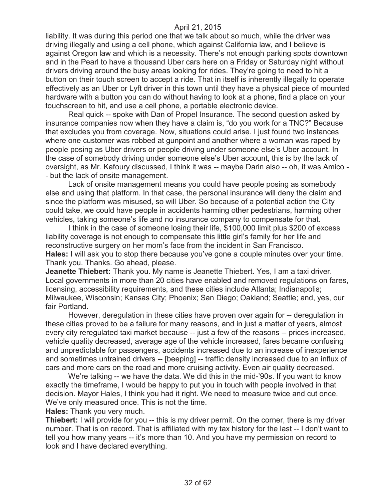liability. It was during this period one that we talk about so much, while the driver was driving illegally and using a cell phone, which against California law, and I believe is against Oregon law and which is a necessity. There's not enough parking spots downtown and in the Pearl to have a thousand Uber cars here on a Friday or Saturday night without drivers driving around the busy areas looking for rides. They're going to need to hit a button on their touch screen to accept a ride. That in itself is inherently illegally to operate effectively as an Uber or Lyft driver in this town until they have a physical piece of mounted hardware with a button you can do without having to look at a phone, find a place on your touchscreen to hit, and use a cell phone, a portable electronic device.

Real quick -- spoke with Dan of Propel Insurance. The second question asked by insurance companies now when they have a claim is, "do you work for a TNC?" Because that excludes you from coverage. Now, situations could arise. I just found two instances where one customer was robbed at gunpoint and another where a woman was raped by people posing as Uber drivers or people driving under someone else's Uber account. In the case of somebody driving under someone else's Uber account, this is by the lack of oversight, as Mr. Kafoury discussed, I think it was -- maybe Darin also -- oh, it was Amico - - but the lack of onsite management.

Lack of onsite management means you could have people posing as somebody else and using that platform. In that case, the personal insurance will deny the claim and since the platform was misused, so will Uber. So because of a potential action the City could take, we could have people in accidents harming other pedestrians, harming other vehicles, taking someone's life and no insurance company to compensate for that.

I think in the case of someone losing their life, \$100,000 limit plus \$200 of excess liability coverage is not enough to compensate this little girl's family for her life and reconstructive surgery on her mom's face from the incident in San Francisco. **Hales:** I will ask you to stop there because you've gone a couple minutes over your time. Thank you. Thanks. Go ahead, please.

**Jeanette Thiebert:** Thank you. My name is Jeanette Thiebert. Yes, I am a taxi driver. Local governments in more than 20 cities have enabled and removed regulations on fares, licensing, accessibility requirements, and these cities include Atlanta; Indianapolis; Milwaukee, Wisconsin; Kansas City; Phoenix; San Diego; Oakland; Seattle; and, yes, our fair Portland.

However, deregulation in these cities have proven over again for -- deregulation in these cities proved to be a failure for many reasons, and in just a matter of years, almost every city reregulated taxi market because -- just a few of the reasons -- prices increased, vehicle quality decreased, average age of the vehicle increased, fares became confusing and unpredictable for passengers, accidents increased due to an increase of inexperience and sometimes untrained drivers -- [beeping] -- traffic density increased due to an influx of cars and more cars on the road and more cruising activity. Even air quality decreased.

We're talking -- we have the data. We did this in the mid-'90s. If you want to know exactly the timeframe, I would be happy to put you in touch with people involved in that decision. Mayor Hales, I think you had it right. We need to measure twice and cut once. We've only measured once. This is not the time.

**Hales:** Thank you very much.

**Thiebert:** I will provide for you -- this is my driver permit. On the corner, there is my driver number. That is on record. That is affiliated with my tax history for the last -- I don't want to tell you how many years -- it's more than 10. And you have my permission on record to look and I have declared everything.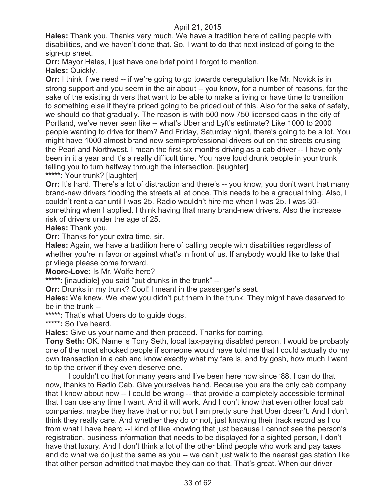**Hales:** Thank you. Thanks very much. We have a tradition here of calling people with disabilities, and we haven't done that. So, I want to do that next instead of going to the sign-up sheet.

**Orr:** Mayor Hales, I just have one brief point I forgot to mention.

**Hales:** Quickly.

**Orr:** I think if we need -- if we're going to go towards deregulation like Mr. Novick is in strong support and you seem in the air about -- you know, for a number of reasons, for the sake of the existing drivers that want to be able to make a living or have time to transition to something else if they're priced going to be priced out of this. Also for the sake of safety, we should do that gradually. The reason is with 500 now 750 licensed cabs in the city of Portland, we've never seen like -- what's Uber and Lyft's estimate? Like 1000 to 2000 people wanting to drive for them? And Friday, Saturday night, there's going to be a lot. You might have 1000 almost brand new semi=professional drivers out on the streets cruising the Pearl and Northwest. I mean the first six months driving as a cab driver -- I have only been in it a year and it's a really difficult time. You have loud drunk people in your trunk telling you to turn halfway through the intersection. [laughter]

**\*\*\*\*\*:** Your trunk? [laughter]

**Orr:** It's hard. There's a lot of distraction and there's -- you know, you don't want that many brand-new drivers flooding the streets all at once. This needs to be a gradual thing. Also, I couldn't rent a car until I was 25. Radio wouldn't hire me when I was 25. I was 30 something when I applied. I think having that many brand-new drivers. Also the increase risk of drivers under the age of 25.

**Hales:** Thank you.

**Orr:** Thanks for your extra time, sir.

**Hales:** Again, we have a tradition here of calling people with disabilities regardless of whether you're in favor or against what's in front of us. If anybody would like to take that privilege please come forward.

**Moore-Love:** Is Mr. Wolfe here?

**\*\*\*\*\*:** [inaudible] you said "put drunks in the trunk" --

**Orr:** Drunks in my trunk? Cool! I meant in the passenger's seat.

**Hales:** We knew. We knew you didn't put them in the trunk. They might have deserved to be in the trunk --

**\*\*\*\*\*:** That's what Ubers do to guide dogs.

**\*\*\*\*\*:** So I've heard.

**Hales:** Give us your name and then proceed. Thanks for coming.

**Tony Seth:** OK. Name is Tony Seth, local tax-paying disabled person. I would be probably one of the most shocked people if someone would have told me that I could actually do my own transaction in a cab and know exactly what my fare is, and by gosh, how much I want to tip the driver if they even deserve one.

I couldn't do that for many years and I've been here now since '88. I can do that now, thanks to Radio Cab. Give yourselves hand. Because you are the only cab company that I know about now -- I could be wrong -- that provide a completely accessible terminal that I can use any time I want. And it will work. And I don't know that even other local cab companies, maybe they have that or not but I am pretty sure that Uber doesn't. And I don't think they really care. And whether they do or not, just knowing their track record as I do from what I have heard --I kind of like knowing that just because I cannot see the person's registration, business information that needs to be displayed for a sighted person, I don't have that luxury. And I don't think a lot of the other blind people who work and pay taxes and do what we do just the same as you -- we can't just walk to the nearest gas station like that other person admitted that maybe they can do that. That's great. When our driver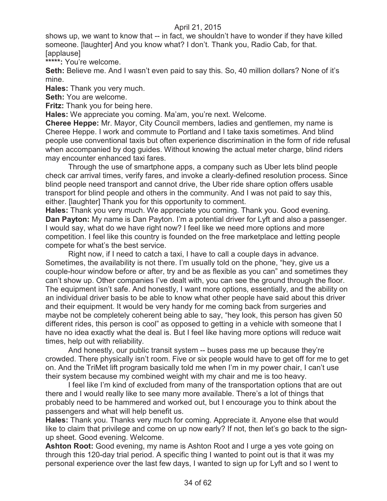shows up, we want to know that -- in fact, we shouldn't have to wonder if they have killed someone. [laughter] And you know what? I don't. Thank you, Radio Cab, for that. [applause]

**\*\*\*\*\*:** You're welcome.

**Seth:** Believe me. And I wasn't even paid to say this. So, 40 million dollars? None of it's mine.

**Hales:** Thank you very much.

**Seth:** You are welcome.

**Fritz:** Thank you for being here.

**Hales:** We appreciate you coming. Ma'am, you're next. Welcome.

**Cheree Heppe:** Mr. Mayor, City Council members, ladies and gentlemen, my name is Cheree Heppe. I work and commute to Portland and I take taxis sometimes. And blind people use conventional taxis but often experience discrimination in the form of ride refusal when accompanied by dog guides. Without knowing the actual meter charge, blind riders may encounter enhanced taxi fares.

Through the use of smartphone apps, a company such as Uber lets blind people check car arrival times, verify fares, and invoke a clearly-defined resolution process. Since blind people need transport and cannot drive, the Uber ride share option offers usable transport for blind people and others in the community. And I was not paid to say this, either. [laughter] Thank you for this opportunity to comment.

**Hales:** Thank you very much. We appreciate you coming. Thank you. Good evening. **Dan Payton:** My name is Dan Payton. I'm a potential driver for Lyft and also a passenger. I would say, what do we have right now? I feel like we need more options and more competition. I feel like this country is founded on the free marketplace and letting people compete for what's the best service.

Right now, if I need to catch a taxi, I have to call a couple days in advance. Sometimes, the availability is not there. I'm usually told on the phone, "hey, give us a couple-hour window before or after, try and be as flexible as you can" and sometimes they can't show up. Other companies I've dealt with, you can see the ground through the floor. The equipment isn't safe. And honestly, I want more options, essentially, and the ability on an individual driver basis to be able to know what other people have said about this driver and their equipment. It would be very handy for me coming back from surgeries and maybe not be completely coherent being able to say, "hey look, this person has given 50 different rides, this person is cool" as opposed to getting in a vehicle with someone that I have no idea exactly what the deal is. But I feel like having more options will reduce wait times, help out with reliability.

And honestly, our public transit system -- buses pass me up because they're crowded. There physically isn't room. Five or six people would have to get off for me to get on. And the TriMet lift program basically told me when I'm in my power chair, I can't use their system because my combined weight with my chair and me is too heavy.

I feel like I'm kind of excluded from many of the transportation options that are out there and I would really like to see many more available. There's a lot of things that probably need to be hammered and worked out, but I encourage you to think about the passengers and what will help benefit us.

**Hales:** Thank you. Thanks very much for coming. Appreciate it. Anyone else that would like to claim that privilege and come on up now early? If not, then let's go back to the signup sheet. Good evening. Welcome.

**Ashton Root:** Good evening, my name is Ashton Root and I urge a yes vote going on through this 120-day trial period. A specific thing I wanted to point out is that it was my personal experience over the last few days, I wanted to sign up for Lyft and so I went to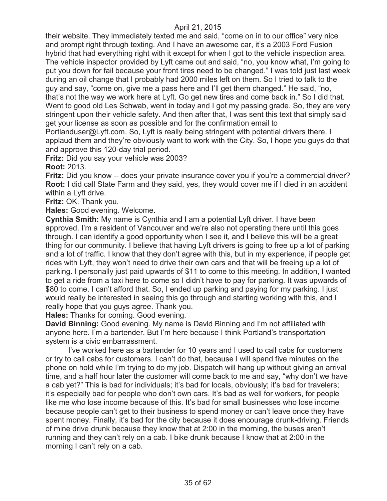their website. They immediately texted me and said, "come on in to our office" very nice and prompt right through texting. And I have an awesome car, it's a 2003 Ford Fusion hybrid that had everything right with it except for when I got to the vehicle inspection area. The vehicle inspector provided by Lyft came out and said, "no, you know what, I'm going to put you down for fail because your front tires need to be changed." I was told just last week during an oil change that I probably had 2000 miles left on them. So I tried to talk to the guy and say, "come on, give me a pass here and I'll get them changed." He said, "no, that's not the way we work here at Lyft. Go get new tires and come back in." So I did that. Went to good old Les Schwab, went in today and I got my passing grade. So, they are very stringent upon their vehicle safety. And then after that, I was sent this text that simply said get your license as soon as possible and for the confirmation email to

Portlanduser@Lyft.com. So, Lyft is really being stringent with potential drivers there. I applaud them and they're obviously want to work with the City. So, I hope you guys do that and approve this 120-day trial period.

**Fritz:** Did you say your vehicle was 2003?

**Root:** 2013.

**Fritz:** Did you know -- does your private insurance cover you if you're a commercial driver? **Root:** I did call State Farm and they said, yes, they would cover me if I died in an accident within a Lyft drive.

**Fritz:** OK. Thank you.

**Hales:** Good evening. Welcome.

**Cynthia Smith:** My name is Cynthia and I am a potential Lyft driver. I have been approved. I'm a resident of Vancouver and we're also not operating there until this goes through. I can identify a good opportunity when I see it, and I believe this will be a great thing for our community. I believe that having Lyft drivers is going to free up a lot of parking and a lot of traffic. I know that they don't agree with this, but in my experience, if people get rides with Lyft, they won't need to drive their own cars and that will be freeing up a lot of parking. I personally just paid upwards of \$11 to come to this meeting. In addition, I wanted to get a ride from a taxi here to come so I didn't have to pay for parking. It was upwards of \$80 to come. I can't afford that. So, I ended up parking and paying for my parking. I just would really be interested in seeing this go through and starting working with this, and I really hope that you guys agree. Thank you.

**Hales:** Thanks for coming. Good evening.

**David Binning:** Good evening. My name is David Binning and I'm not affiliated with anyone here. I'm a bartender. But I'm here because I think Portland's transportation system is a civic embarrassment.

I've worked here as a bartender for 10 years and I used to call cabs for customers or try to call cabs for customers. I can't do that, because I will spend five minutes on the phone on hold while I'm trying to do my job. Dispatch will hang up without giving an arrival time, and a half hour later the customer will come back to me and say, "why don't we have a cab yet?" This is bad for individuals; it's bad for locals, obviously; it's bad for travelers; it's especially bad for people who don't own cars. It's bad as well for workers, for people like me who lose income because of this. It's bad for small businesses who lose income because people can't get to their business to spend money or can't leave once they have spent money. Finally, it's bad for the city because it does encourage drunk-driving. Friends of mine drive drunk because they know that at 2:00 in the morning, the buses aren't running and they can't rely on a cab. I bike drunk because I know that at 2:00 in the morning I can't rely on a cab.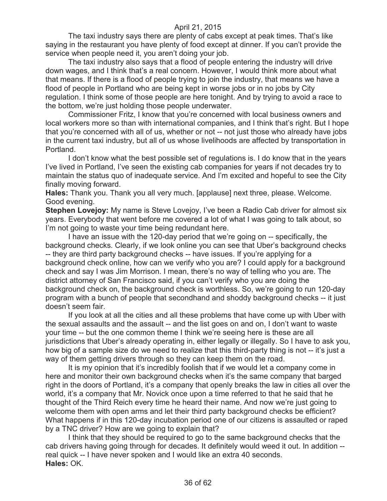The taxi industry says there are plenty of cabs except at peak times. That's like saying in the restaurant you have plenty of food except at dinner. If you can't provide the service when people need it, you aren't doing your job.

The taxi industry also says that a flood of people entering the industry will drive down wages, and I think that's a real concern. However, I would think more about what that means. If there is a flood of people trying to join the industry, that means we have a flood of people in Portland who are being kept in worse jobs or in no jobs by City regulation. I think some of those people are here tonight. And by trying to avoid a race to the bottom, we're just holding those people underwater.

Commissioner Fritz, I know that you're concerned with local business owners and local workers more so than with international companies, and I think that's right. But I hope that you're concerned with all of us, whether or not -- not just those who already have jobs in the current taxi industry, but all of us whose livelihoods are affected by transportation in Portland.

I don't know what the best possible set of regulations is. I do know that in the years I've lived in Portland, I've seen the existing cab companies for years if not decades try to maintain the status quo of inadequate service. And I'm excited and hopeful to see the City finally moving forward.

**Hales:** Thank you. Thank you all very much. [applause] next three, please. Welcome. Good evening.

**Stephen Lovejoy:** My name is Steve Lovejoy, I've been a Radio Cab driver for almost six years. Everybody that went before me covered a lot of what I was going to talk about, so I'm not going to waste your time being redundant here.

I have an issue with the 120-day period that we're going on -- specifically, the background checks. Clearly, if we look online you can see that Uber's background checks -- they are third party background checks -- have issues. If you're applying for a background check online, how can we verify who you are? I could apply for a background check and say I was Jim Morrison. I mean, there's no way of telling who you are. The district attorney of San Francisco said, if you can't verify who you are doing the background check on, the background check is worthless. So, we're going to run 120-day program with a bunch of people that secondhand and shoddy background checks -- it just doesn't seem fair.

If you look at all the cities and all these problems that have come up with Uber with the sexual assaults and the assault -- and the list goes on and on, I don't want to waste your time -- but the one common theme I think we're seeing here is these are all jurisdictions that Uber's already operating in, either legally or illegally. So I have to ask you, how big of a sample size do we need to realize that this third-party thing is not -- it's just a way of them getting drivers through so they can keep them on the road.

It is my opinion that it's incredibly foolish that if we would let a company come in here and monitor their own background checks when it's the same company that barged right in the doors of Portland, it's a company that openly breaks the law in cities all over the world, it's a company that Mr. Novick once upon a time referred to that he said that he thought of the Third Reich every time he heard their name. And now we're just going to welcome them with open arms and let their third party background checks be efficient? What happens if in this 120-day incubation period one of our citizens is assaulted or raped by a TNC driver? How are we going to explain that?

I think that they should be required to go to the same background checks that the cab drivers having going through for decades. It definitely would weed it out. In addition - real quick -- I have never spoken and I would like an extra 40 seconds. **Hales:** OK.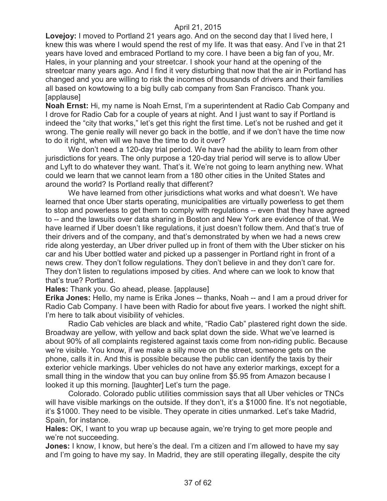**Lovejoy:** I moved to Portland 21 years ago. And on the second day that I lived here, I knew this was where I would spend the rest of my life. It was that easy. And I've in that 21 years have loved and embraced Portland to my core. I have been a big fan of you, Mr. Hales, in your planning and your streetcar. I shook your hand at the opening of the streetcar many years ago. And I find it very disturbing that now that the air in Portland has changed and you are willing to risk the incomes of thousands of drivers and their families all based on kowtowing to a big bully cab company from San Francisco. Thank you. [applause]

**Noah Ernst:** Hi, my name is Noah Ernst, I'm a superintendent at Radio Cab Company and I drove for Radio Cab for a couple of years at night. And I just want to say if Portland is indeed the "city that works," let's get this right the first time. Let's not be rushed and get it wrong. The genie really will never go back in the bottle, and if we don't have the time now to do it right, when will we have the time to do it over?

We don't need a 120-day trial period. We have had the ability to learn from other jurisdictions for years. The only purpose a 120-day trial period will serve is to allow Uber and Lyft to do whatever they want. That's it. We're not going to learn anything new. What could we learn that we cannot learn from a 180 other cities in the United States and around the world? Is Portland really that different?

We have learned from other jurisdictions what works and what doesn't. We have learned that once Uber starts operating, municipalities are virtually powerless to get them to stop and powerless to get them to comply with regulations -- even that they have agreed to -- and the lawsuits over data sharing in Boston and New York are evidence of that. We have learned if Uber doesn't like regulations, it just doesn't follow them. And that's true of their drivers and of the company, and that's demonstrated by when we had a news crew ride along yesterday, an Uber driver pulled up in front of them with the Uber sticker on his car and his Uber bottled water and picked up a passenger in Portland right in front of a news crew. They don't follow regulations. They don't believe in and they don't care for. They don't listen to regulations imposed by cities. And where can we look to know that that's true? Portland.

**Hales:** Thank you. Go ahead, please. [applause]

**Erika Jones:** Hello, my name is Erika Jones -- thanks, Noah -- and I am a proud driver for Radio Cab Company. I have been with Radio for about five years. I worked the night shift. I'm here to talk about visibility of vehicles.

Radio Cab vehicles are black and white, "Radio Cab" plastered right down the side. Broadway are yellow, with yellow and back splat down the side. What we've learned is about 90% of all complaints registered against taxis come from non-riding public. Because we're visible. You know, if we make a silly move on the street, someone gets on the phone, calls it in. And this is possible because the public can identify the taxis by their exterior vehicle markings. Uber vehicles do not have any exterior markings, except for a small thing in the window that you can buy online from \$5.95 from Amazon because I looked it up this morning. [laughter] Let's turn the page.

Colorado. Colorado public utilities commission says that all Uber vehicles or TNCs will have visible markings on the outside. If they don't, it's a \$1000 fine. It's not negotiable, it's \$1000. They need to be visible. They operate in cities unmarked. Let's take Madrid, Spain, for instance.

**Hales:** OK, I want to you wrap up because again, we're trying to get more people and we're not succeeding.

**Jones:** I know, I know, but here's the deal. I'm a citizen and I'm allowed to have my say and I'm going to have my say. In Madrid, they are still operating illegally, despite the city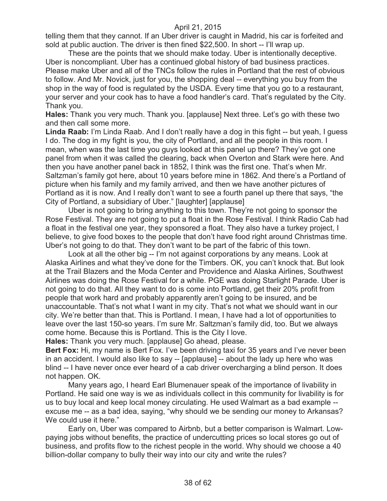telling them that they cannot. If an Uber driver is caught in Madrid, his car is forfeited and sold at public auction. The driver is then fined \$22,500. In short -- I'll wrap up.

These are the points that we should make today. Uber is intentionally deceptive. Uber is noncompliant. Uber has a continued global history of bad business practices. Please make Uber and all of the TNCs follow the rules in Portland that the rest of obvious to follow. And Mr. Novick, just for you, the shopping deal -- everything you buy from the shop in the way of food is regulated by the USDA. Every time that you go to a restaurant, your server and your cook has to have a food handler's card. That's regulated by the City. Thank you.

**Hales:** Thank you very much. Thank you. [applause] Next three. Let's go with these two and then call some more.

**Linda Raab:** I'm Linda Raab. And I don't really have a dog in this fight -- but yeah, I guess I do. The dog in my fight is you, the city of Portland, and all the people in this room. I mean, when was the last time you guys looked at this panel up there? They've got one panel from when it was called the clearing, back when Overton and Stark were here. And then you have another panel back in 1852, I think was the first one. That's when Mr. Saltzman's family got here, about 10 years before mine in 1862. And there's a Portland of picture when his family and my family arrived, and then we have another pictures of Portland as it is now. And I really don't want to see a fourth panel up there that says, "the City of Portland, a subsidiary of Uber." [laughter] [applause]

Uber is not going to bring anything to this town. They're not going to sponsor the Rose Festival. They are not going to put a float in the Rose Festival. I think Radio Cab had a float in the festival one year, they sponsored a float. They also have a turkey project, I believe, to give food boxes to the people that don't have food right around Christmas time. Uber's not going to do that. They don't want to be part of the fabric of this town.

Look at all the other big -- I'm not against corporations by any means. Look at Alaska Airlines and what they've done for the Timbers. OK, you can't knock that. But look at the Trail Blazers and the Moda Center and Providence and Alaska Airlines, Southwest Airlines was doing the Rose Festival for a while. PGE was doing Starlight Parade. Uber is not going to do that. All they want to do is come into Portland, get their 20% profit from people that work hard and probably apparently aren't going to be insured, and be unaccountable. That's not what I want in my city. That's not what we should want in our city. We're better than that. This is Portland. I mean, I have had a lot of opportunities to leave over the last 150-so years. I'm sure Mr. Saltzman's family did, too. But we always come home. Because this is Portland. This is the City I love.

**Hales:** Thank you very much. [applause] Go ahead, please.

**Bert Fox:** Hi, my name is Bert Fox. I've been driving taxi for 35 years and I've never been in an accident. I would also like to say -- [applause] -- about the lady up here who was blind -- I have never once ever heard of a cab driver overcharging a blind person. It does not happen. OK.

Many years ago, I heard Earl Blumenauer speak of the importance of livability in Portland. He said one way is we as individuals collect in this community for livability is for us to buy local and keep local money circulating. He used Walmart as a bad example - excuse me -- as a bad idea, saying, "why should we be sending our money to Arkansas? We could use it here."

Early on, Uber was compared to Airbnb, but a better comparison is Walmart. Lowpaying jobs without benefits, the practice of undercutting prices so local stores go out of business, and profits flow to the richest people in the world. Why should we choose a 40 billion-dollar company to bully their way into our city and write the rules?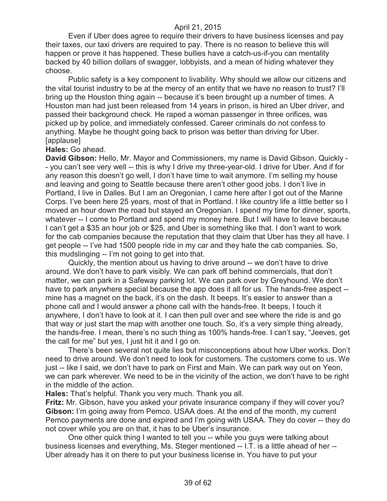Even if Uber does agree to require their drivers to have business licenses and pay their taxes, our taxi drivers are required to pay. There is no reason to believe this will happen or prove it has happened. These bullies have a catch-us-if-you can mentality backed by 40 billion dollars of swagger, lobbyists, and a mean of hiding whatever they choose.

Public safety is a key component to livability. Why should we allow our citizens and the vital tourist industry to be at the mercy of an entity that we have no reason to trust? I'll bring up the Houston thing again -- because it's been brought up a number of times. A Houston man had just been released from 14 years in prison, is hired an Uber driver, and passed their background check. He raped a woman passenger in three orifices, was picked up by police, and immediately confessed. Career criminals do not confess to anything. Maybe he thought going back to prison was better than driving for Uber. [applause]

#### **Hales:** Go ahead.

**David Gibson:** Hello, Mr. Mayor and Commissioners, my name is David Gibson. Quickly - - you can't see very well -- this is why I drive my three-year-old. I drive for Uber. And if for any reason this doesn't go well, I don't have time to wait anymore. I'm selling my house and leaving and going to Seattle because there aren't other good jobs. I don't live in Portland, I live in Dalles. But I am an Oregonian, I came here after I got out of the Marine Corps. I've been here 25 years, most of that in Portland. I like country life a little better so I moved an hour down the road but stayed an Oregonian. I spend my time for dinner, sports, whatever -- I come to Portland and spend my money here. But I will have to leave because I can't get a \$35 an hour job or \$25, and Uber is something like that. I don't want to work for the cab companies because the reputation that they claim that Uber has they all have. I get people -- I've had 1500 people ride in my car and they hate the cab companies. So, this mudslinging -- I'm not going to get into that.

Quickly, the mention about us having to drive around -- we don't have to drive around. We don't have to park visibly. We can park off behind commercials, that don't matter, we can park in a Safeway parking lot. We can park over by Greyhound. We don't have to park anywhere special because the app does it all for us. The hands-free aspect - mine has a magnet on the back, it's on the dash. It beeps. It's easier to answer than a phone call and I would answer a phone call with the hands-free. It beeps, I touch it anywhere, I don't have to look at it. I can then pull over and see where the ride is and go that way or just start the map with another one touch. So, it's a very simple thing already, the hands-free. I mean, there's no such thing as 100% hands-free. I can't say, "Jeeves, get the call for me" but yes, I just hit it and I go on.

There's been several not quite lies but misconceptions about how Uber works. Don't need to drive around. We don't need to look for customers. The customers come to us. We just -- like I said, we don't have to park on First and Main. We can park way out on Yeon, we can park wherever. We need to be in the vicinity of the action, we don't have to be right in the middle of the action.

**Hales:** That's helpful. Thank you very much. Thank you all.

**Fritz:** Mr. Gibson, have you asked your private insurance company if they will cover you? **Gibson:** I'm going away from Pemco. USAA does. At the end of the month, my current Pemco payments are done and expired and I'm going with USAA. They do cover -- they do not cover while you are on that, it has to be Uber's insurance.

One other quick thing I wanted to tell you -- while you guys were talking about business licenses and everything, Ms. Steger mentioned -- I.T. is a little ahead of her -- Uber already has it on there to put your business license in. You have to put your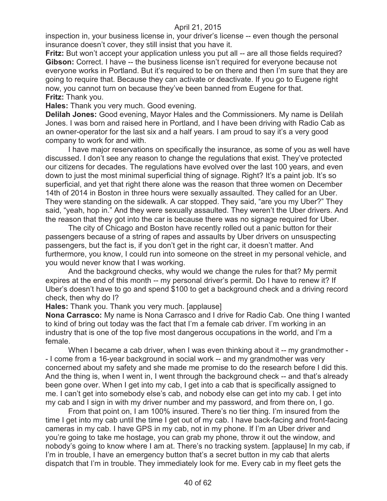inspection in, your business license in, your driver's license -- even though the personal insurance doesn't cover, they still insist that you have it.

**Fritz:** But won't accept your application unless you put all -- are all those fields required? **Gibson:** Correct. I have -- the business license isn't required for everyone because not everyone works in Portland. But it's required to be on there and then I'm sure that they are going to require that. Because they can activate or deactivate. If you go to Eugene right now, you cannot turn on because they've been banned from Eugene for that. **Fritz:** Thank you.

**Hales:** Thank you very much. Good evening.

**Delilah Jones:** Good evening, Mayor Hales and the Commissioners. My name is Delilah Jones. I was born and raised here in Portland, and I have been driving with Radio Cab as an owner-operator for the last six and a half years. I am proud to say it's a very good company to work for and with.

I have major reservations on specifically the insurance, as some of you as well have discussed. I don't see any reason to change the regulations that exist. They've protected our citizens for decades. The regulations have evolved over the last 100 years, and even down to just the most minimal superficial thing of signage. Right? It's a paint job. It's so superficial, and yet that right there alone was the reason that three women on December 14th of 2014 in Boston in three hours were sexually assaulted. They called for an Uber. They were standing on the sidewalk. A car stopped. They said, "are you my Uber?" They said, "yeah, hop in." And they were sexually assaulted. They weren't the Uber drivers. And the reason that they got into the car is because there was no signage required for Uber.

The city of Chicago and Boston have recently rolled out a panic button for their passengers because of a string of rapes and assaults by Uber drivers on unsuspecting passengers, but the fact is, if you don't get in the right car, it doesn't matter. And furthermore, you know, I could run into someone on the street in my personal vehicle, and you would never know that I was working.

And the background checks, why would we change the rules for that? My permit expires at the end of this month -- my personal driver's permit. Do I have to renew it? If Uber's doesn't have to go and spend \$100 to get a background check and a driving record check, then why do I?

**Hales:** Thank you. Thank you very much. [applause]

**Nona Carrasco:** My name is Nona Carrasco and I drive for Radio Cab. One thing I wanted to kind of bring out today was the fact that I'm a female cab driver. I'm working in an industry that is one of the top five most dangerous occupations in the world, and I'm a female.

When I became a cab driver, when I was even thinking about it -- my grandmother -- I come from a 16-year background in social work -- and my grandmother was very concerned about my safety and she made me promise to do the research before I did this. And the thing is, when I went in, I went through the background check -- and that's already been gone over. When I get into my cab, I get into a cab that is specifically assigned to me. I can't get into somebody else's cab, and nobody else can get into my cab. I get into my cab and I sign in with my driver number and my password, and from there on, I go.

From that point on, I am 100% insured. There's no tier thing. I'm insured from the time I get into my cab until the time I get out of my cab. I have back-facing and front-facing cameras in my cab. I have GPS in my cab, not in my phone. If I'm an Uber driver and you're going to take me hostage, you can grab my phone, throw it out the window, and nobody's going to know where I am at. There's no tracking system. [applause] In my cab, if I'm in trouble, I have an emergency button that's a secret button in my cab that alerts dispatch that I'm in trouble. They immediately look for me. Every cab in my fleet gets the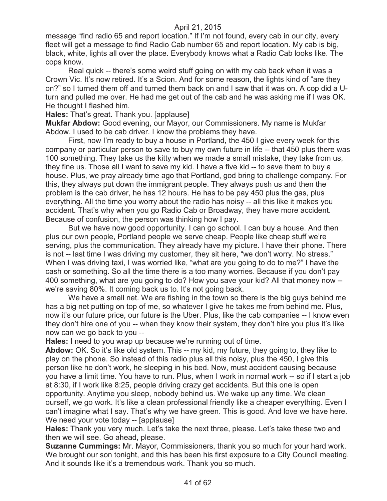message "find radio 65 and report location." If I'm not found, every cab in our city, every fleet will get a message to find Radio Cab number 65 and report location. My cab is big, black, white, lights all over the place. Everybody knows what a Radio Cab looks like. The cops know.

Real quick -- there's some weird stuff going on with my cab back when it was a Crown Vic. It's now retired. It's a Scion. And for some reason, the lights kind of "are they on?" so I turned them off and turned them back on and I saw that it was on. A cop did a Uturn and pulled me over. He had me get out of the cab and he was asking me if I was OK. He thought I flashed him.

**Hales:** That's great. Thank you. [applause]

**Mukfar Abdow:** Good evening, our Mayor, our Commissioners. My name is Mukfar Abdow. I used to be cab driver. I know the problems they have.

First, now I'm ready to buy a house in Portland, the 450 I give every week for this company or particular person to save to buy my own future in life -- that 450 plus there was 100 something. They take us the kitty when we made a small mistake, they take from us, they fine us. Those all I want to save my kid. I have a five kid -- to save them to buy a house. Plus, we pray already time ago that Portland, god bring to challenge company. For this, they always put down the immigrant people. They always push us and then the problem is the cab driver, he has 12 hours. He has to be pay 450 plus the gas, plus everything. All the time you worry about the radio has noisy -- all this like it makes you accident. That's why when you go Radio Cab or Broadway, they have more accident. Because of confusion, the person was thinking how I pay.

But we have now good opportunity. I can go school. I can buy a house. And then plus our own people, Portland people we serve cheap. People like cheap stuff we're serving, plus the communication. They already have my picture. I have their phone. There is not -- last time I was driving my customer, they sit here, "we don't worry. No stress." When I was driving taxi, I was worried like, "what are you going to do to me?" I have the cash or something. So all the time there is a too many worries. Because if you don't pay 400 something, what are you going to do? How you save your kid? All that money now - we're saving 80%. It coming back us to. It's not going back.

We have a small net. We are fishing in the town so there is the big guys behind me has a big net putting on top of me, so whatever I give he takes me from behind me. Plus, now it's our future price, our future is the Uber. Plus, like the cab companies -- I know even they don't hire one of you -- when they know their system, they don't hire you plus it's like now can we go back to you --

**Hales:** I need to you wrap up because we're running out of time.

**Abdow:** OK. So it's like old system. This -- my kid, my future, they going to, they like to play on the phone. So instead of this radio plus all this noisy, plus the 450, I give this person like he don't work, he sleeping in his bed. Now, must accident causing because you have a limit time. You have to run. Plus, when I work in normal work -- so if I start a job at 8:30, if I work like 8:25, people driving crazy get accidents. But this one is open opportunity. Anytime you sleep, nobody behind us. We wake up any time. We clean ourself, we go work. It's like a clean professional friendly like a cheaper everything. Even I can't imagine what I say. That's why we have green. This is good. And love we have here. We need your vote today -- [applause]

**Hales:** Thank you very much. Let's take the next three, please. Let's take these two and then we will see. Go ahead, please.

**Suzanne Cummings:** Mr. Mayor, Commissioners, thank you so much for your hard work. We brought our son tonight, and this has been his first exposure to a City Council meeting. And it sounds like it's a tremendous work. Thank you so much.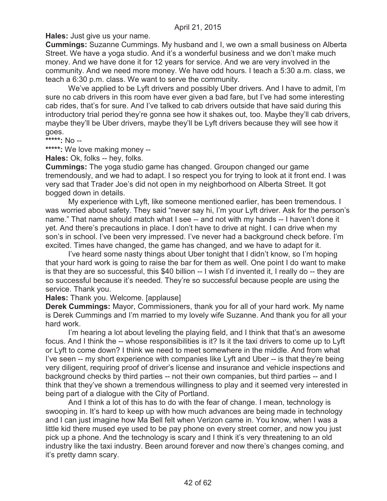**Hales:** Just give us your name.

**Cummings:** Suzanne Cummings. My husband and I, we own a small business on Alberta Street. We have a yoga studio. And it's a wonderful business and we don't make much money. And we have done it for 12 years for service. And we are very involved in the community. And we need more money. We have odd hours. I teach a 5:30 a.m. class, we teach a 6:30 p.m. class. We want to serve the community.

We've applied to be Lyft drivers and possibly Uber drivers. And I have to admit, I'm sure no cab drivers in this room have ever given a bad fare, but I've had some interesting cab rides, that's for sure. And I've talked to cab drivers outside that have said during this introductory trial period they're gonna see how it shakes out, too. Maybe they'll cab drivers, maybe they'll be Uber drivers, maybe they'll be Lyft drivers because they will see how it goes.

**\*\*\*\*\*:** No --

**\*\*\*\*\*:** We love making money --

**Hales:** Ok, folks -- hey, folks.

**Cummings:** The yoga studio game has changed. Groupon changed our game tremendously, and we had to adapt. I so respect you for trying to look at it front end. I was very sad that Trader Joe's did not open in my neighborhood on Alberta Street. It got bogged down in details.

My experience with Lyft, like someone mentioned earlier, has been tremendous. I was worried about safety. They said "never say hi, I'm your Lyft driver. Ask for the person's name." That name should match what I see -- and not with my hands -- I haven't done it yet. And there's precautions in place. I don't have to drive at night. I can drive when my son's in school. I've been very impressed. I've never had a background check before. I'm excited. Times have changed, the game has changed, and we have to adapt for it.

I've heard some nasty things about Uber tonight that I didn't know, so I'm hoping that your hard work is going to raise the bar for them as well. One point I do want to make is that they are so successful, this \$40 billion -- I wish I'd invented it, I really do -- they are so successful because it's needed. They're so successful because people are using the service. Thank you.

**Hales:** Thank you. Welcome. [applause]

**Derek Cummings:** Mayor, Commissioners, thank you for all of your hard work. My name is Derek Cummings and I'm married to my lovely wife Suzanne. And thank you for all your hard work.

I'm hearing a lot about leveling the playing field, and I think that that's an awesome focus. And I think the -- whose responsibilities is it? Is it the taxi drivers to come up to Lyft or Lyft to come down? I think we need to meet somewhere in the middle. And from what I've seen -- my short experience with companies like Lyft and Uber -- is that they're being very diligent, requiring proof of driver's license and insurance and vehicle inspections and background checks by third parties -- not their own companies, but third parties -- and I think that they've shown a tremendous willingness to play and it seemed very interested in being part of a dialogue with the City of Portland.

And I think a lot of this has to do with the fear of change. I mean, technology is swooping in. It's hard to keep up with how much advances are being made in technology and I can just imagine how Ma Bell felt when Verizon came in. You know, when I was a little kid there mused eye used to be pay phone on every street corner, and now you just pick up a phone. And the technology is scary and I think it's very threatening to an old industry like the taxi industry. Been around forever and now there's changes coming, and it's pretty damn scary.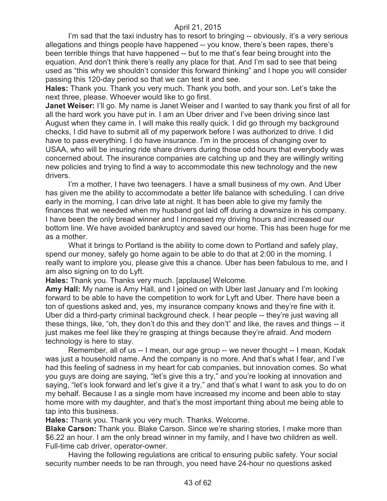I'm sad that the taxi industry has to resort to bringing -- obviously, it's a very serious allegations and things people have happened -- you know, there's been rapes, there's been terrible things that have happened -- but to me that's fear being brought into the equation. And don't think there's really any place for that. And I'm sad to see that being used as "this why we shouldn't consider this forward thinking" and I hope you will consider passing this 120-day period so that we can test it and see.

**Hales:** Thank you. Thank you very much. Thank you both, and your son. Let's take the next three, please. Whoever would like to go first.

**Janet Weiser:** I'll go. My name is Janet Weiser and I wanted to say thank you first of all for all the hard work you have put in. I am an Uber driver and I've been driving since last August when they came in. I will make this really quick. I did go through my background checks, I did have to submit all of my paperwork before I was authorized to drive. I did have to pass everything. I do have insurance. I'm in the process of changing over to USAA, who will be insuring ride share drivers during those odd hours that everybody was concerned about. The insurance companies are catching up and they are willingly writing new policies and trying to find a way to accommodate this new technology and the new drivers.

I'm a mother, I have two teenagers. I have a small business of my own. And Uber has given me the ability to accommodate a better life balance with scheduling. I can drive early in the morning, I can drive late at night. It has been able to give my family the finances that we needed when my husband got laid off during a downsize in his company. I have been the only bread winner and I increased my driving hours and increased our bottom line. We have avoided bankruptcy and saved our home. This has been huge for me as a mother.

What it brings to Portland is the ability to come down to Portland and safely play, spend our money, safely go home again to be able to do that at 2:00 in the morning. I really want to implore you, please give this a chance. Uber has been fabulous to me, and I am also signing on to do Lyft.

**Hales:** Thank you. Thanks very much. [applause] Welcome.

**Amy Hall:** My name is Amy Hall, and I joined on with Uber last January and I'm looking forward to be able to have the competition to work for Lyft and Uber. There have been a ton of questions asked and, yes, my insurance company knows and they're fine with it. Uber did a third-party criminal background check. I hear people -- they're just waving all these things, like, "oh, they don't do this and they don't" and like, the raves and things -- it just makes me feel like they're grasping at things because they're afraid. And modern technology is here to stay.

Remember, all of us -- I mean, our age group -- we never thought -- I mean, Kodak was just a household name. And the company is no more. And that's what I fear, and I've had this feeling of sadness in my heart for cab companies, but innovation comes. So what you guys are doing are saying, "let's give this a try," and you're looking at innovation and saying, "let's look forward and let's give it a try," and that's what I want to ask you to do on my behalf. Because I as a single mom have increased my income and been able to stay home more with my daughter, and that's the most important thing about me being able to tap into this business.

**Hales:** Thank you. Thank you very much. Thanks. Welcome.

**Blake Carson:** Thank you. Blake Carson. Since we're sharing stories, I make more than \$6.22 an hour. I am the only bread winner in my family, and I have two children as well. Full-time cab driver, operator-owner.

Having the following regulations are critical to ensuring public safety. Your social security number needs to be ran through, you need have 24-hour no questions asked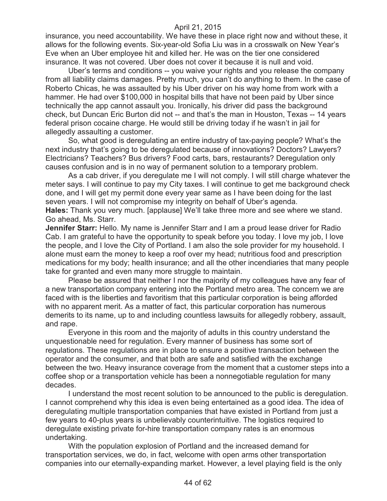insurance, you need accountability. We have these in place right now and without these, it allows for the following events. Six-year-old Sofia Liu was in a crosswalk on New Year's Eve when an Uber employee hit and killed her. He was on the tier one considered insurance. It was not covered. Uber does not cover it because it is null and void.

Uber's terms and conditions -- you waive your rights and you release the company from all liability claims damages. Pretty much, you can't do anything to them. In the case of Roberto Chicas, he was assaulted by his Uber driver on his way home from work with a hammer. He had over \$100,000 in hospital bills that have not been paid by Uber since technically the app cannot assault you. Ironically, his driver did pass the background check, but Duncan Eric Burton did not -- and that's the man in Houston, Texas -- 14 years federal prison cocaine charge. He would still be driving today if he wasn't in jail for allegedly assaulting a customer.

So, what good is deregulating an entire industry of tax-paying people? What's the next industry that's going to be deregulated because of innovations? Doctors? Lawyers? Electricians? Teachers? Bus drivers? Food carts, bars, restaurants? Deregulation only causes confusion and is in no way of permanent solution to a temporary problem.

As a cab driver, if you deregulate me I will not comply. I will still charge whatever the meter says. I will continue to pay my City taxes. I will continue to get me background check done, and I will get my permit done every year same as I have been doing for the last seven years. I will not compromise my integrity on behalf of Uber's agenda. **Hales:** Thank you very much. [applause] We'll take three more and see where we stand. Go ahead, Ms. Starr.

**Jennifer Starr:** Hello. My name is Jennifer Starr and I am a proud lease driver for Radio Cab. I am grateful to have the opportunity to speak before you today. I love my job, I love the people, and I love the City of Portland. I am also the sole provider for my household. I alone must earn the money to keep a roof over my head; nutritious food and prescription medications for my body; health insurance; and all the other incendiaries that many people take for granted and even many more struggle to maintain.

Please be assured that neither I nor the majority of my colleagues have any fear of a new transportation company entering into the Portland metro area. The concern we are faced with is the liberties and favoritism that this particular corporation is being afforded with no apparent merit. As a matter of fact, this particular corporation has numerous demerits to its name, up to and including countless lawsuits for allegedly robbery, assault, and rape.

Everyone in this room and the majority of adults in this country understand the unquestionable need for regulation. Every manner of business has some sort of regulations. These regulations are in place to ensure a positive transaction between the operator and the consumer, and that both are safe and satisfied with the exchange between the two. Heavy insurance coverage from the moment that a customer steps into a coffee shop or a transportation vehicle has been a nonnegotiable regulation for many decades.

I understand the most recent solution to be announced to the public is deregulation. I cannot comprehend why this idea is even being entertained as a good idea. The idea of deregulating multiple transportation companies that have existed in Portland from just a few years to 40-plus years is unbelievably counterintuitive. The logistics required to deregulate existing private for-hire transportation company rates is an enormous undertaking.

With the population explosion of Portland and the increased demand for transportation services, we do, in fact, welcome with open arms other transportation companies into our eternally-expanding market. However, a level playing field is the only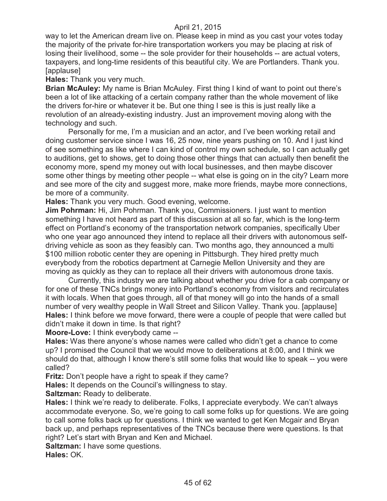way to let the American dream live on. Please keep in mind as you cast your votes today the majority of the private for-hire transportation workers you may be placing at risk of losing their livelihood, some -- the sole provider for their households -- are actual voters, taxpayers, and long-time residents of this beautiful city. We are Portlanders. Thank you. [applause]

**Hales:** Thank you very much.

**Brian McAuley:** My name is Brian McAuley. First thing I kind of want to point out there's been a lot of like attacking of a certain company rather than the whole movement of like the drivers for-hire or whatever it be. But one thing I see is this is just really like a revolution of an already-existing industry. Just an improvement moving along with the technology and such.

Personally for me, I'm a musician and an actor, and I've been working retail and doing customer service since I was 16, 25 now, nine years pushing on 10. And I just kind of see something as like where I can kind of control my own schedule, so I can actually get to auditions, get to shows, get to doing those other things that can actually then benefit the economy more, spend my money out with local businesses, and then maybe discover some other things by meeting other people -- what else is going on in the city? Learn more and see more of the city and suggest more, make more friends, maybe more connections, be more of a community.

**Hales:** Thank you very much. Good evening, welcome.

**Jim Pohrman:** Hi, Jim Pohrman. Thank you, Commissioners. I just want to mention something I have not heard as part of this discussion at all so far, which is the long-term effect on Portland's economy of the transportation network companies, specifically Uber who one year ago announced they intend to replace all their drivers with autonomous selfdriving vehicle as soon as they feasibly can. Two months ago, they announced a multi \$100 million robotic center they are opening in Pittsburgh. They hired pretty much everybody from the robotics department at Carnegie Mellon University and they are moving as quickly as they can to replace all their drivers with autonomous drone taxis.

Currently, this industry we are talking about whether you drive for a cab company or for one of these TNCs brings money into Portland's economy from visitors and recirculates it with locals. When that goes through, all of that money will go into the hands of a small number of very wealthy people in Wall Street and Silicon Valley. Thank you. [applause] **Hales:** I think before we move forward, there were a couple of people that were called but didn't make it down in time. Is that right?

**Moore-Love:** I think everybody came --

**Hales:** Was there anyone's whose names were called who didn't get a chance to come up? I promised the Council that we would move to deliberations at 8:00, and I think we should do that, although I know there's still some folks that would like to speak -- you were called?

**Fritz:** Don't people have a right to speak if they came?

**Hales:** It depends on the Council's willingness to stay.

**Saltzman:** Ready to deliberate.

**Hales:** I think we're ready to deliberate. Folks, I appreciate everybody. We can't always accommodate everyone. So, we're going to call some folks up for questions. We are going to call some folks back up for questions. I think we wanted to get Ken Mcgair and Bryan back up, and perhaps representatives of the TNCs because there were questions. Is that right? Let's start with Bryan and Ken and Michael.

**Saltzman:** I have some questions.

**Hales:** OK.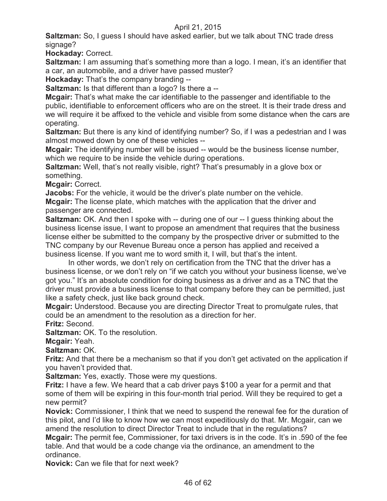**Saltzman:** So, I guess I should have asked earlier, but we talk about TNC trade dress signage?

**Hockaday:** Correct.

**Saltzman:** I am assuming that's something more than a logo. I mean, it's an identifier that a car, an automobile, and a driver have passed muster?

**Hockaday:** That's the company branding --

**Saltzman:** Is that different than a logo? Is there a --

**Mcgair:** That's what make the car identifiable to the passenger and identifiable to the public, identifiable to enforcement officers who are on the street. It is their trade dress and we will require it be affixed to the vehicle and visible from some distance when the cars are operating.

**Saltzman:** But there is any kind of identifying number? So, if I was a pedestrian and I was almost mowed down by one of these vehicles --

**Mcgair:** The identifying number will be issued -- would be the business license number, which we require to be inside the vehicle during operations.

**Saltzman:** Well, that's not really visible, right? That's presumably in a glove box or something.

**Mcgair:** Correct.

**Jacobs:** For the vehicle, it would be the driver's plate number on the vehicle.

**Mcgair:** The license plate, which matches with the application that the driver and passenger are connected.

**Saltzman:** OK. And then I spoke with -- during one of our -- I guess thinking about the business license issue, I want to propose an amendment that requires that the business license either be submitted to the company by the prospective driver or submitted to the TNC company by our Revenue Bureau once a person has applied and received a business license. If you want me to word smith it, I will, but that's the intent.

In other words, we don't rely on certification from the TNC that the driver has a business license, or we don't rely on "if we catch you without your business license, we've got you." It's an absolute condition for doing business as a driver and as a TNC that the driver must provide a business license to that company before they can be permitted, just like a safety check, just like back ground check.

**Mcgair:** Understood. Because you are directing Director Treat to promulgate rules, that could be an amendment to the resolution as a direction for her.

**Fritz:** Second.

**Saltzman:** OK. To the resolution.

**Mcgair:** Yeah.

**Saltzman:** OK.

**Fritz:** And that there be a mechanism so that if you don't get activated on the application if you haven't provided that.

**Saltzman:** Yes, exactly. Those were my questions.

**Fritz:** I have a few. We heard that a cab driver pays \$100 a year for a permit and that some of them will be expiring in this four-month trial period. Will they be required to get a new permit?

**Novick:** Commissioner, I think that we need to suspend the renewal fee for the duration of this pilot, and I'd like to know how we can most expeditiously do that. Mr. Mcgair, can we amend the resolution to direct Director Treat to include that in the regulations?

**Mcgair:** The permit fee, Commissioner, for taxi drivers is in the code. It's in .590 of the fee table. And that would be a code change via the ordinance, an amendment to the ordinance.

**Novick:** Can we file that for next week?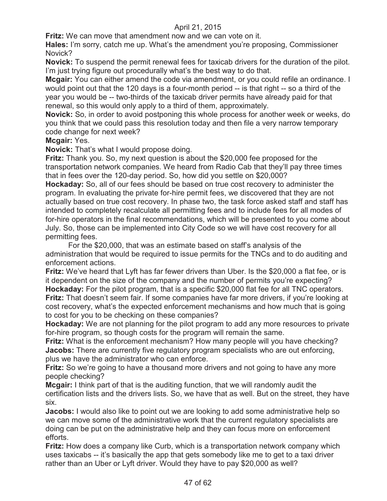**Fritz:** We can move that amendment now and we can vote on it.

**Hales:** I'm sorry, catch me up. What's the amendment you're proposing, Commissioner Novick?

**Novick:** To suspend the permit renewal fees for taxicab drivers for the duration of the pilot. I'm just trying figure out procedurally what's the best way to do that.

**Mcgair:** You can either amend the code via amendment, or you could refile an ordinance. I would point out that the 120 days is a four-month period -- is that right -- so a third of the year you would be -- two-thirds of the taxicab driver permits have already paid for that renewal, so this would only apply to a third of them, approximately.

**Novick:** So, in order to avoid postponing this whole process for another week or weeks, do you think that we could pass this resolution today and then file a very narrow temporary code change for next week?

#### **Mcgair:** Yes.

**Novick:** That's what I would propose doing.

**Fritz:** Thank you. So, my next question is about the \$20,000 fee proposed for the transportation network companies. We heard from Radio Cab that they'll pay three times that in fees over the 120-day period. So, how did you settle on \$20,000?

**Hockaday:** So, all of our fees should be based on true cost recovery to administer the program. In evaluating the private for-hire permit fees, we discovered that they are not actually based on true cost recovery. In phase two, the task force asked staff and staff has intended to completely recalculate all permitting fees and to include fees for all modes of for-hire operators in the final recommendations, which will be presented to you come about July. So, those can be implemented into City Code so we will have cost recovery for all permitting fees.

For the \$20,000, that was an estimate based on staff's analysis of the administration that would be required to issue permits for the TNCs and to do auditing and enforcement actions.

**Fritz:** We've heard that Lyft has far fewer drivers than Uber. Is the \$20,000 a flat fee, or is it dependent on the size of the company and the number of permits you're expecting? **Hockaday:** For the pilot program, that is a specific \$20,000 flat fee for all TNC operators. **Fritz:** That doesn't seem fair. If some companies have far more drivers, if you're looking at cost recovery, what's the expected enforcement mechanisms and how much that is going to cost for you to be checking on these companies?

**Hockaday:** We are not planning for the pilot program to add any more resources to private for-hire program, so though costs for the program will remain the same.

**Fritz:** What is the enforcement mechanism? How many people will you have checking? **Jacobs:** There are currently five regulatory program specialists who are out enforcing, plus we have the administrator who can enforce.

**Fritz:** So we're going to have a thousand more drivers and not going to have any more people checking?

**Mcgair:** I think part of that is the auditing function, that we will randomly audit the certification lists and the drivers lists. So, we have that as well. But on the street, they have six.

**Jacobs:** I would also like to point out we are looking to add some administrative help so we can move some of the administrative work that the current regulatory specialists are doing can be put on the administrative help and they can focus more on enforcement efforts.

**Fritz:** How does a company like Curb, which is a transportation network company which uses taxicabs -- it's basically the app that gets somebody like me to get to a taxi driver rather than an Uber or Lyft driver. Would they have to pay \$20,000 as well?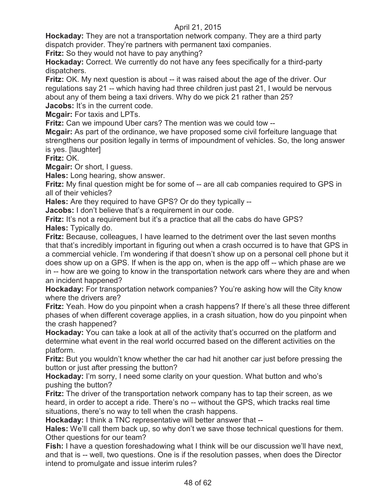**Hockaday:** They are not a transportation network company. They are a third party dispatch provider. They're partners with permanent taxi companies.

**Fritz:** So they would not have to pay anything?

**Hockaday:** Correct. We currently do not have any fees specifically for a third-party dispatchers.

**Fritz:** OK. My next question is about -- it was raised about the age of the driver. Our regulations say 21 -- which having had three children just past 21, I would be nervous about any of them being a taxi drivers. Why do we pick 21 rather than 25? **Jacobs:** It's in the current code.

**Mcgair:** For taxis and LPTs.

**Fritz:** Can we impound Uber cars? The mention was we could tow --

**Mcgair:** As part of the ordinance, we have proposed some civil forfeiture language that strengthens our position legally in terms of impoundment of vehicles. So, the long answer is yes. [laughter]

**Fritz:** OK.

**Mcgair:** Or short, I guess.

**Hales:** Long hearing, show answer.

**Fritz:** My final question might be for some of -- are all cab companies required to GPS in all of their vehicles?

**Hales:** Are they required to have GPS? Or do they typically --

**Jacobs:** I don't believe that's a requirement in our code.

**Fritz:** It's not a requirement but it's a practice that all the cabs do have GPS? **Hales:** Typically do.

**Fritz:** Because, colleagues, I have learned to the detriment over the last seven months that that's incredibly important in figuring out when a crash occurred is to have that GPS in a commercial vehicle. I'm wondering if that doesn't show up on a personal cell phone but it does show up on a GPS. If when is the app on, when is the app off -- which phase are we in -- how are we going to know in the transportation network cars where they are and when an incident happened?

**Hockaday:** For transportation network companies? You're asking how will the City know where the drivers are?

**Fritz:** Yeah. How do you pinpoint when a crash happens? If there's all these three different phases of when different coverage applies, in a crash situation, how do you pinpoint when the crash happened?

**Hockaday:** You can take a look at all of the activity that's occurred on the platform and determine what event in the real world occurred based on the different activities on the platform.

**Fritz:** But you wouldn't know whether the car had hit another car just before pressing the button or just after pressing the button?

**Hockaday:** I'm sorry, I need some clarity on your question. What button and who's pushing the button?

**Fritz:** The driver of the transportation network company has to tap their screen, as we heard, in order to accept a ride. There's no -- without the GPS, which tracks real time situations, there's no way to tell when the crash happens.

**Hockaday:** I think a TNC representative will better answer that --

**Hales:** We'll call them back up, so why don't we save those technical questions for them. Other questions for our team?

**Fish:** I have a question foreshadowing what I think will be our discussion we'll have next, and that is -- well, two questions. One is if the resolution passes, when does the Director intend to promulgate and issue interim rules?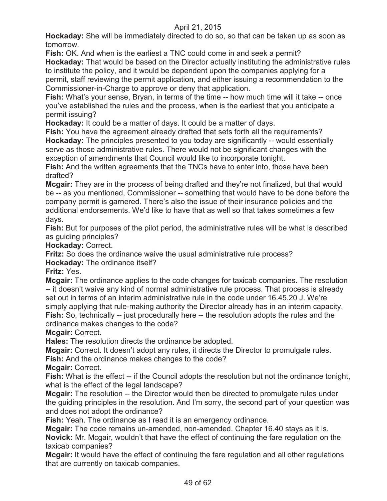**Hockaday:** She will be immediately directed to do so, so that can be taken up as soon as tomorrow.

**Fish:** OK. And when is the earliest a TNC could come in and seek a permit?

**Hockaday:** That would be based on the Director actually instituting the administrative rules to institute the policy, and it would be dependent upon the companies applying for a permit, staff reviewing the permit application, and either issuing a recommendation to the Commissioner-in-Charge to approve or deny that application.

**Fish:** What's your sense, Bryan, in terms of the time -- how much time will it take -- once you've established the rules and the process, when is the earliest that you anticipate a permit issuing?

**Hockaday:** It could be a matter of days. It could be a matter of days.

**Fish:** You have the agreement already drafted that sets forth all the requirements? **Hockaday:** The principles presented to you today are significantly -- would essentially serve as those administrative rules. There would not be significant changes with the exception of amendments that Council would like to incorporate tonight.

**Fish:** And the written agreements that the TNCs have to enter into, those have been drafted?

**Mcgair:** They are in the process of being drafted and they're not finalized, but that would be -- as you mentioned, Commissioner -- something that would have to be done before the company permit is garnered. There's also the issue of their insurance policies and the additional endorsements. We'd like to have that as well so that takes sometimes a few days.

**Fish:** But for purposes of the pilot period, the administrative rules will be what is described as guiding principles?

**Hockaday:** Correct.

**Fritz:** So does the ordinance waive the usual administrative rule process?

**Hockaday:** The ordinance itself?

**Fritz:** Yes.

**Mcgair:** The ordinance applies to the code changes for taxicab companies. The resolution -- it doesn't waive any kind of normal administrative rule process. That process is already set out in terms of an interim administrative rule in the code under 16.45.20 J. We're simply applying that rule-making authority the Director already has in an interim capacity. **Fish:** So, technically -- just procedurally here -- the resolution adopts the rules and the ordinance makes changes to the code?

**Mcgair:** Correct.

**Hales:** The resolution directs the ordinance be adopted.

**Mcgair:** Correct. It doesn't adopt any rules, it directs the Director to promulgate rules.

**Fish:** And the ordinance makes changes to the code?

**Mcgair:** Correct.

**Fish:** What is the effect -- if the Council adopts the resolution but not the ordinance tonight, what is the effect of the legal landscape?

**Mcgair:** The resolution -- the Director would then be directed to promulgate rules under the guiding principles in the resolution. And I'm sorry, the second part of your question was and does not adopt the ordinance?

**Fish:** Yeah. The ordinance as I read it is an emergency ordinance.

**Mcgair:** The code remains un-amended, non-amended. Chapter 16.40 stays as it is. **Novick:** Mr. Mcgair, wouldn't that have the effect of continuing the fare regulation on the taxicab companies?

**Mcgair:** It would have the effect of continuing the fare regulation and all other regulations that are currently on taxicab companies.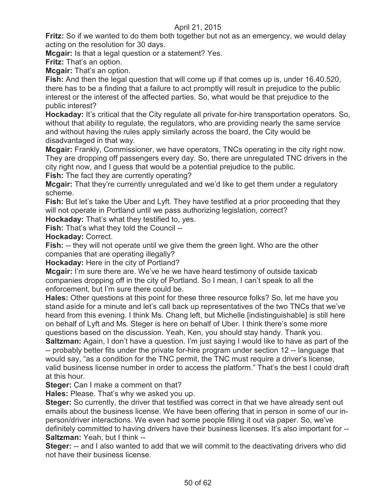**Fritz:** So if we wanted to do them both together but not as an emergency, we would delay acting on the resolution for 30 days.

**Mcgair:** Is that a legal question or a statement? Yes.

**Fritz:** That's an option.

**Mcgair:** That's an option.

**Fish:** And then the legal question that will come up if that comes up is, under 16.40.520, there has to be a finding that a failure to act promptly will result in prejudice to the public interest or the interest of the affected parties. So, what would be that prejudice to the public interest?

**Hockaday:** It's critical that the City regulate all private for-hire transportation operators. So, without that ability to regulate, the regulators, who are providing nearly the same service and without having the rules apply similarly across the board, the City would be disadvantaged in that way.

**Mcgair:** Frankly, Commissioner, we have operators, TNCs operating in the city right now. They are dropping off passengers every day. So, there are unregulated TNC drivers in the city right now, and I guess that would be a potential prejudice to the public.

**Fish:** The fact they are currently operating?

**Mcgair:** That they're currently unregulated and we'd like to get them under a regulatory scheme.

**Fish:** But let's take the Uber and Lyft. They have testified at a prior proceeding that they will not operate in Portland until we pass authorizing legislation, correct?

**Hockaday:** That's what they testified to, yes.

**Fish:** That's what they told the Council --

**Hockaday:** Correct.

**Fish:** -- they will not operate until we give them the green light. Who are the other companies that are operating illegally?

**Hockaday:** Here in the city of Portland?

**Mcgair:** I'm sure there are. We've he we have heard testimony of outside taxicab companies dropping off in the city of Portland. So I mean, I can't speak to all the enforcement, but I'm sure there could be.

**Hales:** Other questions at this point for these three resource folks? So, let me have you stand aside for a minute and let's call back up representatives of the two TNCs that we've heard from this evening. I think Ms. Chang left, but Michelle [indistinguishable] is still here on behalf of Lyft and Ms. Steger is here on behalf of Uber. I think there's some more questions based on the discussion. Yeah, Ken, you should stay handy. Thank you.

**Saltzman:** Again, I don't have a question. I'm just saying I would like to have as part of the -- probably better fits under the private for-hire program under section 12 -- language that would say, "as a condition for the TNC permit, the TNC must require a driver's license, valid business license number in order to access the platform." That's the best I could draft at this hour.

**Steger:** Can I make a comment on that?

**Hales:** Please. That's why we asked you up.

**Steger:** So currently, the driver that testified was correct in that we have already sent out emails about the business license. We have been offering that in person in some of our inperson/driver interactions. We even had some people filling it out via paper. So, we've definitely committed to having drivers have their business licenses. It's also important for -- **Saltzman:** Yeah, but I think --

**Steger:** -- and I also wanted to add that we will commit to the deactivating drivers who did not have their business license.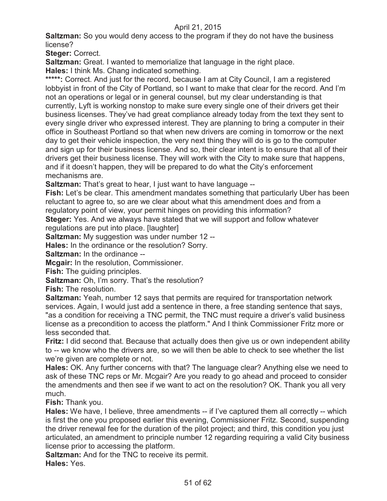**Saltzman:** So you would deny access to the program if they do not have the business license?

**Steger:** Correct.

**Saltzman:** Great. I wanted to memorialize that language in the right place.

**Hales:** I think Ms. Chang indicated something.

\*\*\*\*\*: Correct. And just for the record, because I am at City Council, I am a registered lobbyist in front of the City of Portland, so I want to make that clear for the record. And I'm not an operations or legal or in general counsel, but my clear understanding is that currently, Lyft is working nonstop to make sure every single one of their drivers get their business licenses. They've had great compliance already today from the text they sent to every single driver who expressed interest. They are planning to bring a computer in their office in Southeast Portland so that when new drivers are coming in tomorrow or the next day to get their vehicle inspection, the very next thing they will do is go to the computer and sign up for their business license. And so, their clear intent is to ensure that all of their drivers get their business license. They will work with the City to make sure that happens, and if it doesn't happen, they will be prepared to do what the City's enforcement mechanisms are.

**Saltzman:** That's great to hear, I just want to have language --

**Fish:** Let's be clear. This amendment mandates something that particularly Uber has been reluctant to agree to, so are we clear about what this amendment does and from a regulatory point of view, your permit hinges on providing this information?

**Steger:** Yes. And we always have stated that we will support and follow whatever regulations are put into place. [laughter]

**Saltzman:** My suggestion was under number 12 --

**Hales:** In the ordinance or the resolution? Sorry.

**Saltzman:** In the ordinance --

**Mcgair:** In the resolution, Commissioner.

**Fish:** The guiding principles.

**Saltzman:** Oh, I'm sorry. That's the resolution?

**Fish:** The resolution.

**Saltzman:** Yeah, number 12 says that permits are required for transportation network services. Again, I would just add a sentence in there, a free standing sentence that says, "as a condition for receiving a TNC permit, the TNC must require a driver's valid business license as a precondition to access the platform." And I think Commissioner Fritz more or less seconded that.

**Fritz:** I did second that. Because that actually does then give us or own independent ability to -- we know who the drivers are, so we will then be able to check to see whether the list we're given are complete or not.

**Hales:** OK. Any further concerns with that? The language clear? Anything else we need to ask of these TNC reps or Mr. Mcgair? Are you ready to go ahead and proceed to consider the amendments and then see if we want to act on the resolution? OK. Thank you all very much.

**Fish:** Thank you.

**Hales:** We have, I believe, three amendments -- if I've captured them all correctly -- which is first the one you proposed earlier this evening, Commissioner Fritz. Second, suspending the driver renewal fee for the duration of the pilot project; and third, this condition you just articulated, an amendment to principle number 12 regarding requiring a valid City business license prior to accessing the platform.

**Saltzman:** And for the TNC to receive its permit.

**Hales:** Yes.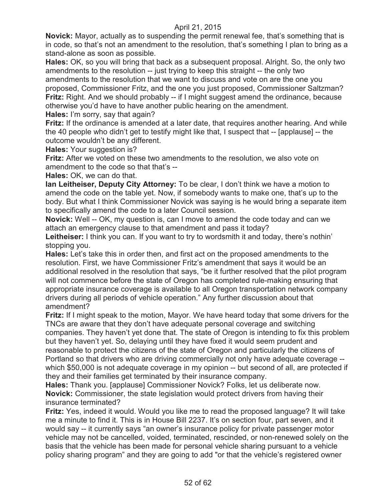**Novick:** Mayor, actually as to suspending the permit renewal fee, that's something that is in code, so that's not an amendment to the resolution, that's something I plan to bring as a stand-alone as soon as possible.

**Hales:** OK, so you will bring that back as a subsequent proposal. Alright. So, the only two amendments to the resolution -- just trying to keep this straight -- the only two

amendments to the resolution that we want to discuss and vote on are the one you proposed, Commissioner Fritz, and the one you just proposed, Commissioner Saltzman? **Fritz:** Right. And we should probably -- if I might suggest amend the ordinance, because otherwise you'd have to have another public hearing on the amendment.

**Hales:** I'm sorry, say that again?

**Fritz:** If the ordinance is amended at a later date, that requires another hearing. And while the 40 people who didn't get to testify might like that, I suspect that -- [applause] -- the outcome wouldn't be any different.

**Hales:** Your suggestion is?

**Fritz:** After we voted on these two amendments to the resolution, we also vote on amendment to the code so that that's --

**Hales:** OK, we can do that.

**Ian Leitheiser, Deputy City Attorney:** To be clear, I don't think we have a motion to amend the code on the table yet. Now, if somebody wants to make one, that's up to the body. But what I think Commissioner Novick was saying is he would bring a separate item to specifically amend the code to a later Council session.

**Novick:** Well -- OK, my question is, can I move to amend the code today and can we attach an emergency clause to that amendment and pass it today?

Leitheiser: I think you can. If you want to try to wordsmith it and today, there's nothin' stopping you.

**Hales:** Let's take this in order then, and first act on the proposed amendments to the resolution. First, we have Commissioner Fritz's amendment that says it would be an additional resolved in the resolution that says, "be it further resolved that the pilot program will not commence before the state of Oregon has completed rule-making ensuring that appropriate insurance coverage is available to all Oregon transportation network company drivers during all periods of vehicle operation." Any further discussion about that amendment?

**Fritz:** If I might speak to the motion, Mayor. We have heard today that some drivers for the TNCs are aware that they don't have adequate personal coverage and switching companies. They haven't yet done that. The state of Oregon is intending to fix this problem but they haven't yet. So, delaying until they have fixed it would seem prudent and reasonable to protect the citizens of the state of Oregon and particularly the citizens of Portland so that drivers who are driving commercially not only have adequate coverage - which \$50,000 is not adequate coverage in my opinion -- but second of all, are protected if they and their families get terminated by their insurance company.

**Hales:** Thank you. [applause] Commissioner Novick? Folks, let us deliberate now. **Novick:** Commissioner, the state legislation would protect drivers from having their insurance terminated?

**Fritz:** Yes, indeed it would. Would you like me to read the proposed language? It will take me a minute to find it. This is in House Bill 2237. It's on section four, part seven, and it would say -- it currently says "an owner's insurance policy for private passenger motor vehicle may not be cancelled, voided, terminated, rescinded, or non-renewed solely on the basis that the vehicle has been made for personal vehicle sharing pursuant to a vehicle policy sharing program" and they are going to add "or that the vehicle's registered owner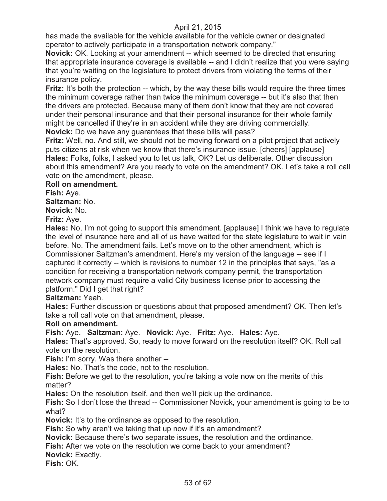has made the available for the vehicle available for the vehicle owner or designated operator to actively participate in a transportation network company."

**Novick:** OK. Looking at your amendment -- which seemed to be directed that ensuring that appropriate insurance coverage is available -- and I didn't realize that you were saying that you're waiting on the legislature to protect drivers from violating the terms of their insurance policy.

**Fritz:** It's both the protection -- which, by the way these bills would require the three times the minimum coverage rather than twice the minimum coverage -- but it's also that then the drivers are protected. Because many of them don't know that they are not covered under their personal insurance and that their personal insurance for their whole family might be cancelled if they're in an accident while they are driving commercially. **Novick:** Do we have any guarantees that these bills will pass?

**Fritz:** Well, no. And still, we should not be moving forward on a pilot project that actively puts citizens at risk when we know that there's insurance issue. [cheers] [applause] **Hales:** Folks, folks, I asked you to let us talk, OK? Let us deliberate. Other discussion about this amendment? Are you ready to vote on the amendment? OK. Let's take a roll call vote on the amendment, please.

#### **Roll on amendment.**

**Fish:** Aye.

**Saltzman:** No.

**Novick:** No.

**Fritz:** Aye.

**Hales:** No, I'm not going to support this amendment. [applause] I think we have to regulate the level of insurance here and all of us have waited for the state legislature to wait in vain before. No. The amendment fails. Let's move on to the other amendment, which is Commissioner Saltzman's amendment. Here's my version of the language -- see if I captured it correctly -- which is revisions to number 12 in the principles that says, "as a condition for receiving a transportation network company permit, the transportation network company must require a valid City business license prior to accessing the platform." Did I get that right?

**Saltzman:** Yeah.

**Hales:** Further discussion or questions about that proposed amendment? OK. Then let's take a roll call vote on that amendment, please.

# **Roll on amendment.**

**Fish:** Aye. **Saltzman:** Aye. **Novick:** Aye. **Fritz:** Aye. **Hales:** Aye.

**Hales:** That's approved. So, ready to move forward on the resolution itself? OK. Roll call vote on the resolution.

**Fish:** I'm sorry. Was there another --

**Hales:** No. That's the code, not to the resolution.

**Fish:** Before we get to the resolution, you're taking a vote now on the merits of this matter?

**Hales:** On the resolution itself, and then we'll pick up the ordinance.

**Fish:** So I don't lose the thread -- Commissioner Novick, your amendment is going to be to what?

**Novick:** It's to the ordinance as opposed to the resolution.

**Fish:** So why aren't we taking that up now if it's an amendment?

**Novick:** Because there's two separate issues, the resolution and the ordinance.

**Fish:** After we vote on the resolution we come back to your amendment?

**Novick:** Exactly.

**Fish:** OK.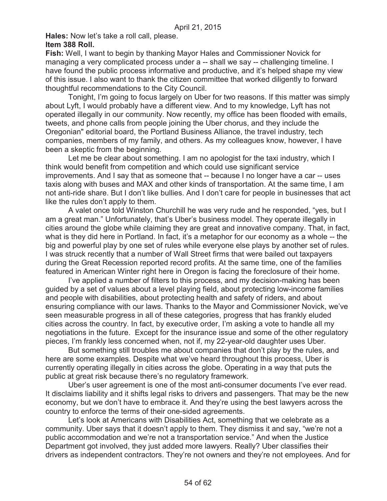**Hales:** Now let's take a roll call, please.

#### **Item 388 Roll.**

**Fish:** Well, I want to begin by thanking Mayor Hales and Commissioner Novick for managing a very complicated process under a -- shall we say -- challenging timeline. I have found the public process informative and productive, and it's helped shape my view of this issue. I also want to thank the citizen committee that worked diligently to forward thoughtful recommendations to the City Council.

Tonight, I'm going to focus largely on Uber for two reasons. If this matter was simply about Lyft, I would probably have a different view. And to my knowledge, Lyft has not operated illegally in our community. Now recently, my office has been flooded with emails, tweets, and phone calls from people joining the Uber chorus, and they include the Oregonian" editorial board, the Portland Business Alliance, the travel industry, tech companies, members of my family, and others. As my colleagues know, however, I have been a skeptic from the beginning.

Let me be clear about something. I am no apologist for the taxi industry, which I think would benefit from competition and which could use significant service improvements. And I say that as someone that -- because I no longer have a car -- uses taxis along with buses and MAX and other kinds of transportation. At the same time, I am not anti-ride share. But I don't like bullies. And I don't care for people in businesses that act like the rules don't apply to them.

A valet once told Winston Churchill he was very rude and he responded, "yes, but I am a great man." Unfortunately, that's Uber's business model. They operate illegally in cities around the globe while claiming they are great and innovative company. That, in fact, what is they did here in Portland. In fact, it's a metaphor for our economy as a whole -- the big and powerful play by one set of rules while everyone else plays by another set of rules. I was struck recently that a number of Wall Street firms that were bailed out taxpayers during the Great Recession reported record profits. At the same time, one of the families featured in American Winter right here in Oregon is facing the foreclosure of their home.

I've applied a number of filters to this process, and my decision-making has been guided by a set of values about a level playing field, about protecting low-income families and people with disabilities, about protecting health and safety of riders, and about ensuring compliance with our laws. Thanks to the Mayor and Commissioner Novick, we've seen measurable progress in all of these categories, progress that has frankly eluded cities across the country. In fact, by executive order, I'm asking a vote to handle all my negotiations in the future. Except for the insurance issue and some of the other regulatory pieces, I'm frankly less concerned when, not if, my 22-year-old daughter uses Uber.

But something still troubles me about companies that don't play by the rules, and here are some examples. Despite what we've heard throughout this process, Uber is currently operating illegally in cities across the globe. Operating in a way that puts the public at great risk because there's no regulatory framework.

Uber's user agreement is one of the most anti-consumer documents I've ever read. It disclaims liability and it shifts legal risks to drivers and passengers. That may be the new economy, but we don't have to embrace it. And they're using the best lawyers across the country to enforce the terms of their one-sided agreements.

Let's look at Americans with Disabilities Act, something that we celebrate as a community. Uber says that it doesn't apply to them. They dismiss it and say, "we're not a public accommodation and we're not a transportation service." And when the Justice Department got involved, they just added more lawyers. Really? Uber classifies their drivers as independent contractors. They're not owners and they're not employees. And for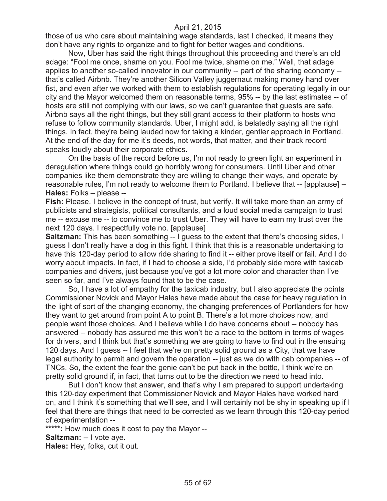those of us who care about maintaining wage standards, last I checked, it means they don't have any rights to organize and to fight for better wages and conditions.

Now, Uber has said the right things throughout this proceeding and there's an old adage: "Fool me once, shame on you. Fool me twice, shame on me." Well, that adage applies to another so-called innovator in our community -- part of the sharing economy - that's called Airbnb. They're another Silicon Valley juggernaut making money hand over fist, and even after we worked with them to establish regulations for operating legally in our city and the Mayor welcomed them on reasonable terms, 95% -- by the last estimates -- of hosts are still not complying with our laws, so we can't guarantee that guests are safe. Airbnb says all the right things, but they still grant access to their platform to hosts who refuse to follow community standards. Uber, I might add, is belatedly saying all the right things. In fact, they're being lauded now for taking a kinder, gentler approach in Portland. At the end of the day for me it's deeds, not words, that matter, and their track record speaks loudly about their corporate ethics.

On the basis of the record before us, I'm not ready to green light an experiment in deregulation where things could go horribly wrong for consumers. Until Uber and other companies like them demonstrate they are willing to change their ways, and operate by reasonable rules, I'm not ready to welcome them to Portland. I believe that -- [applause] -- **Hales:** Folks – please --

**Fish:** Please. I believe in the concept of trust, but verify. It will take more than an army of publicists and strategists, political consultants, and a loud social media campaign to trust me -- excuse me -- to convince me to trust Uber. They will have to earn my trust over the next 120 days. I respectfully vote no. [applause]

**Saltzman:** This has been something -- I guess to the extent that there's choosing sides, I guess I don't really have a dog in this fight. I think that this is a reasonable undertaking to have this 120-day period to allow ride sharing to find it -- either prove itself or fail. And I do worry about impacts. In fact, if I had to choose a side, I'd probably side more with taxicab companies and drivers, just because you've got a lot more color and character than I've seen so far, and I've always found that to be the case.

So, I have a lot of empathy for the taxicab industry, but I also appreciate the points Commissioner Novick and Mayor Hales have made about the case for heavy regulation in the light of sort of the changing economy, the changing preferences of Portlanders for how they want to get around from point A to point B. There's a lot more choices now, and people want those choices. And I believe while I do have concerns about -- nobody has answered -- nobody has assured me this won't be a race to the bottom in terms of wages for drivers, and I think but that's something we are going to have to find out in the ensuing 120 days. And I guess -- I feel that we're on pretty solid ground as a City, that we have legal authority to permit and govern the operation -- just as we do with cab companies -- of TNCs. So, the extent the fear the genie can't be put back in the bottle, I think we're on pretty solid ground if, in fact, that turns out to be the direction we need to head into.

But I don't know that answer, and that's why I am prepared to support undertaking this 120-day experiment that Commissioner Novick and Mayor Hales have worked hard on, and I think it's something that we'll see, and I will certainly not be shy in speaking up if I feel that there are things that need to be corrected as we learn through this 120-day period of experimentation --

**\*\*\*\*\*:** How much does it cost to pay the Mayor --

**Saltzman:** -- I vote aye.

**Hales:** Hey, folks, cut it out.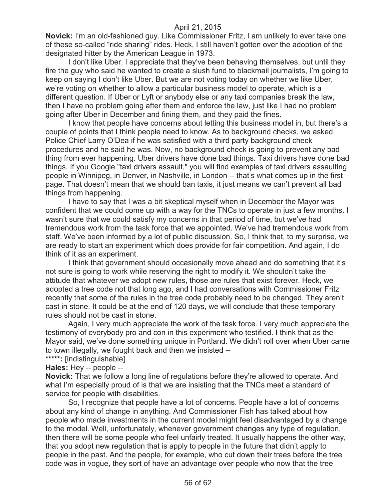**Novick:** I'm an old-fashioned guy. Like Commissioner Fritz, I am unlikely to ever take one of these so-called "ride sharing" rides. Heck, I still haven't gotten over the adoption of the designated hitter by the American League in 1973.

I don't like Uber. I appreciate that they've been behaving themselves, but until they fire the guy who said he wanted to create a slush fund to blackmail journalists, I'm going to keep on saying I don't like Uber. But we are not voting today on whether we like Uber, we're voting on whether to allow a particular business model to operate, which is a different question. If Uber or Lyft or anybody else or any taxi companies break the law, then I have no problem going after them and enforce the law, just like I had no problem going after Uber in December and fining them, and they paid the fines.

I know that people have concerns about letting this business model in, but there's a couple of points that I think people need to know. As to background checks, we asked Police Chief Larry O'Dea if he was satisfied with a third party background check procedures and he said he was. Now, no background check is going to prevent any bad thing from ever happening. Uber drivers have done bad things. Taxi drivers have done bad things. If you Google "taxi drivers assault," you will find examples of taxi drivers assaulting people in Winnipeg, in Denver, in Nashville, in London -- that's what comes up in the first page. That doesn't mean that we should ban taxis, it just means we can't prevent all bad things from happening.

I have to say that I was a bit skeptical myself when in December the Mayor was confident that we could come up with a way for the TNCs to operate in just a few months. I wasn't sure that we could satisfy my concerns in that period of time, but we've had tremendous work from the task force that we appointed. We've had tremendous work from staff. We've been informed by a lot of public discussion. So, I think that, to my surprise, we are ready to start an experiment which does provide for fair competition. And again, I do think of it as an experiment.

I think that government should occasionally move ahead and do something that it's not sure is going to work while reserving the right to modify it. We shouldn't take the attitude that whatever we adopt new rules, those are rules that exist forever. Heck, we adopted a tree code not that long ago, and I had conversations with Commissioner Fritz recently that some of the rules in the tree code probably need to be changed. They aren't cast in stone. It could be at the end of 120 days, we will conclude that these temporary rules should not be cast in stone.

Again, I very much appreciate the work of the task force. I very much appreciate the testimony of everybody pro and con in this experiment who testified. I think that as the Mayor said, we've done something unique in Portland. We didn't roll over when Uber came to town illegally, we fought back and then we insisted --

**\*\*\*\*\*:** [indistinguishable]

**Hales:** Hey -- people --

**Novick:** That we follow a long line of regulations before they're allowed to operate. And what I'm especially proud of is that we are insisting that the TNCs meet a standard of service for people with disabilities.

So, I recognize that people have a lot of concerns. People have a lot of concerns about any kind of change in anything. And Commissioner Fish has talked about how people who made investments in the current model might feel disadvantaged by a change to the model. Well, unfortunately, whenever government changes any type of regulation, then there will be some people who feel unfairly treated. It usually happens the other way, that you adopt new regulation that is apply to people in the future that didn't apply to people in the past. And the people, for example, who cut down their trees before the tree code was in vogue, they sort of have an advantage over people who now that the tree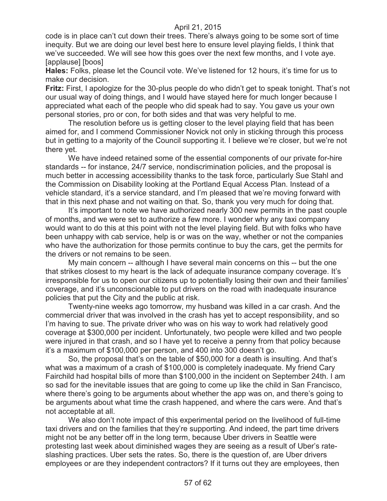code is in place can't cut down their trees. There's always going to be some sort of time inequity. But we are doing our level best here to ensure level playing fields, I think that we've succeeded. We will see how this goes over the next few months, and I vote aye. [applause] [boos]

**Hales:** Folks, please let the Council vote. We've listened for 12 hours, it's time for us to make our decision.

**Fritz:** First, I apologize for the 30-plus people do who didn't get to speak tonight. That's not our usual way of doing things, and I would have stayed here for much longer because I appreciated what each of the people who did speak had to say. You gave us your own personal stories, pro or con, for both sides and that was very helpful to me.

The resolution before us is getting closer to the level playing field that has been aimed for, and I commend Commissioner Novick not only in sticking through this process but in getting to a majority of the Council supporting it. I believe we're closer, but we're not there yet.

We have indeed retained some of the essential components of our private for-hire standards -- for instance, 24/7 service, nondiscrimination policies, and the proposal is much better in accessing accessibility thanks to the task force, particularly Sue Stahl and the Commission on Disability looking at the Portland Equal Access Plan. Instead of a vehicle standard, it's a service standard, and I'm pleased that we're moving forward with that in this next phase and not waiting on that. So, thank you very much for doing that.

It's important to note we have authorized nearly 300 new permits in the past couple of months, and we were set to authorize a few more. I wonder why any taxi company would want to do this at this point with not the level playing field. But with folks who have been unhappy with cab service, help is or was on the way, whether or not the companies who have the authorization for those permits continue to buy the cars, get the permits for the drivers or not remains to be seen.

My main concern -- although I have several main concerns on this -- but the one that strikes closest to my heart is the lack of adequate insurance company coverage. It's irresponsible for us to open our citizens up to potentially losing their own and their families' coverage, and it's unconscionable to put drivers on the road with inadequate insurance policies that put the City and the public at risk.

Twenty-nine weeks ago tomorrow, my husband was killed in a car crash. And the commercial driver that was involved in the crash has yet to accept responsibility, and so I'm having to sue. The private driver who was on his way to work had relatively good coverage at \$300,000 per incident. Unfortunately, two people were killed and two people were injured in that crash, and so I have yet to receive a penny from that policy because it's a maximum of \$100,000 per person, and 400 into 300 doesn't go.

So, the proposal that's on the table of \$50,000 for a death is insulting. And that's what was a maximum of a crash of \$100,000 is completely inadequate. My friend Cary Fairchild had hospital bills of more than \$100,000 in the incident on September 24th. I am so sad for the inevitable issues that are going to come up like the child in San Francisco, where there's going to be arguments about whether the app was on, and there's going to be arguments about what time the crash happened, and where the cars were. And that's not acceptable at all.

We also don't note impact of this experimental period on the livelihood of full-time taxi drivers and on the families that they're supporting. And indeed, the part time drivers might not be any better off in the long term, because Uber drivers in Seattle were protesting last week about diminished wages they are seeing as a result of Uber's rateslashing practices. Uber sets the rates. So, there is the question of, are Uber drivers employees or are they independent contractors? If it turns out they are employees, then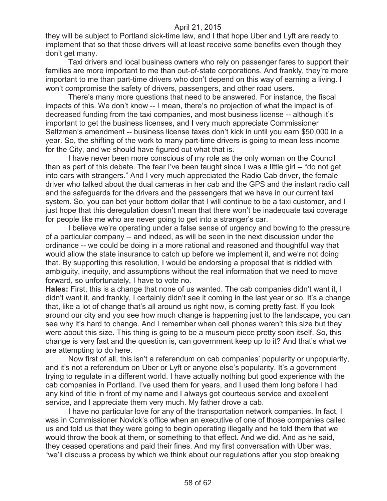they will be subject to Portland sick-time law, and I that hope Uber and Lyft are ready to implement that so that those drivers will at least receive some benefits even though they don't get many.

Taxi drivers and local business owners who rely on passenger fares to support their families are more important to me than out-of-state corporations. And frankly, they're more important to me than part-time drivers who don't depend on this way of earning a living. I won't compromise the safety of drivers, passengers, and other road users.

There's many more questions that need to be answered. For instance, the fiscal impacts of this. We don't know -- I mean, there's no projection of what the impact is of decreased funding from the taxi companies, and most business license -- although it's important to get the business licenses, and I very much appreciate Commissioner Saltzman's amendment -- business license taxes don't kick in until you earn \$50,000 in a year. So, the shifting of the work to many part-time drivers is going to mean less income for the City, and we should have figured out what that is.

I have never been more conscious of my role as the only woman on the Council than as part of this debate. The fear I've been taught since I was a little girl -- "do not get into cars with strangers." And I very much appreciated the Radio Cab driver, the female driver who talked about the dual cameras in her cab and the GPS and the instant radio call and the safeguards for the drivers and the passengers that we have in our current taxi system. So, you can bet your bottom dollar that I will continue to be a taxi customer, and I just hope that this deregulation doesn't mean that there won't be inadequate taxi coverage for people like me who are never going to get into a stranger's car.

I believe we're operating under a false sense of urgency and bowing to the pressure of a particular company -- and indeed, as will be seen in the next discussion under the ordinance -- we could be doing in a more rational and reasoned and thoughtful way that would allow the state insurance to catch up before we implement it, and we're not doing that. By supporting this resolution, I would be endorsing a proposal that is riddled with ambiguity, inequity, and assumptions without the real information that we need to move forward, so unfortunately, I have to vote no.

**Hales:** First, this is a change that none of us wanted. The cab companies didn't want it, I didn't want it, and frankly, I certainly didn't see it coming in the last year or so. It's a change that, like a lot of change that's all around us right now, is coming pretty fast. If you look around our city and you see how much change is happening just to the landscape, you can see why it's hard to change. And I remember when cell phones weren't this size but they were about this size. This thing is going to be a museum piece pretty soon itself. So, this change is very fast and the question is, can government keep up to it? And that's what we are attempting to do here.

Now first of all, this isn't a referendum on cab companies' popularity or unpopularity, and it's not a referendum on Uber or Lyft or anyone else's popularity. It's a government trying to regulate in a different world. I have actually nothing but good experience with the cab companies in Portland. I've used them for years, and I used them long before I had any kind of title in front of my name and I always got courteous service and excellent service, and I appreciate them very much. My father drove a cab.

I have no particular love for any of the transportation network companies. In fact, I was in Commissioner Novick's office when an executive of one of those companies called us and told us that they were going to begin operating illegally and he told them that we would throw the book at them, or something to that effect. And we did. And as he said, they ceased operations and paid their fines. And my first conversation with Uber was, "we'll discuss a process by which we think about our regulations after you stop breaking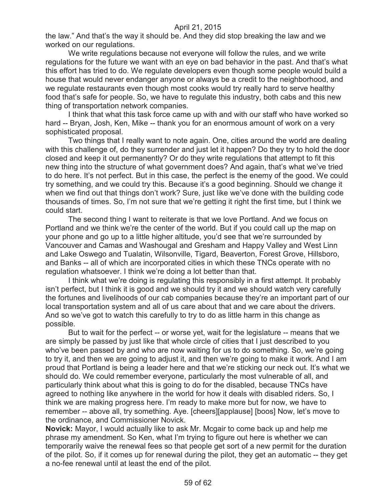the law." And that's the way it should be. And they did stop breaking the law and we worked on our regulations.

We write regulations because not everyone will follow the rules, and we write regulations for the future we want with an eye on bad behavior in the past. And that's what this effort has tried to do. We regulate developers even though some people would build a house that would never endanger anyone or always be a credit to the neighborhood, and we regulate restaurants even though most cooks would try really hard to serve healthy food that's safe for people. So, we have to regulate this industry, both cabs and this new thing of transportation network companies.

I think that what this task force came up with and with our staff who have worked so hard -- Bryan, Josh, Ken, Mike -- thank you for an enormous amount of work on a very sophisticated proposal.

Two things that I really want to note again. One, cities around the world are dealing with this challenge of, do they surrender and just let it happen? Do they try to hold the door closed and keep it out permanently? Or do they write regulations that attempt to fit this new thing into the structure of what government does? And again, that's what we've tried to do here. It's not perfect. But in this case, the perfect is the enemy of the good. We could try something, and we could try this. Because it's a good beginning. Should we change it when we find out that things don't work? Sure, just like we've done with the building code thousands of times. So, I'm not sure that we're getting it right the first time, but I think we could start.

The second thing I want to reiterate is that we love Portland. And we focus on Portland and we think we're the center of the world. But if you could call up the map on your phone and go up to a little higher altitude, you'd see that we're surrounded by Vancouver and Camas and Washougal and Gresham and Happy Valley and West Linn and Lake Oswego and Tualatin, Wilsonville, Tigard, Beaverton, Forest Grove, Hillsboro, and Banks -- all of which are incorporated cities in which these TNCs operate with no regulation whatsoever. I think we're doing a lot better than that.

I think what we're doing is regulating this responsibly in a first attempt. It probably isn't perfect, but I think it is good and we should try it and we should watch very carefully the fortunes and livelihoods of our cab companies because they're an important part of our local transportation system and all of us care about that and we care about the drivers. And so we've got to watch this carefully to try to do as little harm in this change as possible.

But to wait for the perfect -- or worse yet, wait for the legislature -- means that we are simply be passed by just like that whole circle of cities that I just described to you who've been passed by and who are now waiting for us to do something. So, we're going to try it, and then we are going to adjust it, and then we're going to make it work. And I am proud that Portland is being a leader here and that we're sticking our neck out. It's what we should do. We could remember everyone, particularly the most vulnerable of all, and particularly think about what this is going to do for the disabled, because TNCs have agreed to nothing like anywhere in the world for how it deals with disabled riders. So, I think we are making progress here. I'm ready to make more but for now, we have to remember -- above all, try something. Aye. [cheers][applause] [boos] Now, let's move to the ordinance, and Commissioner Novick.

**Novick:** Mayor, I would actually like to ask Mr. Mcgair to come back up and help me phrase my amendment. So Ken, what I'm trying to figure out here is whether we can temporarily waive the renewal fees so that people get sort of a new permit for the duration of the pilot. So, if it comes up for renewal during the pilot, they get an automatic -- they get a no-fee renewal until at least the end of the pilot.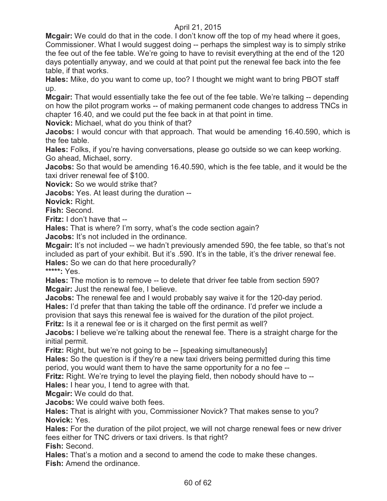**Mcgair:** We could do that in the code. I don't know off the top of my head where it goes, Commissioner. What I would suggest doing -- perhaps the simplest way is to simply strike the fee out of the fee table. We're going to have to revisit everything at the end of the 120 days potentially anyway, and we could at that point put the renewal fee back into the fee table, if that works.

**Hales:** Mike, do you want to come up, too? I thought we might want to bring PBOT staff up.

**Mcgair:** That would essentially take the fee out of the fee table. We're talking -- depending on how the pilot program works -- of making permanent code changes to address TNCs in chapter 16.40, and we could put the fee back in at that point in time.

**Novick:** Michael, what do you think of that?

**Jacobs:** I would concur with that approach. That would be amending 16.40.590, which is the fee table.

**Hales:** Folks, if you're having conversations, please go outside so we can keep working. Go ahead, Michael, sorry.

**Jacobs:** So that would be amending 16.40.590, which is the fee table, and it would be the taxi driver renewal fee of \$100.

**Novick:** So we would strike that?

**Jacobs:** Yes. At least during the duration --

**Novick:** Right.

**Fish:** Second.

**Fritz:** I don't have that --

**Hales:** That is where? I'm sorry, what's the code section again?

**Jacobs:** It's not included in the ordinance.

**Mcgair:** It's not included -- we hadn't previously amended 590, the fee table, so that's not included as part of your exhibit. But it's .590. It's in the table, it's the driver renewal fee. **Hales:** So we can do that here procedurally?

**\*\*\*\*\*:** Yes.

**Hales:** The motion is to remove -- to delete that driver fee table from section 590? **Mcgair:** Just the renewal fee, I believe.

**Jacobs:** The renewal fee and I would probably say waive it for the 120-day period. **Hales:** I'd prefer that than taking the table off the ordinance. I'd prefer we include a provision that says this renewal fee is waived for the duration of the pilot project.

**Fritz:** Is it a renewal fee or is it charged on the first permit as well?

**Jacobs:** I believe we're talking about the renewal fee. There is a straight charge for the initial permit.

**Fritz:** Right, but we're not going to be -- [speaking simultaneously]

**Hales:** So the question is if they're a new taxi drivers being permitted during this time period, you would want them to have the same opportunity for a no fee --

**Fritz:** Right. We're trying to level the playing field, then nobody should have to --

**Hales:** I hear you, I tend to agree with that.

**Mcgair:** We could do that.

**Jacobs:** We could waive both fees.

**Hales:** That is alright with you, Commissioner Novick? That makes sense to you? **Novick:** Yes.

**Hales:** For the duration of the pilot project, we will not charge renewal fees or new driver fees either for TNC drivers or taxi drivers. Is that right?

**Fish:** Second.

**Hales:** That's a motion and a second to amend the code to make these changes. **Fish:** Amend the ordinance.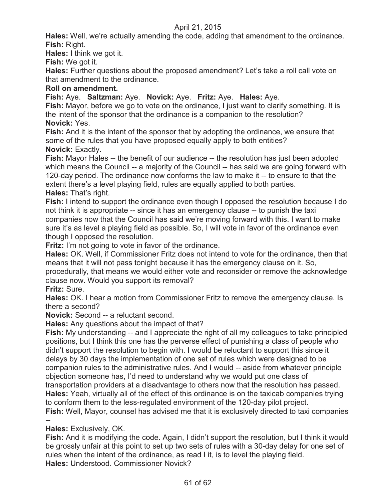**Hales:** Well, we're actually amending the code, adding that amendment to the ordinance. **Fish:** Right.

**Hales:** I think we got it.

**Fish:** We got it.

**Hales:** Further questions about the proposed amendment? Let's take a roll call vote on that amendment to the ordinance.

## **Roll on amendment.**

**Fish:** Aye. **Saltzman:** Aye. **Novick:** Aye. **Fritz:** Aye. **Hales:** Aye.

**Fish:** Mayor, before we go to vote on the ordinance, I just want to clarify something. It is the intent of the sponsor that the ordinance is a companion to the resolution? **Novick:** Yes.

**Fish:** And it is the intent of the sponsor that by adopting the ordinance, we ensure that some of the rules that you have proposed equally apply to both entities? **Novick:** Exactly.

**Fish:** Mayor Hales -- the benefit of our audience -- the resolution has just been adopted which means the Council -- a majority of the Council -- has said we are going forward with 120-day period. The ordinance now conforms the law to make it -- to ensure to that the extent there's a level playing field, rules are equally applied to both parties. **Hales:** That's right.

**Fish:** I intend to support the ordinance even though I opposed the resolution because I do not think it is appropriate -- since it has an emergency clause -- to punish the taxi companies now that the Council has said we're moving forward with this. I want to make sure it's as level a playing field as possible. So, I will vote in favor of the ordinance even though I opposed the resolution.

**Fritz:** I'm not going to vote in favor of the ordinance.

**Hales:** OK. Well, if Commissioner Fritz does not intend to vote for the ordinance, then that means that it will not pass tonight because it has the emergency clause on it. So, procedurally, that means we would either vote and reconsider or remove the acknowledge clause now. Would you support its removal?

**Fritz:** Sure.

**Hales:** OK. I hear a motion from Commissioner Fritz to remove the emergency clause. Is there a second?

**Novick:** Second -- a reluctant second.

**Hales:** Any questions about the impact of that?

**Fish:** My understanding -- and I appreciate the right of all my colleagues to take principled positions, but I think this one has the perverse effect of punishing a class of people who didn't support the resolution to begin with. I would be reluctant to support this since it delays by 30 days the implementation of one set of rules which were designed to be companion rules to the administrative rules. And I would -- aside from whatever principle objection someone has, I'd need to understand why we would put one class of transportation providers at a disadvantage to others now that the resolution has passed. **Hales:** Yeah, virtually all of the effect of this ordinance is on the taxicab companies trying to conform them to the less-regulated environment of the 120-day pilot project.

**Fish:** Well, Mayor, counsel has advised me that it is exclusively directed to taxi companies --

**Hales:** Exclusively, OK.

**Fish:** And it is modifying the code. Again, I didn't support the resolution, but I think it would be grossly unfair at this point to set up two sets of rules with a 30-day delay for one set of rules when the intent of the ordinance, as read I it, is to level the playing field. **Hales:** Understood. Commissioner Novick?